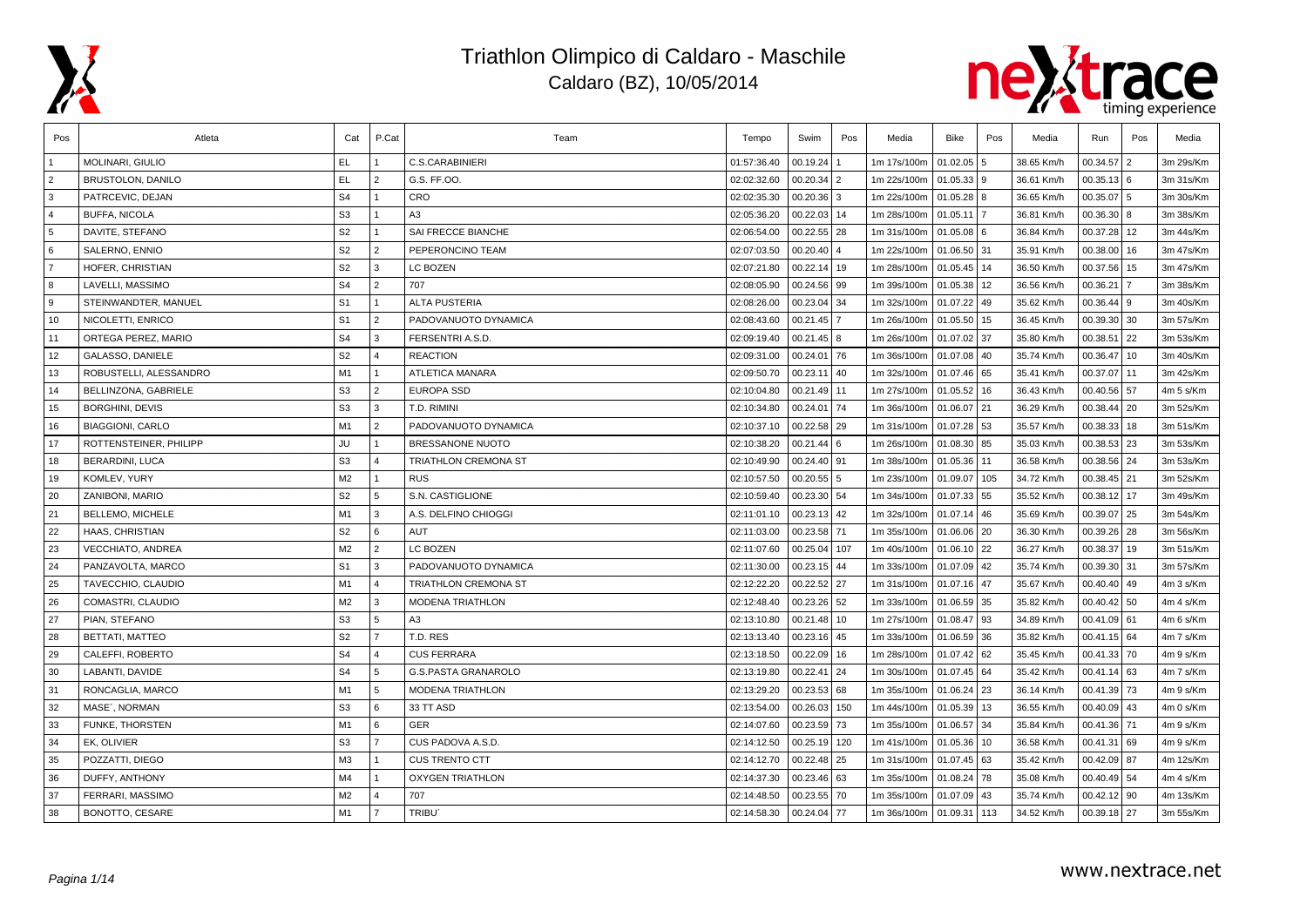



| Pos            | Atleta                   | Cat            | P.Cat          | Team                       | Tempo       | Swim          | Pos  | Media       | Bike         | Pos | Media      | Run             | Pos | Media     |
|----------------|--------------------------|----------------|----------------|----------------------------|-------------|---------------|------|-------------|--------------|-----|------------|-----------------|-----|-----------|
|                | MOLINARI, GIULIO         | EL.            |                | C.S.CARABINIERI            | 01:57:36.40 | 00.19.24      |      | 1m 17s/100m | 01.02.05     | l 5 | 38.65 Km/h | 00.34.57        |     | 3m 29s/Km |
| $\overline{2}$ | <b>BRUSTOLON, DANILO</b> | <b>EL</b>      | $\overline{2}$ | G.S. FF.OO.                | 02:02:32.60 | $00.20.34$ 2  |      | 1m 22s/100m | 01.05.33 9   |     | 36.61 Km/h | $00.35.13$ 6    |     | 3m 31s/Km |
| 3              | PATRCEVIC, DEJAN         | S <sub>4</sub> | $\mathbf{1}$   | <b>CRO</b>                 | 02:02:35.30 | $00.20.36$ 3  |      | 1m 22s/100m | 01.05.28     | l 8 | 36.65 Km/h | 00.35.07        | 5   | 3m 30s/Km |
| $\overline{4}$ | <b>BUFFA, NICOLA</b>     | S <sub>3</sub> | $\mathbf{1}$   | A <sub>3</sub>             | 02:05:36.20 | 00.22.03 14   |      | 1m 28s/100m | 01.05.11     |     | 36.81 Km/h | $00.36.30$ 8    |     | 3m 38s/Km |
| 5              | DAVITE, STEFANO          | S <sub>2</sub> | $\mathbf{1}$   | SAI FRECCE BIANCHE         | 02:06:54.00 | 00.22.55      | 28   | 1m 31s/100m | $01.05.08$ 6 |     | 36.84 Km/h | $00.37.28$ 12   |     | 3m 44s/Km |
| 6              | SALERNO, ENNIO           | S <sub>2</sub> | $\overline{2}$ | PEPERONCINO TEAM           | 02:07:03.50 | 00.20.40      |      | 1m 22s/100m | 01.06.50 31  |     | 35.91 Km/h | $00.38.00$ 16   |     | 3m 47s/Km |
| $\overline{7}$ | HOFER, CHRISTIAN         | S <sub>2</sub> | $\overline{3}$ | LC BOZEN                   | 02:07:21.80 | 00.22.14 19   |      | 1m 28s/100m | 01.05.45 14  |     | 36.50 Km/h | 00.37.56 15     |     | 3m 47s/Km |
| 8              | LAVELLI, MASSIMO         | S <sub>4</sub> | $\overline{2}$ | 707                        | 02:08:05.90 | 00.24.56 99   |      | 1m 39s/100m | 01.05.38     | 12  | 36.56 Km/h | 00.36.21        |     | 3m 38s/Km |
| <b>9</b>       | STEINWANDTER, MANUEL     | S <sub>1</sub> | $\mathbf{1}$   | <b>ALTA PUSTERIA</b>       | 02:08:26.00 | 00.23.04 34   |      | 1m 32s/100m | 01.07.22     | 49  | 35.62 Km/h | $00.36.44$   9  |     | 3m 40s/Km |
| 10             | NICOLETTI, ENRICO        | S <sub>1</sub> | $\overline{2}$ | PADOVANUOTO DYNAMICA       | 02:08:43.60 | 00.21.45      |      | 1m 26s/100m | 01.05.50     | 15  | 36.45 Km/h | $00.39.30$ 30   |     | 3m 57s/Km |
| 11             | ORTEGA PEREZ. MARIO      | S <sub>4</sub> | 3              | FERSENTRI A.S.D.           | 02:09:19.40 | $00.21.45$ 8  |      | 1m 26s/100m | 01.07.02 37  |     | 35.80 Km/h | 00.38.51        | 22  | 3m 53s/Km |
| 12             | <b>GALASSO, DANIELE</b>  | S <sub>2</sub> | $\overline{a}$ | <b>REACTION</b>            | 02:09:31.00 | 00.24.01      | l 76 | 1m 36s/100m | 01.07.08 40  |     | 35.74 Km/h | 00.36.47        | 10  | 3m 40s/Km |
| 13             | ROBUSTELLI, ALESSANDRO   | M1             | $\mathbf{1}$   | <b>ATLETICA MANARA</b>     | 02:09:50.70 | 00.23.11      | 40   | 1m 32s/100m | 01.07.46 65  |     | 35.41 Km/h | 00.37.07        | 11  | 3m 42s/Km |
| 14             | BELLINZONA, GABRIELE     | S <sub>3</sub> | 2              | <b>EUROPA SSD</b>          | 02:10:04.80 | 00.21.49 11   |      | 1m 27s/100m | 01.05.52     | 16  | 36.43 Km/h | 00.40.56 57     |     | 4m 5 s/Km |
| 15             | <b>BORGHINI, DEVIS</b>   | S <sub>3</sub> | 3              | T.D. RIMINI                | 02:10:34.80 | 00.24.01 74   |      | 1m 36s/100m | 01.06.07     | 21  | 36.29 Km/h | $00.38.44$   20 |     | 3m 52s/Km |
| 16             | <b>BIAGGIONI, CARLO</b>  | M <sub>1</sub> | $\overline{2}$ | PADOVANUOTO DYNAMICA       | 02:10:37.10 | 00.22.58 29   |      | 1m 31s/100m | 01.07.28 53  |     | 35.57 Km/h | $00.38.33$   18 |     | 3m 51s/Km |
| 17             | ROTTENSTEINER, PHILIPP   | JU             | $\mathbf{1}$   | BRESSANONE NUOTO           | 02:10:38.20 | $00.21.44$ 6  |      | 1m 26s/100m | 01.08.30 85  |     | 35.03 Km/h | $00.38.53$ 23   |     | 3m 53s/Km |
| 18             | <b>BERARDINI, LUCA</b>   | S <sub>3</sub> | $\overline{4}$ | TRIATHLON CREMONA ST       | 02:10:49.90 | 00.24.40 91   |      | 1m 38s/100m | 01.05.36     | 11  | 36.58 Km/h | 00.38.56 24     |     | 3m 53s/Km |
| 19             | KOMLEV, YURY             | M <sub>2</sub> | $\mathbf{1}$   | <b>RUS</b>                 | 02:10:57.50 | $00.20.55$ 5  |      | 1m 23s/100m | 01.09.07     | 105 | 34.72 Km/h | $00.38.45$ 21   |     | 3m 52s/Km |
| 20             | ZANIBONI, MARIO          | S <sub>2</sub> | 5              | S.N. CASTIGLIONE           | 02:10:59.40 | 00.23.30 54   |      | 1m 34s/100m | 01.07.33     | 55  | 35.52 Km/h | 00.38.12        | 17  | 3m 49s/Km |
| 21             | BELLEMO, MICHELE         | M1             | 3              | A.S. DELFINO CHIOGGI       | 02:11:01.10 | $00.23.13$ 42 |      | 1m 32s/100m | 01.07.14     | 46  | 35.69 Km/h | 00.39.07        | 25  | 3m 54s/Km |
| 22             | HAAS, CHRISTIAN          | S <sub>2</sub> | 6              | AUT                        | 02:11:03.00 | 00.23.58      | 71   | 1m 35s/100m | 01.06.06     | 20  | 36.30 Km/h | $00.39.26$ 28   |     | 3m 56s/Km |
| 23             | VECCHIATO, ANDREA        | M <sub>2</sub> | $\overline{2}$ | LC BOZEN                   | 02:11:07.60 | 00.25.04      | 107  | 1m 40s/100m | 01.06.10 22  |     | 36.27 Km/h | $00.38.37$   19 |     | 3m 51s/Km |
| 24             | PANZAVOLTA, MARCO        | S <sub>1</sub> | 3              | PADOVANUOTO DYNAMICA       | 02:11:30.00 | 00.23.15 44   |      | 1m 33s/100m | 01.07.09     | 42  | 35.74 Km/h | $00.39.30$ 31   |     | 3m 57s/Km |
| 25             | TAVECCHIO, CLAUDIO       | M1             | $\overline{4}$ | TRIATHLON CREMONA ST       | 02:12:22.20 | 00.22.52 27   |      | 1m 31s/100m | 01.07.16 47  |     | 35.67 Km/h | $00.40.40$ 49   |     | 4m 3 s/Km |
| 26             | COMASTRI, CLAUDIO        | M <sub>2</sub> | 3              | MODENA TRIATHLON           | 02:12:48.40 | 00.23.26 52   |      | 1m 33s/100m | 01.06.59 35  |     | 35.82 Km/h | $00.40.42$ 50   |     | 4m 4 s/Km |
| 27             | PIAN, STEFANO            | S <sub>3</sub> | 5              | A <sub>3</sub>             | 02:13:10.80 | 00.21.48 10   |      | 1m 27s/100m | 01.08.47     | 93  | 34.89 Km/h | $00.41.09$ 61   |     | 4m 6 s/Km |
| 28             | <b>BETTATI, MATTEO</b>   | S <sub>2</sub> | $\overline{7}$ | T.D. RES                   | 02:13:13.40 | 00.23.16 45   |      | 1m 33s/100m | 01.06.59 36  |     | 35.82 Km/h | $00.41.15$ 64   |     | 4m 7 s/Km |
| 29             | CALEFFI, ROBERTO         | S <sub>4</sub> | $\Delta$       | <b>CUS FERRARA</b>         | 02:13:18.50 | 00.22.09 16   |      | 1m 28s/100m | 01.07.42     | 62  | 35.45 Km/h | 00.41.33        | 70  | 4m 9 s/Km |
| 30             | LABANTI, DAVIDE          | S <sub>4</sub> | 5              | <b>G.S.PASTA GRANAROLO</b> | 02:13:19.80 | 00.22.41      | 24   | 1m 30s/100m | 01.07.45 64  |     | 35.42 Km/h | $00.41.14$ 63   |     | 4m 7 s/Km |
| 31             | RONCAGLIA, MARCO         | M1             | 5              | <b>MODENA TRIATHLON</b>    | 02:13:29.20 | $00.23.53$ 68 |      | 1m 35s/100m | 01.06.24     | 23  | 36.14 Km/h | $00.41.39$ 73   |     | 4m 9 s/Km |
| 32             | MASE', NORMAN            | S <sub>3</sub> | 6              | 33 TT ASD                  | 02:13:54.00 | 00.26.03      | 150  | 1m 44s/100m | 01.05.39 13  |     | 36.55 Km/h | $00.40.09$ 43   |     | 4m 0 s/Km |
| 33             | FUNKE, THORSTEN          | M1             | 6              | <b>GER</b>                 | 02:14:07.60 | 00.23.59 73   |      | 1m 35s/100m | 01.06.57     | 34  | 35.84 Km/h | 00.41.36 71     |     | 4m 9 s/Km |
| 34             | EK, OLIVIER              | S <sub>3</sub> | $\overline{7}$ | CUS PADOVA A.S.D.          | 02:14:12.50 | 00.25.19 120  |      | 1m 41s/100m | 01.05.36     | 10  | 36.58 Km/h | $00.41.31$ 69   |     | 4m 9 s/Km |
| 35             | POZZATTI, DIEGO          | M <sub>3</sub> | $\mathbf{1}$   | <b>CUS TRENTO CTT</b>      | 02:14:12.70 | 00.22.48 25   |      | 1m 31s/100m | 01.07.45     | 63  | 35.42 Km/h | 00.42.09 87     |     | 4m 12s/Km |
| 36             | DUFFY, ANTHONY           | M4             | $\overline{1}$ | <b>OXYGEN TRIATHLON</b>    | 02:14:37.30 | $00.23.46$ 63 |      | 1m 35s/100m | 01.08.24     | 78  | 35.08 Km/h | $00.40.49$ 54   |     | 4m 4 s/Km |
| 37             | FERRARI, MASSIMO         | M <sub>2</sub> | $\overline{A}$ | 707                        | 02:14:48.50 | 00.23.55 70   |      | 1m 35s/100m | 01.07.09     | 43  | 35.74 Km/h | $00.42.12$ 90   |     | 4m 13s/Km |
| 38             | <b>BONOTTO, CESARE</b>   | M1             | $\overline{7}$ | TRIBU <sup>®</sup>         | 02:14:58.30 | 00.24.04 77   |      | 1m 36s/100m | 01.09.31     | 113 | 34.52 Km/h | 00.39.18 27     |     | 3m 55s/Km |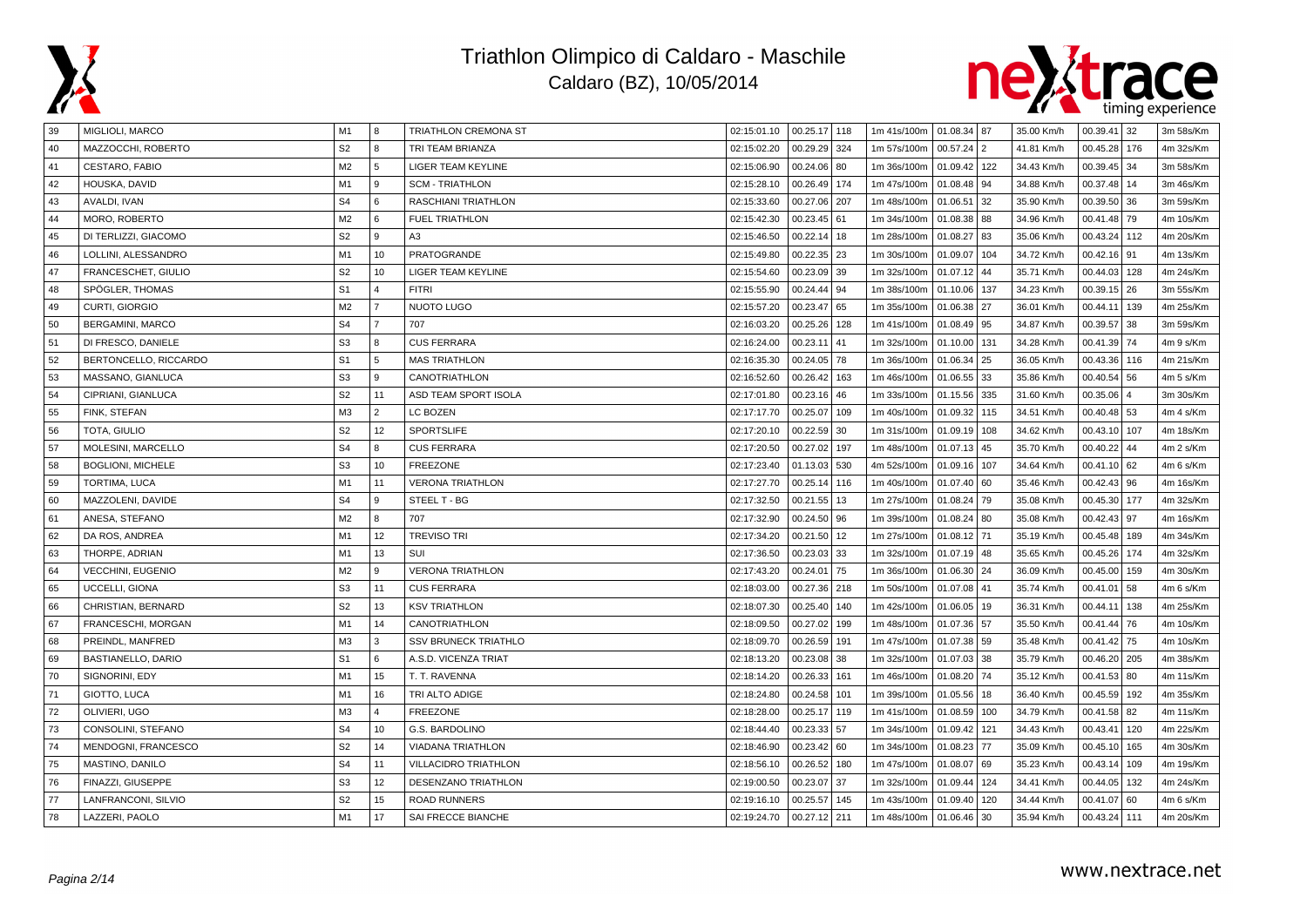



| 39 | MIGLIOLI, MARCO          | M1             | 8              | TRIATHLON CREMONA ST        | 02:15:01.10 | 00.25.17 118    | 1m 41s/100m   01.08.34   87 |               |     | 35.00 Km/h | 00.39.41<br>32             | 3m 58s/Km |
|----|--------------------------|----------------|----------------|-----------------------------|-------------|-----------------|-----------------------------|---------------|-----|------------|----------------------------|-----------|
| 40 | MAZZOCCHI, ROBERTO       | S <sub>2</sub> | 8              | TRI TEAM BRIANZA            | 02:15:02.20 | 00.29.29<br>324 | 1m 57s/100m                 | 00.57.24 2    |     | 41.81 Km/h | 00.45.28<br>176            | 4m 32s/Km |
| 41 | <b>CESTARO, FABIO</b>    | M <sub>2</sub> | 5              | LIGER TEAM KEYLINE          | 02:15:06.90 | 00.24.06<br>80  | 1m 36s/100m                 | 01.09.42 122  |     | 34.43 Km/h | 00.39.45<br>34             | 3m 58s/Km |
| 42 | HOUSKA, DAVID            | M <sub>1</sub> | 9              | <b>SCM - TRIATHLON</b>      | 02:15:28.10 | 00.26.49<br>174 | 1m 47s/100m                 | 01.08.48 94   |     | 34.88 Km/h | 00.37.48<br>l 14           | 3m 46s/Km |
| 43 | AVALDI, IVAN             | S <sub>4</sub> | 6              | RASCHIANI TRIATHLON         | 02:15:33.60 | 00.27.06<br>207 | 1m 48s/100m                 | 01.06.51 32   |     | 35.90 Km/h | 00.39.50<br>36             | 3m 59s/Km |
| 44 | MORO, ROBERTO            | M2             | l 6            | <b>FUEL TRIATHLON</b>       | 02:15:42.30 | 00.23.45<br>61  | 1m 34s/100m                 | 01.08.38 88   |     | 34.96 Km/h | 00.41.48<br>79             | 4m 10s/Km |
| 45 | DI TERLIZZI, GIACOMO     | S <sub>2</sub> | 9              | A3                          | 02:15:46.50 | 00.22.14<br>18  | 1m 28s/100m                 | 01.08.27 83   |     | 35.06 Km/h | 00.43.24<br>112            | 4m 20s/Km |
| 46 | LOLLINI, ALESSANDRO      | M1             | 10             | PRATOGRANDE                 | 02:15:49.80 | 00.22.35<br>23  | 1m 30s/100m                 | 01.09.07 104  |     | 34.72 Km/h | 00.42.16<br>91             | 4m 13s/Km |
| 47 | FRANCESCHET, GIULIO      | S <sub>2</sub> | 10             | <b>LIGER TEAM KEYLINE</b>   | 02:15:54.60 | 00.23.09<br>39  | 1m 32s/100m                 | $01.07.12$ 44 |     | 35.71 Km/h | 00.44.03<br>128            | 4m 24s/Km |
| 48 | SPÖGLER, THOMAS          | S <sub>1</sub> | $\overline{4}$ | <b>FITRI</b>                | 02:15:55.90 | 00.24.44<br>94  | 1m 38s/100m                 | 01.10.06 137  |     | 34.23 Km/h | 00.39.15<br>26             | 3m 55s/Km |
| 49 | CURTI, GIORGIO           | M <sub>2</sub> | $\overline{7}$ | NUOTO LUGO                  | 02:15:57.20 | 00.23.47<br>65  | 1m 35s/100m                 | 01.06.38 27   |     | 36.01 Km/h | 00.44.11<br>139            | 4m 25s/Km |
| 50 | <b>BERGAMINI, MARCO</b>  | S <sub>4</sub> | $\overline{7}$ | 707                         | 02:16:03.20 | 00.25.26<br>128 | 1m 41s/100m                 | 01.08.49 95   |     | 34.87 Km/h | 00.39.57<br>38             | 3m 59s/Km |
| 51 | DI FRESCO, DANIELE       | S <sub>3</sub> | 8              | <b>CUS FERRARA</b>          | 02:16:24.00 | 00.23.11<br>41  | 1m 32s/100m                 | 01.10.00 131  |     | 34.28 Km/h | 74<br>00.41.39             | 4m 9 s/Km |
| 52 | BERTONCELLO, RICCARDO    | S <sub>1</sub> | 5              | <b>MAS TRIATHLON</b>        | 02:16:35.30 | 00.24.05 78     | 1m 36s/100m                 | 01.06.34 25   |     | 36.05 Km/h | 00.43.36<br>116            | 4m 21s/Km |
| 53 | MASSANO, GIANLUCA        | S <sub>3</sub> | 9              | CANOTRIATHLON               | 02:16:52.60 | 00.26.42<br>163 | 1m 46s/100m                 | 01.06.55 33   |     | 35.86 Km/h | 00.40.54<br>56             | 4m 5 s/Km |
| 54 | CIPRIANI, GIANLUCA       | S <sub>2</sub> | 11             | ASD TEAM SPORT ISOLA        | 02:17:01.80 | 00.23.16<br>46  | 1m 33s/100m                 | 01.15.56 335  |     | 31.60 Km/h | 00.35.06<br>$\overline{a}$ | 3m 30s/Km |
| 55 | FINK, STEFAN             | M <sub>3</sub> | $\overline{2}$ | LC BOZEN                    | 02:17:17.70 | 00.25.07<br>109 | 1m 40s/100m                 | 01.09.32 115  |     | 34.51 Km/h | 00.40.48<br>53             | 4m 4 s/Km |
| 56 | TOTA, GIULIO             | S <sub>2</sub> | 12             | <b>SPORTSLIFE</b>           | 02:17:20.10 | 00.22.59<br>30  | 1m 31s/100m                 | 01.09.19 108  |     | 34.62 Km/h | 00.43.10<br>107            | 4m 18s/Km |
| 57 | MOLESINI, MARCELLO       | S <sub>4</sub> | 8              | <b>CUS FERRARA</b>          | 02:17:20.50 | 00.27.02<br>197 | 1m 48s/100m                 | $01.07.13$ 45 |     | 35.70 Km/h | 00.40.22<br>44             | 4m 2 s/Km |
| 58 | <b>BOGLIONI. MICHELE</b> | S <sub>3</sub> | 10             | <b>FREEZONE</b>             | 02:17:23.40 | 530<br>01.13.03 | 4m 52s/100m                 | 01.09.16      | 107 | 34.64 Km/h | 00.41.10<br>62             | 4m 6 s/Km |
| 59 | TORTIMA, LUCA            | M <sub>1</sub> | 11             | <b>VERONA TRIATHLON</b>     | 02:17:27.70 | 00.25.14<br>116 | 1m 40s/100m                 | 01.07.40 60   |     | 35.46 Km/h | 00.42.43<br>96             | 4m 16s/Km |
| 60 | MAZZOLENI, DAVIDE        | S <sub>4</sub> | l 9            | STEEL T - BG                | 02:17:32.50 | 00.21.55<br>13  | 1m 27s/100m                 | 01.08.24 79   |     | 35.08 Km/h | 00.45.30<br>  177          | 4m 32s/Km |
| 61 | ANESA, STEFANO           | M2             | 8              | 707                         | 02:17:32.90 | 00.24.50<br>96  | 1m 39s/100m                 | 01.08.24 80   |     | 35.08 Km/h | 00.42.43<br>97             | 4m 16s/Km |
| 62 | DA ROS, ANDREA           | M1             | 12             | <b>TREVISO TRI</b>          | 02:17:34.20 | 00.21.50<br>12  | 1m 27s/100m                 | 01.08.12 71   |     | 35.19 Km/h | 00.45.48<br>189            | 4m 34s/Km |
| 63 | THORPE, ADRIAN           | M <sub>1</sub> | 13             | SUI                         | 02:17:36.50 | 00.23.03<br>33  | 1m 32s/100m                 | 01.07.19 48   |     | 35.65 Km/h | 00.45.26<br>174            | 4m 32s/Km |
| 64 | <b>VECCHINI, EUGENIO</b> | M <sub>2</sub> | 9              | <b>VERONA TRIATHLON</b>     | 02:17:43.20 | 00.24.01<br>75  | 1m 36s/100m                 | 01.06.30 24   |     | 36.09 Km/h | 00.45.00<br>159            | 4m 30s/Km |
| 65 | UCCELLI, GIONA           | S <sub>3</sub> | 11             | <b>CUS FERRARA</b>          | 02:18:03.00 | 00.27.36<br>218 | 1m 50s/100m                 | 01.07.08 41   |     | 35.74 Km/h | 00.41.01<br>58             | 4m 6 s/Km |
| 66 | CHRISTIAN, BERNARD       | S <sub>2</sub> | 13             | <b>KSV TRIATHLON</b>        | 02:18:07.30 | 00.25.40<br>140 | 1m 42s/100m                 | 01.06.05 19   |     | 36.31 Km/h | 00.44.11<br>138            | 4m 25s/Km |
| 67 | FRANCESCHI, MORGAN       | M1             | 14             | <b>CANOTRIATHLON</b>        | 02:18:09.50 | 00.27.02<br>199 | 1m 48s/100m                 | 01.07.36 57   |     | 35.50 Km/h | 00.41.44<br>76             | 4m 10s/Km |
| 68 | PREINDL, MANFRED         | M <sub>3</sub> | 3              | <b>SSV BRUNECK TRIATHLO</b> | 02:18:09.70 | 00.26.59<br>191 | 1m 47s/100m                 | 01.07.38 59   |     | 35.48 Km/h | 00.41.42<br>l 75           | 4m 10s/Km |
| 69 | BASTIANELLO, DARIO       | S <sub>1</sub> | <b>6</b>       | A.S.D. VICENZA TRIAT        | 02:18:13.20 | 00.23.08<br>38  | 1m 32s/100m                 | 01.07.03 38   |     | 35.79 Km/h | 00.46.20<br>  205          | 4m 38s/Km |
| 70 | SIGNORINI, EDY           | M <sub>1</sub> | 15             | T. T. RAVENNA               | 02:18:14.20 | 00.26.33<br>161 | 1m 46s/100m                 | 01.08.20 74   |     | 35.12 Km/h | 00.41.53<br>80             | 4m 11s/Km |
| 71 | GIOTTO, LUCA             | M <sub>1</sub> | 16             | TRI ALTO ADIGE              | 02:18:24.80 | 00.24.58<br>101 | 1m 39s/100m                 | 01.05.56 18   |     | 36.40 Km/h | 00.45.59<br>192            | 4m 35s/Km |
| 72 | OLIVIERI, UGO            | M3             | $\overline{4}$ | <b>FREEZONE</b>             | 02:18:28.00 | 00.25.17<br>119 | 1m 41s/100m                 | 01.08.59 100  |     | 34.79 Km/h | 00.41.58<br>82             | 4m 11s/Km |
| 73 | CONSOLINI, STEFANO       | S <sub>4</sub> | 10             | G.S. BARDOLINO              | 02:18:44.40 | 00.23.33 57     | 1m 34s/100m                 | 01.09.42 121  |     | 34.43 Km/h | 00.43.41<br>120            | 4m 22s/Km |
| 74 | MENDOGNI, FRANCESCO      | S <sub>2</sub> | 14             | <b>VIADANA TRIATHLON</b>    | 02:18:46.90 | $00.23.42$ 60   | 1m 34s/100m                 | 01.08.23      | 77  | 35.09 Km/h | 00.45.10<br>165            | 4m 30s/Km |
| 75 | MASTINO, DANILO          | S <sub>4</sub> | 11             | VILLACIDRO TRIATHLON        | 02:18:56.10 | 00.26.52<br>180 | 1m 47s/100m                 | 01.08.07 69   |     | 35.23 Km/h | 00.43.14<br>109            | 4m 19s/Km |
| 76 | FINAZZI, GIUSEPPE        | S <sub>3</sub> | 12             | DESENZANO TRIATHLON         | 02:19:00.50 | 00.23.07<br>37  | 1m 32s/100m                 | 01.09.44 124  |     | 34.41 Km/h | 00.44.05<br>132            | 4m 24s/Km |
| 77 | LANFRANCONI, SILVIO      | S <sub>2</sub> | 15             | <b>ROAD RUNNERS</b>         | 02:19:16.10 | 145<br>00.25.57 | 1m 43s/100m                 | 01.09.40 120  |     | 34.44 Km/h | 60<br>00.41.07             | 4m 6 s/Km |
| 78 | LAZZERI, PAOLO           | M1             | 17             | SAI FRECCE BIANCHE          | 02:19:24.70 | $00.27.12$ 211  | 1m 48s/100m                 | 01.06.46 30   |     | 35.94 Km/h | 00.43.24<br>l 111          | 4m 20s/Km |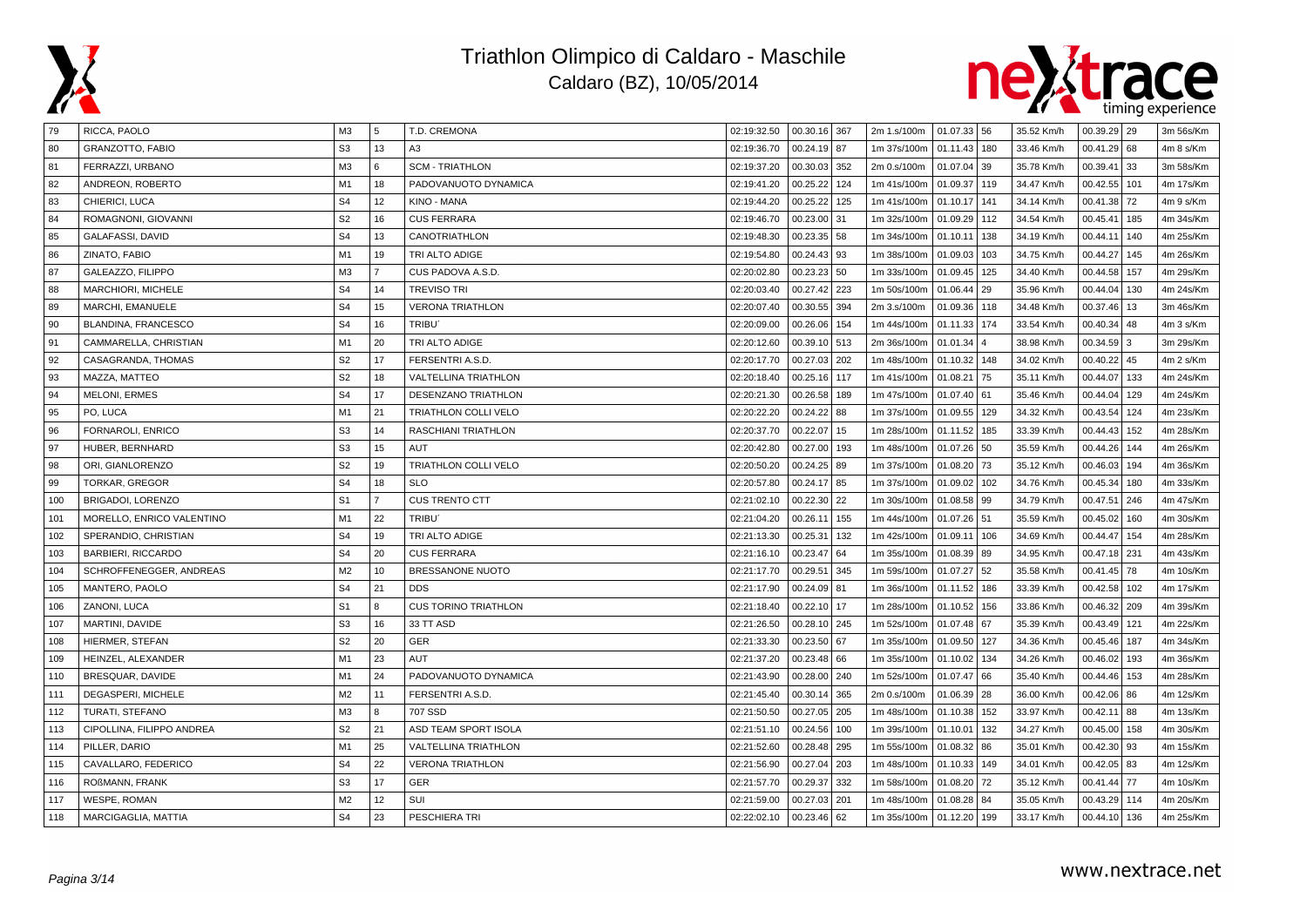



| 79  | RICCA, PAOLO              | ΜЗ             | 5              | T.D. CREMONA                | 02:19:32.50 | 00.30.16 367    | 2m 1.s/100m | $01.07.33$ 56 |     | 35.52 Km/h | $00.39.29$ 29    | 3m 56s/Km |
|-----|---------------------------|----------------|----------------|-----------------------------|-------------|-----------------|-------------|---------------|-----|------------|------------------|-----------|
| 80  | <b>GRANZOTTO, FABIO</b>   | S <sub>3</sub> | 13             | A3                          | 02:19:36.70 | 00.24.19 87     | 1m 37s/100m | 01.11.43 180  |     | 33.46 Km/h | 00.41.29<br>68   | 4m 8 s/Km |
| 81  | FERRAZZI, URBANO          | M <sub>3</sub> | 6              | <b>SCM - TRIATHLON</b>      | 02:19:37.20 | 00.30.03<br>352 | 2m 0.s/100m | 01.07.04      | 39  | 35.78 Km/h | 00.39.41<br>33   | 3m 58s/Km |
| 82  | ANDREON, ROBERTO          | M1             | 18             | PADOVANUOTO DYNAMICA        | 02:19:41.20 | 00.25.22<br>124 | 1m 41s/100m | 01.09.37      | 119 | 34.47 Km/h | 00.42.55<br>101  | 4m 17s/Km |
| 83  | CHIERICI, LUCA            | S <sub>4</sub> | 12             | KINO - MANA                 | 02:19:44.20 | 00.25.22<br>125 | 1m 41s/100m | 01.10.17      | 141 | 34.14 Km/h | 00.41.38<br>  72 | 4m 9 s/Km |
| 84  | ROMAGNONI, GIOVANNI       | S <sub>2</sub> | 16             | <b>CUS FERRARA</b>          | 02:19:46.70 | 00.23.00<br>31  | 1m 32s/100m | 01.09.29 112  |     | 34.54 Km/h | 00.45.41<br>185  | 4m 34s/Km |
| 85  | <b>GALAFASSI, DAVID</b>   | S <sub>4</sub> | 13             | CANOTRIATHLON               | 02:19:48.30 | 00.23.35<br>58  | 1m 34s/100m | 01.10.11      | 138 | 34.19 Km/h | 00.44.11<br>140  | 4m 25s/Km |
| 86  | ZINATO, FABIO             | M1             | 19             | TRI ALTO ADIGE              | 02:19:54.80 | 00.24.43<br>93  | 1m 38s/100m | 01.09.03      | 103 | 34.75 Km/h | 00.44.27<br>145  | 4m 26s/Km |
| 87  | GALEAZZO, FILIPPO         | M <sub>3</sub> | $\overline{7}$ | CUS PADOVA A.S.D.           | 02:20:02.80 | 00.23.23<br>50  | 1m 33s/100m | 01.09.45      | 125 | 34.40 Km/h | 00.44.58<br>157  | 4m 29s/Km |
| 88  | MARCHIORI, MICHELE        | S <sub>4</sub> | 14             | <b>TREVISO TRI</b>          | 02:20:03.40 | 00.27.42<br>223 | 1m 50s/100m | 01.06.44 29   |     | 35.96 Km/h | 00.44.04<br>130  | 4m 24s/Km |
| 89  | MARCHI, EMANUELE          | S <sub>4</sub> | 15             | <b>VERONA TRIATHLON</b>     | 02:20:07.40 | 00.30.55<br>394 | 2m 3.s/100m | 01.09.36      | 118 | 34.48 Km/h | 00.37.46<br>13   | 3m 46s/Km |
| 90  | BLANDINA, FRANCESCO       | S <sub>4</sub> | 16             | TRIBU'                      | 02:20:09.00 | 00.26.06<br>154 | 1m 44s/100m | 01.11.33      | 174 | 33.54 Km/h | 00.40.34<br>48   | 4m 3 s/Km |
| 91  | CAMMARELLA, CHRISTIAN     | M1             | 20             | TRI ALTO ADIGE              | 02:20:12.60 | 00.39.10<br>513 | 2m 36s/100m | 01.01.34      |     | 38.98 Km/h | $00.34.59$ 3     | 3m 29s/Km |
| 92  | CASAGRANDA, THOMAS        | S <sub>2</sub> | 17             | FERSENTRI A.S.D.            | 02:20:17.70 | 00.27.03<br>202 | 1m 48s/100m | 01.10.32 148  |     | 34.02 Km/h | 00.40.22<br>45   | 4m 2 s/Km |
| 93  | MAZZA, MATTEO             | S <sub>2</sub> | 18             | VALTELLINA TRIATHLON        | 02:20:18.40 | 00.25.16<br>117 | 1m 41s/100m | 01.08.21      | 75  | 35.11 Km/h | 00.44.07<br>133  | 4m 24s/Km |
| 94  | MELONI, ERMES             | S <sub>4</sub> | 17             | DESENZANO TRIATHLON         | 02:20:21.30 | 00.26.58<br>189 | 1m 47s/100m | $01.07.40$ 61 |     | 35.46 Km/h | 00.44.04<br>129  | 4m 24s/Km |
| 95  | PO, LUCA                  | M <sub>1</sub> | 21             | TRIATHLON COLLI VELO        | 02:20:22.20 | 00.24.22<br>88  | 1m 37s/100m | 01.09.55 129  |     | 34.32 Km/h | 00.43.54<br>124  | 4m 23s/Km |
| 96  | FORNAROLI, ENRICO         | S <sub>3</sub> | 14             | RASCHIANI TRIATHLON         | 02:20:37.70 | 00.22.07<br>15  | 1m 28s/100m | 01.11.52      | 185 | 33.39 Km/h | 00.44.43<br>152  | 4m 28s/Km |
| 97  | HUBER, BERNHARD           | S <sub>3</sub> | 15             | <b>AUT</b>                  | 02:20:42.80 | 00.27.00<br>193 | 1m 48s/100m | 01.07.26 50   |     | 35.59 Km/h | 00.44.26<br>144  | 4m 26s/Km |
| 98  | ORI, GIANLORENZO          | S <sub>2</sub> | 19             | <b>TRIATHLON COLLI VELO</b> | 02:20:50.20 | 00.24.25<br>89  | 1m 37s/100m | 01.08.20      | 73  | 35.12 Km/h | 00.46.03<br>194  | 4m 36s/Km |
| 99  | TORKAR, GREGOR            | S <sub>4</sub> | 18             | <b>SLO</b>                  | 02:20:57.80 | 00.24.17<br>85  | 1m 37s/100m | 01.09.02      | 102 | 34.76 Km/h | 00.45.34<br>180  | 4m 33s/Km |
| 100 | BRIGADOI, LORENZO         | S <sub>1</sub> | $\overline{7}$ | <b>CUS TRENTO CTT</b>       | 02:21:02.10 | 00.22.30<br>22  | 1m 30s/100m | 01.08.58 99   |     | 34.79 Km/h | 00.47.51<br>246  | 4m 47s/Km |
| 101 | MORELLO, ENRICO VALENTINO | M1             | 22             | TRIBU <sup>®</sup>          | 02:21:04.20 | 00.26.11<br>155 | 1m 44s/100m | 01.07.26 51   |     | 35.59 Km/h | 00.45.02<br>160  | 4m 30s/Km |
| 102 | SPERANDIO, CHRISTIAN      | S <sub>4</sub> | 19             | TRI ALTO ADIGE              | 02:21:13.30 | 00.25.31<br>132 | 1m 42s/100m | 01.09.11      | 106 | 34.69 Km/h | 00.44.47<br>154  | 4m 28s/Km |
| 103 | <b>BARBIERI, RICCARDO</b> | S <sub>4</sub> | 20             | <b>CUS FERRARA</b>          | 02:21:16.10 | 00.23.47<br>64  | 1m 35s/100m | 01.08.39 89   |     | 34.95 Km/h | 00.47.18<br>231  | 4m 43s/Km |
| 104 | SCHROFFENEGGER, ANDREAS   | M <sub>2</sub> | 10             | BRESSANONE NUOTO            | 02:21:17.70 | 00.29.51<br>345 | 1m 59s/100m | 01.07.27 52   |     | 35.58 Km/h | 00.41.45<br>78   | 4m 10s/Km |
| 105 | MANTERO, PAOLO            | S <sub>4</sub> | 21             | <b>DDS</b>                  | 02:21:17.90 | 00.24.09<br>81  | 1m 36s/100m | 01.11.52 186  |     | 33.39 Km/h | 00.42.58<br>102  | 4m 17s/Km |
| 106 | ZANONI, LUCA              | S <sub>1</sub> | 8              | <b>CUS TORINO TRIATHLON</b> | 02:21:18.40 | 00.22.10<br>17  | 1m 28s/100m | 01.10.52      | 156 | 33.86 Km/h | 00.46.32<br>209  | 4m 39s/Km |
| 107 | MARTINI, DAVIDE           | S <sub>3</sub> | 16             | 33 TT ASD                   | 02:21:26.50 | 00.28.10<br>245 | 1m 52s/100m | 01.07.48 67   |     | 35.39 Km/h | 00.43.49<br>121  | 4m 22s/Km |
| 108 | HIERMER, STEFAN           | S <sub>2</sub> | 20             | GER                         | 02:21:33.30 | 00.23.50<br>67  | 1m 35s/100m | 01.09.50      | 127 | 34.36 Km/h | 00.45.46<br>187  | 4m 34s/Km |
| 109 | HEINZEL, ALEXANDER        | M1             | 23             | AUT                         | 02:21:37.20 | 00.23.48<br>66  | 1m 35s/100m | 01.10.02 134  |     | 34.26 Km/h | 00.46.02<br>193  | 4m 36s/Km |
| 110 | BRESQUAR, DAVIDE          | M1             | 24             | PADOVANUOTO DYNAMICA        | 02:21:43.90 | 00.28.00<br>240 | 1m 52s/100m | 01.07.47      | 66  | 35.40 Km/h | 00.44.46<br>153  | 4m 28s/Km |
| 111 | DEGASPERI, MICHELE        | M <sub>2</sub> | 11             | FERSENTRI A.S.D.            | 02:21:45.40 | 00.30.14<br>365 | 2m 0.s/100m | 01.06.39 28   |     | 36.00 Km/h | 00.42.06<br>86   | 4m 12s/Km |
| 112 | <b>TURATI, STEFANO</b>    | M <sub>3</sub> | 8              | 707 SSD                     | 02:21:50.50 | 00.27.05<br>205 | 1m 48s/100m | 01.10.38 152  |     | 33.97 Km/h | 00.42.11<br>88   | 4m 13s/Km |
| 113 | CIPOLLINA. FILIPPO ANDREA | S <sub>2</sub> | 21             | ASD TEAM SPORT ISOLA        | 02:21:51.10 | 00.24.56<br>100 | 1m 39s/100m | 01.10.01      | 132 | 34.27 Km/h | 00.45.00<br>158  | 4m 30s/Km |
| 114 | PILLER, DARIO             | M <sub>1</sub> | 25             | VALTELLINA TRIATHLON        | 02:21:52.60 | 00.28.48<br>295 | 1m 55s/100m | 01.08.32      | 86  | 35.01 Km/h | 00.42.30<br>93   | 4m 15s/Km |
| 115 | CAVALLARO, FEDERICO       | S <sub>4</sub> | 22             | <b>VERONA TRIATHLON</b>     | 02:21:56.90 | 00.27.04<br>203 | 1m 48s/100m | 01.10.33      | 149 | 34.01 Km/h | 00.42.05<br>83   | 4m 12s/Km |
| 116 | ROßMANN, FRANK            | S <sub>3</sub> | 17             | GER                         | 02:21:57.70 | 00.29.37<br>332 | 1m 58s/100m | 01.08.20      | 72  | 35.12 Km/h | 00.41.44<br>  77 | 4m 10s/Km |
| 117 | <b>WESPE, ROMAN</b>       | M <sub>2</sub> | 12             | SUI                         | 02:21:59.00 | 00.27.03<br>201 | 1m 48s/100m | 01.08.28      | 84  | 35.05 Km/h | 00.43.29<br>114  | 4m 20s/Km |
| 118 | MARCIGAGLIA, MATTIA       | S <sub>4</sub> | 23             | PESCHIERA TRI               | 02:22:02.10 | $00.23.46$ 62   | 1m 35s/100m | 01.12.20 199  |     | 33.17 Km/h | 00.44.10<br>136  | 4m 25s/Km |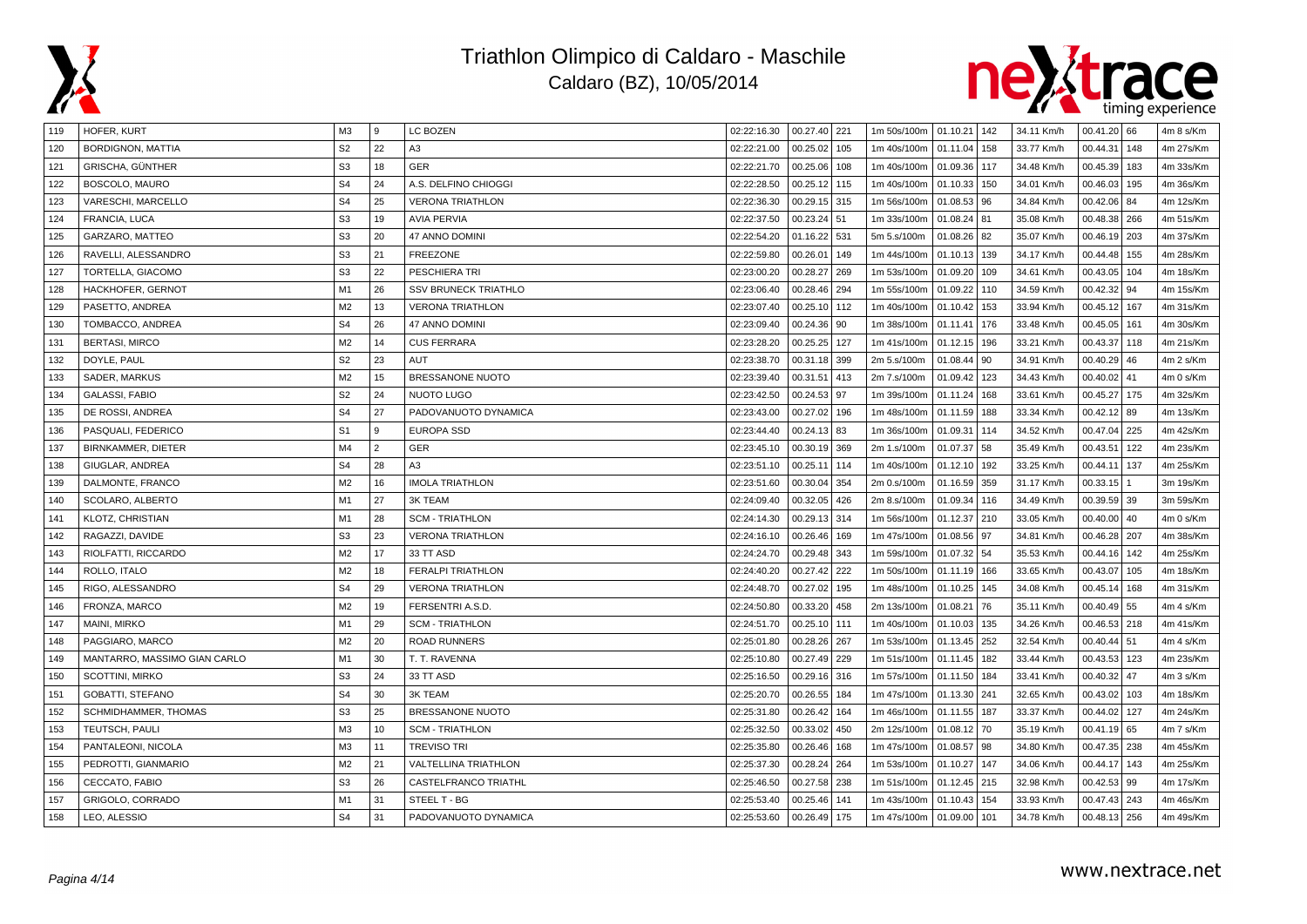



| 119 | HOFER, KURT                  | ΜЗ             | 9              | LC BOZEN                    | 02:22:16.30 | 00.27.40 221    | 1m 50s/100m   01.10.21   142 |              |     | 34.11 Km/h | $00.41.20$ 66   | 4m 8 s/Km |
|-----|------------------------------|----------------|----------------|-----------------------------|-------------|-----------------|------------------------------|--------------|-----|------------|-----------------|-----------|
| 120 | <b>BORDIGNON, MATTIA</b>     | S <sub>2</sub> | 22             | A3                          | 02:22:21.00 | 00.25.02<br>105 | 1m 40s/100m                  | 01.11.04 158 |     | 33.77 Km/h | 00.44.31<br>148 | 4m 27s/Km |
| 121 | GRISCHA, GÜNTHER             | S <sub>3</sub> | 18             | GER                         | 02:22:21.70 | 00.25.06<br>108 | 1m 40s/100m                  | 01.09.36 117 |     | 34.48 Km/h | 00.45.39<br>183 | 4m 33s/Km |
| 122 | BOSCOLO, MAURO               | S <sub>4</sub> | 24             | A.S. DELFINO CHIOGGI        | 02:22:28.50 | 00.25.12<br>115 | 1m 40s/100m                  | 01.10.33 150 |     | 34.01 Km/h | 00.46.03<br>195 | 4m 36s/Km |
| 123 | VARESCHI, MARCELLO           | S <sub>4</sub> | 25             | <b>VERONA TRIATHLON</b>     | 02:22:36.30 | 00.29.15<br>315 | 1m 56s/100m                  | 01.08.53 96  |     | 34.84 Km/h | 00.42.06<br>84  | 4m 12s/Km |
| 124 | FRANCIA, LUCA                | S <sub>3</sub> | 19             | <b>AVIA PERVIA</b>          | 02:22:37.50 | 00.23.24<br>51  | 1m 33s/100m                  | 01.08.24 81  |     | 35.08 Km/h | 00.48.38<br>266 | 4m 51s/Km |
| 125 | GARZARO, MATTEO              | S <sub>3</sub> | 20             | <b>47 ANNO DOMINI</b>       | 02:22:54.20 | 01.16.22<br>531 | 5m 5.s/100m                  | 01.08.26 82  |     | 35.07 Km/h | 00.46.19<br>203 | 4m 37s/Km |
| 126 | RAVELLI, ALESSANDRO          | S <sub>3</sub> | 21             | <b>FREEZONE</b>             | 02:22:59.80 | 00.26.01<br>149 | 1m 44s/100m                  | 01.10.13 139 |     | 34.17 Km/h | 00.44.48<br>155 | 4m 28s/Km |
| 127 | TORTELLA, GIACOMO            | S <sub>3</sub> | 22             | PESCHIERA TRI               | 02:23:00.20 | 00.28.27<br>269 | 1m 53s/100m                  | 01.09.20 109 |     | 34.61 Km/h | 00.43.05<br>104 | 4m 18s/Km |
| 128 | HACKHOFER, GERNOT            | M1             | 26             | <b>SSV BRUNECK TRIATHLO</b> | 02:23:06.40 | 00.28.46<br>294 | 1m 55s/100m                  | 01.09.22 110 |     | 34.59 Km/h | 00.42.32<br>94  | 4m 15s/Km |
| 129 | PASETTO, ANDREA              | M <sub>2</sub> | 13             | <b>VERONA TRIATHLON</b>     | 02:23:07.40 | 00.25.10<br>112 | 1m 40s/100m                  | 01.10.42     | 153 | 33.94 Km/h | 00.45.12<br>167 | 4m 31s/Km |
| 130 | TOMBACCO, ANDREA             | S <sub>4</sub> | 26             | 47 ANNO DOMINI              | 02:23:09.40 | 00.24.36<br>90  | 1m 38s/100m                  | 01.11.41 176 |     | 33.48 Km/h | 00.45.05<br>161 | 4m 30s/Km |
| 131 | <b>BERTASI, MIRCO</b>        | M <sub>2</sub> | 14             | <b>CUS FERRARA</b>          | 02:23:28.20 | 00.25.25<br>127 | 1m 41s/100m                  | 01.12.15 196 |     | 33.21 Km/h | 00.43.37<br>118 | 4m 21s/Km |
| 132 | DOYLE, PAUL                  | S <sub>2</sub> | 23             | AUT                         | 02:23:38.70 | 00.31.18<br>399 | 2m 5.s/100m                  | 01.08.44 90  |     | 34.91 Km/h | 00.40.29<br>46  | 4m 2 s/Km |
| 133 | SADER, MARKUS                | M <sub>2</sub> | 15             | BRESSANONE NUOTO            | 02:23:39.40 | 00.31.51<br>413 | 2m 7.s/100m                  | 01.09.42 123 |     | 34.43 Km/h | 00.40.02<br>41  | 4m 0 s/Km |
| 134 | <b>GALASSI, FABIO</b>        | S <sub>2</sub> | 24             | <b>NUOTO LUGO</b>           | 02:23:42.50 | 00.24.53<br>97  | 1m 39s/100m                  | 01.11.24 168 |     | 33.61 Km/h | 00.45.27<br>175 | 4m 32s/Km |
| 135 | DE ROSSI, ANDREA             | S <sub>4</sub> | 27             | PADOVANUOTO DYNAMICA        | 02:23:43.00 | 00.27.02<br>196 | 1m 48s/100m                  | 01.11.59 188 |     | 33.34 Km/h | 00.42.12<br>89  | 4m 13s/Km |
| 136 | PASQUALI, FEDERICO           | S <sub>1</sub> | 9              | <b>EUROPA SSD</b>           | 02:23:44.40 | 00.24.13<br>83  | 1m 36s/100m                  | 01.09.31     | 114 | 34.52 Km/h | 00.47.04<br>225 | 4m 42s/Km |
| 137 | BIRNKAMMER, DIETER           | M <sub>4</sub> | $\overline{2}$ | GER                         | 02:23:45.10 | 00.30.19<br>369 | 2m 1.s/100m                  | 01.07.37     | 58  | 35.49 Km/h | 00.43.51<br>122 | 4m 23s/Km |
| 138 | GIUGLAR, ANDREA              | S <sub>4</sub> | 28             | A3                          | 02:23:51.10 | 00.25.11<br>114 | 1m 40s/100m                  | 01.12.10     | 192 | 33.25 Km/h | 00.44.11<br>137 | 4m 25s/Km |
| 139 | DALMONTE, FRANCO             | M2             | 16             | <b>IMOLA TRIATHLON</b>      | 02:23:51.60 | 00.30.04<br>354 | 2m 0.s/100m                  | 01.16.59     | 359 | 31.17 Km/h | 00.33.15        | 3m 19s/Km |
| 140 | SCOLARO, ALBERTO             | M1             | 27             | <b>3K TEAM</b>              | 02:24:09.40 | 00.32.05<br>426 | 2m 8.s/100m                  | 01.09.34 116 |     | 34.49 Km/h | 00.39.59<br>39  | 3m 59s/Km |
| 141 | KLOTZ, CHRISTIAN             | M1             | 28             | <b>SCM - TRIATHLON</b>      | 02:24:14.30 | 00.29.13<br>314 | 1m 56s/100m                  | 01.12.37 210 |     | 33.05 Km/h | 00.40.00<br>40  | 4m 0 s/Km |
| 142 | RAGAZZI, DAVIDE              | S <sub>3</sub> | 23             | <b>VERONA TRIATHLON</b>     | 02:24:16.10 | 00.26.46<br>169 | 1m 47s/100m                  | 01.08.56 97  |     | 34.81 Km/h | 00.46.28<br>207 | 4m 38s/Km |
| 143 | RIOLFATTI, RICCARDO          | M <sub>2</sub> | 17             | 33 TT ASD                   | 02:24:24.70 | 00.29.48<br>343 | 1m 59s/100m                  | 01.07.32 54  |     | 35.53 Km/h | 00.44.16<br>142 | 4m 25s/Km |
| 144 | ROLLO, ITALO                 | M <sub>2</sub> | 18             | <b>FERALPI TRIATHLON</b>    | 02:24:40.20 | 00.27.42<br>222 | 1m 50s/100m                  | 01.11.19 166 |     | 33.65 Km/h | 00.43.07<br>105 | 4m 18s/Km |
| 145 | RIGO, ALESSANDRO             | S <sub>4</sub> | 29             | <b>VERONA TRIATHLON</b>     | 02:24:48.70 | 00.27.02<br>195 | 1m 48s/100m                  | 01.10.25     | 145 | 34.08 Km/h | 00.45.14<br>168 | 4m 31s/Km |
| 146 | FRONZA, MARCO                | M <sub>2</sub> | 19             | FERSENTRI A.S.D             | 02:24:50.80 | 00.33.20<br>458 | 2m 13s/100m                  | 01.08.21     | 76  | 35.11 Km/h | 55<br>00.40.49  | 4m 4 s/Km |
| 147 | MAINI, MIRKO                 | M1             | 29             | <b>SCM - TRIATHLON</b>      | 02:24:51.70 | 00.25.10<br>111 | 1m 40s/100m                  | 01.10.03     | 135 | 34.26 Km/h | 00.46.53<br>218 | 4m 41s/Km |
| 148 | PAGGIARO, MARCO              | M <sub>2</sub> | 20             | <b>ROAD RUNNERS</b>         | 02:25:01.80 | 00.28.26<br>267 | 1m 53s/100m                  | 01.13.45 252 |     | 32.54 Km/h | $00.40.44$ 51   | 4m 4 s/Km |
| 149 | MANTARRO, MASSIMO GIAN CARLO | M1             | 30             | T. T. RAVENNA               | 02:25:10.80 | 00.27.49<br>229 | 1m 51s/100m                  | 01.11.45 182 |     | 33.44 Km/h | 00.43.53<br>123 | 4m 23s/Km |
| 150 | SCOTTINI, MIRKO              | S <sub>3</sub> | 24             | 33 TT ASD                   | 02:25:16.50 | 00.29.16<br>316 | 1m 57s/100m                  | 01.11.50 184 |     | 33.41 Km/h | 00.40.32<br>47  | 4m 3 s/Km |
| 151 | <b>GOBATTI, STEFANO</b>      | S <sub>4</sub> | 30             | <b>3K TEAM</b>              | 02:25:20.70 | 00.26.55<br>184 | 1m 47s/100m                  | 01.13.30 241 |     | 32.65 Km/h | 00.43.02<br>103 | 4m 18s/Km |
| 152 | SCHMIDHAMMER, THOMAS         | S <sub>3</sub> | 25             | BRESSANONE NUOTO            | 02:25:31.80 | 00.26.42<br>164 | 1m 46s/100m                  | 01.11.55 187 |     | 33.37 Km/h | 00.44.02<br>127 | 4m 24s/Km |
| 153 | TEUTSCH, PAULI               | M3             | 10             | <b>SCM - TRIATHLON</b>      | 02:25:32.50 | 00.33.02<br>450 | 2m 12s/100m                  | 01.08.12 70  |     | 35.19 Km/h | 00.41.19<br>65  | 4m 7 s/Km |
| 154 | PANTALEONI, NICOLA           | M <sub>3</sub> | 11             | <b>TREVISO TRI</b>          | 02:25:35.80 | 00.26.46<br>168 | 1m 47s/100m                  | 01.08.57 98  |     | 34.80 Km/h | 00.47.35<br>238 | 4m 45s/Km |
| 155 | PEDROTTI, GIANMARIO          | M <sub>2</sub> | 21             | VALTELLINA TRIATHLON        | 02:25:37.30 | 00.28.24<br>264 | 1m 53s/100m                  | 01.10.27     | 147 | 34.06 Km/h | 00.44.17<br>143 | 4m 25s/Km |
| 156 | CECCATO, FABIO               | S <sub>3</sub> | 26             | CASTELFRANCO TRIATHL        | 02:25:46.50 | 00.27.58<br>238 | 1m 51s/100m                  | 01.12.45 215 |     | 32.98 Km/h | $00.42.53$ 99   | 4m 17s/Km |
| 157 | GRIGOLO, CORRADO             | M1             | 31             | STEEL T - BG                | 02:25:53.40 | 00.25.46<br>141 | 1m 43s/100m                  | 01.10.43     | 154 | 33.93 Km/h | 00.47.43<br>243 | 4m 46s/Km |
| 158 | LEO, ALESSIO                 | S <sub>4</sub> | 31             | PADOVANUOTO DYNAMICA        | 02:25:53.60 | 00.26.49<br>175 | 1m 47s/100m                  | 01.09.00 101 |     | 34.78 Km/h | 00.48.13 256    | 4m 49s/Km |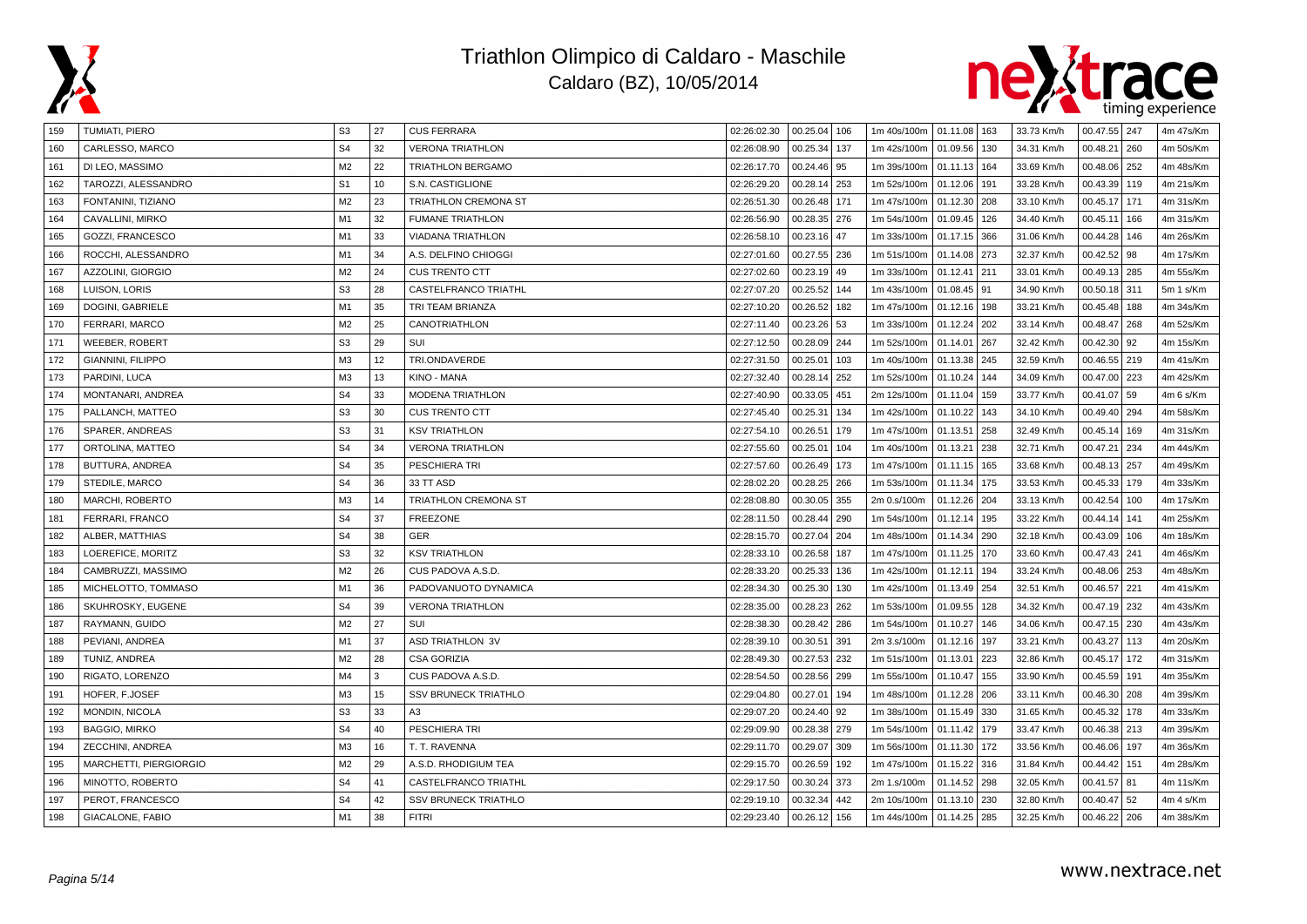



| 159 | <b>TUMIATI, PIERO</b>         | S <sub>3</sub> | 27 | <b>CUS FERRARA</b>          | 02:26:02.30 | $00.25.04$ 106  | 1m 40s/100m   01.11.08   163 |              |     | 33.73 Km/h | 00.47.55 247      | 4m 47s/Km |
|-----|-------------------------------|----------------|----|-----------------------------|-------------|-----------------|------------------------------|--------------|-----|------------|-------------------|-----------|
| 160 | CARLESSO, MARCO               | S <sub>4</sub> | 32 | <b>VERONA TRIATHLON</b>     | 02:26:08.90 | 00.25.34<br>137 | 1m 42s/100m                  | 01.09.56 130 |     | 34.31 Km/h | 00.48.21<br>260   | 4m 50s/Km |
| 161 | DI LEO, MASSIMO               | M <sub>2</sub> | 22 | <b>TRIATHLON BERGAMO</b>    | 02:26:17.70 | 00.24.46<br>95  | 1m 39s/100m                  | 01.11.13 164 |     | 33.69 Km/h | 00.48.06<br>252   | 4m 48s/Km |
| 162 | TAROZZI, ALESSANDRO           | S <sub>1</sub> | 10 | S.N. CASTIGLIONE            | 02:26:29.20 | 00.28.14<br>253 | 1m 52s/100m                  | 01.12.06     | 191 | 33.28 Km/h | 00.43.39<br>119   | 4m 21s/Km |
| 163 | FONTANINI, TIZIANO            | M <sub>2</sub> | 23 | <b>TRIATHLON CREMONA ST</b> | 02:26:51.30 | 00.26.48<br>171 | 1m 47s/100m                  | 01.12.30 208 |     | 33.10 Km/h | 00.45.17<br>171   | 4m 31s/Km |
| 164 | CAVALLINI, MIRKO              | M1             | 32 | <b>FUMANE TRIATHLON</b>     | 02:26:56.90 | 00.28.35<br>276 | 1m 54s/100m                  | 01.09.45 126 |     | 34.40 Km/h | 00.45.11<br>166   | 4m 31s/Km |
| 165 | GOZZI, FRANCESCO              | M <sub>1</sub> | 33 | <b>VIADANA TRIATHLON</b>    | 02:26:58.10 | 00.23.16<br>47  | 1m 33s/100m                  | 01.17.15 366 |     | 31.06 Km/h | 00.44.28<br>146   | 4m 26s/Km |
| 166 | ROCCHI, ALESSANDRO            | M <sub>1</sub> | 34 | A.S. DELFINO CHIOGGI        | 02:27:01.60 | 00.27.55<br>236 | 1m 51s/100m                  | 01.14.08 273 |     | 32.37 Km/h | 00.42.52<br>98    | 4m 17s/Km |
| 167 | AZZOLINI, GIORGIO             | M <sub>2</sub> | 24 | <b>CUS TRENTO CTT</b>       | 02:27:02.60 | 00.23.19<br>49  | 1m 33s/100m                  | 01.12.41 211 |     | 33.01 Km/h | 00.49.13<br>  285 | 4m 55s/Km |
| 168 | LUISON, LORIS                 | S <sub>3</sub> | 28 | CASTELFRANCO TRIATHL        | 02:27:07.20 | 00.25.52<br>144 | 1m 43s/100m                  | 01.08.45 91  |     | 34.90 Km/h | 00.50.18<br>311   | 5m 1 s/Km |
| 169 | DOGINI, GABRIELE              | M1             | 35 | TRI TEAM BRIANZA            | 02:27:10.20 | 00.26.52<br>182 | 1m 47s/100m                  | 01.12.16 198 |     | 33.21 Km/h | 00.45.48<br>188   | 4m 34s/Km |
| 170 | FERRARI, MARCO                | M <sub>2</sub> | 25 | CANOTRIATHLON               | 02:27:11.40 | 00.23.26<br>53  | 1m 33s/100m                  | 01.12.24 202 |     | 33.14 Km/h | 00.48.47<br>268   | 4m 52s/Km |
| 171 | <b>WEEBER, ROBERT</b>         | S <sub>3</sub> | 29 | SUI                         | 02:27:12.50 | 00.28.09<br>244 | 1m 52s/100m                  | 01.14.01     | 267 | 32.42 Km/h | 00.42.30<br>  92  | 4m 15s/Km |
| 172 | GIANNINI, FILIPPO             | M3             | 12 | TRI.ONDAVERDE               | 02:27:31.50 | 00.25.01<br>103 | 1m 40s/100m                  | 01.13.38 245 |     | 32.59 Km/h | 00.46.55<br>219   | 4m 41s/Km |
| 173 | PARDINI, LUCA                 | M <sub>3</sub> | 13 | KINO - MANA                 | 02:27:32.40 | 00.28.14<br>252 | 1m 52s/100m                  | 01.10.24 144 |     | 34.09 Km/h | 00.47.00<br>223   | 4m 42s/Km |
| 174 | MONTANARI, ANDREA             | S <sub>4</sub> | 33 | <b>MODENA TRIATHLON</b>     | 02:27:40.90 | 00.33.05<br>451 | 2m 12s/100m                  | 01.11.04     | 159 | 33.77 Km/h | 00.41.07<br>59    | 4m 6 s/Km |
| 175 | PALLANCH, MATTEO              | S <sub>3</sub> | 30 | <b>CUS TRENTO CTT</b>       | 02:27:45.40 | 00.25.31<br>134 | 1m 42s/100m                  | 01.10.22 143 |     | 34.10 Km/h | 00.49.40<br>  294 | 4m 58s/Km |
| 176 | SPARER, ANDREAS               | S <sub>3</sub> | 31 | <b>KSV TRIATHLON</b>        | 02:27:54.10 | 00.26.51<br>179 | 1m 47s/100m                  | 01.13.51     | 258 | 32.49 Km/h | 00.45.14<br>169   | 4m 31s/Km |
| 177 | ORTOLINA, MATTEO              | S <sub>4</sub> | 34 | <b>VERONA TRIATHLON</b>     | 02:27:55.60 | 00.25.01<br>104 | 1m 40s/100m                  | 01.13.21     | 238 | 32.71 Km/h | 00.47.21<br>234   | 4m 44s/Km |
| 178 | BUTTURA, ANDREA               | S <sub>4</sub> | 35 | PESCHIERA TRI               | 02:27:57.60 | 00.26.49<br>173 | 1m 47s/100m                  | 01.11.15     | 165 | 33.68 Km/h | 00.48.13<br>257   | 4m 49s/Km |
| 179 | STEDILE, MARCO                | S <sub>4</sub> | 36 | 33 TT ASD                   | 02:28:02.20 | 00.28.25<br>266 | 1m 53s/100m                  | 01.11.34 175 |     | 33.53 Km/h | 00.45.33<br>179   | 4m 33s/Km |
| 180 | MARCHI, ROBERTO               | M <sub>3</sub> | 14 | <b>TRIATHLON CREMONA ST</b> | 02:28:08.80 | 00.30.05<br>355 | 2m 0.s/100m                  | 01.12.26 204 |     | 33.13 Km/h | 00.42.54<br>100   | 4m 17s/Km |
| 181 | FERRARI, FRANCO               | S <sub>4</sub> | 37 | <b>FREEZONE</b>             | 02:28:11.50 | 00.28.44<br>290 | 1m 54s/100m                  | 01.12.14 195 |     | 33.22 Km/h | 00.44.14<br>141   | 4m 25s/Km |
| 182 | ALBER, MATTHIAS               | S <sub>4</sub> | 38 | <b>GER</b>                  | 02:28:15.70 | 00.27.04<br>204 | 1m 48s/100m                  | 01.14.34 290 |     | 32.18 Km/h | 00.43.09<br>106   | 4m 18s/Km |
| 183 | LOEREFICE, MORITZ             | S <sub>3</sub> | 32 | <b>KSV TRIATHLON</b>        | 02:28:33.10 | 00.26.58<br>187 | 1m 47s/100m                  | 01.11.25 170 |     | 33.60 Km/h | 00.47.43<br>  241 | 4m 46s/Km |
| 184 | CAMBRUZZI, MASSIMO            | M <sub>2</sub> | 26 | CUS PADOVA A.S.D.           | 02:28:33.20 | 00.25.33<br>136 | 1m 42s/100m                  | 01.12.11 194 |     | 33.24 Km/h | 00.48.06<br>253   | 4m 48s/Km |
| 185 | MICHELOTTO, TOMMASO           | M1             | 36 | PADOVANUOTO DYNAMICA        | 02:28:34.30 | 00.25.30<br>130 | 1m 42s/100m                  | 01.13.49 254 |     | 32.51 Km/h | 00.46.57<br>221   | 4m 41s/Km |
| 186 | SKUHROSKY, EUGENE             | S <sub>4</sub> | 39 | <b>VERONA TRIATHLON</b>     | 02:28:35.00 | 00.28.23<br>262 | 1m 53s/100m                  | 01.09.55     | 128 | 34.32 Km/h | 00.47.19<br>232   | 4m 43s/Km |
| 187 | RAYMANN, GUIDO                | M <sub>2</sub> | 27 | SUI                         | 02:28:38.30 | 00.28.42<br>286 | 1m 54s/100m                  | 01.10.27     | 146 | 34.06 Km/h | 00.47.15<br>230   | 4m 43s/Km |
| 188 | PEVIANI, ANDREA               | M <sub>1</sub> | 37 | <b>ASD TRIATHLON 3V</b>     | 02:28:39.10 | 00.30.51<br>391 | 2m 3.s/100m                  | 01.12.16 197 |     | 33.21 Km/h | 00.43.27<br>113   | 4m 20s/Km |
| 189 | TUNIZ, ANDREA                 | M2             | 28 | <b>CSA GORIZIA</b>          | 02:28:49.30 | 00.27.53<br>232 | 1m 51s/100m                  | 01.13.01 223 |     | 32.86 Km/h | 00.45.17<br>172   | 4m 31s/Km |
| 190 | RIGATO, LORENZO               | M <sub>4</sub> | 3  | CUS PADOVA A.S.D.           | 02:28:54.50 | 00.28.56<br>299 | 1m 55s/100m                  | 01.10.47 155 |     | 33.90 Km/h | 00.45.59<br>191   | 4m 35s/Km |
| 191 | HOFER, F.JOSEF                | M <sub>3</sub> | 15 | <b>SSV BRUNECK TRIATHLO</b> | 02:29:04.80 | 00.27.01<br>194 | 1m 48s/100m                  | 01.12.28 206 |     | 33.11 Km/h | 00.46.30<br>208   | 4m 39s/Km |
| 192 | MONDIN, NICOLA                | S <sub>3</sub> | 33 | A3                          | 02:29:07.20 | 00.24.40<br>92  | 1m 38s/100m                  | 01.15.49 330 |     | 31.65 Km/h | 00.45.32<br>178   | 4m 33s/Km |
| 193 | <b>BAGGIO, MIRKO</b>          | S <sub>4</sub> | 40 | PESCHIERA TRI               | 02:29:09.90 | 00.28.38<br>279 | 1m 54s/100m                  | 01.11.42 179 |     | 33.47 Km/h | 00.46.38<br>213   | 4m 39s/Km |
| 194 | ZECCHINI, ANDREA              | M <sub>3</sub> | 16 | T. T. RAVENNA               | 02:29:11.70 | 00.29.07<br>309 | 1m 56s/100m                  | 01.11.30 172 |     | 33.56 Km/h | 00.46.06<br>197   | 4m 36s/Km |
| 195 | <b>MARCHETTI, PIERGIORGIO</b> | M <sub>2</sub> | 29 | A.S.D. RHODIGIUM TEA        | 02:29:15.70 | 00.26.59<br>192 | 1m 47s/100m                  | 01.15.22 316 |     | 31.84 Km/h | 00.44.42<br>151   | 4m 28s/Km |
| 196 | MINOTTO, ROBERTO              | S <sub>4</sub> | 41 | CASTELFRANCO TRIATHL        | 02:29:17.50 | 00.30.24<br>373 | 2m 1.s/100m                  | 01.14.52 298 |     | 32.05 Km/h | 00.41.57<br>81    | 4m 11s/Km |
| 197 | PEROT, FRANCESCO              | S <sub>4</sub> | 42 | <b>SSV BRUNECK TRIATHLO</b> | 02:29:19.10 | 00.32.34<br>442 | 2m 10s/100m                  | 01.13.10 230 |     | 32.80 Km/h | 52<br>00.40.47    | 4m 4 s/Km |
| 198 | GIACALONE, FABIO              | M <sub>1</sub> | 38 | <b>FITRI</b>                | 02:29:23.40 | 00.26.12<br>156 | 1m 44s/100m                  | 01.14.25 285 |     | 32.25 Km/h | 206<br>00.46.22   | 4m 38s/Km |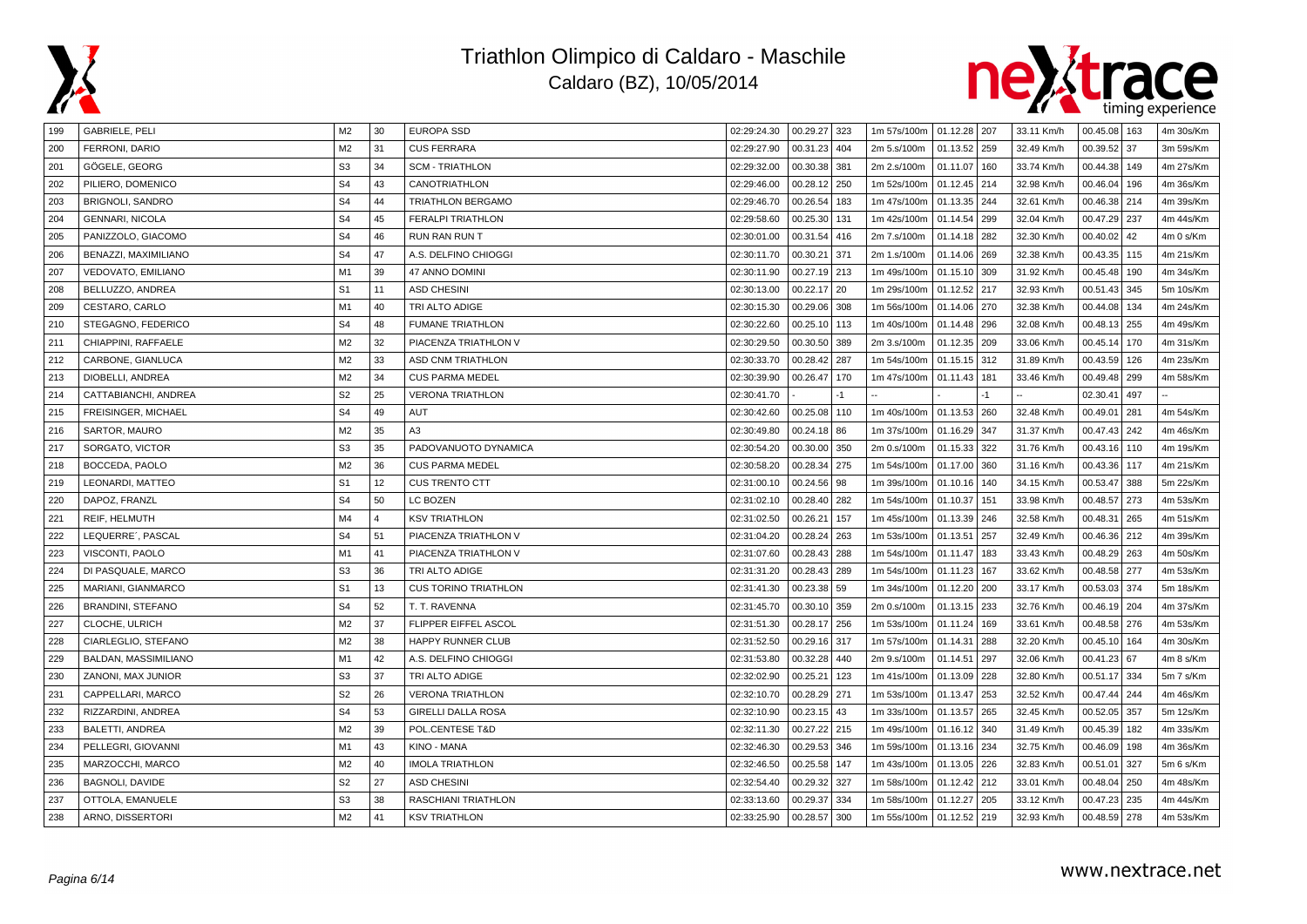



| 199 | GABRIELE, PELI           | M2             | 30                      | <b>EUROPA SSD</b>           | 02:29:24.30 | 00.29.27 323    | 1m 57s/100m   01.12.28   207 |              |     | 33.11 Km/h | 00.45.08<br>  163 | 4m 30s/Km |
|-----|--------------------------|----------------|-------------------------|-----------------------------|-------------|-----------------|------------------------------|--------------|-----|------------|-------------------|-----------|
| 200 | FERRONI, DARIO           | M <sub>2</sub> | 31                      | <b>CUS FERRARA</b>          | 02:29:27.90 | 00.31.23<br>404 | 2m 5.s/100m                  | 01.13.52 259 |     | 32.49 Km/h | 00.39.52<br>37    | 3m 59s/Km |
| 201 | GÖGELE, GEORG            | S <sub>3</sub> | 34                      | <b>SCM - TRIATHLON</b>      | 02:29:32.00 | 00.30.38<br>381 | 2m 2.s/100m                  | 01.11.07 160 |     | 33.74 Km/h | 00.44.38<br>149   | 4m 27s/Km |
| 202 | PILIERO, DOMENICO        | S <sub>4</sub> | 43                      | CANOTRIATHLON               | 02:29:46.00 | 00.28.12<br>250 | 1m 52s/100m                  | 01.12.45 214 |     | 32.98 Km/h | 00.46.04<br>196   | 4m 36s/Km |
| 203 | <b>BRIGNOLI, SANDRO</b>  | S <sub>4</sub> | 44                      | <b>TRIATHLON BERGAMO</b>    | 02:29:46.70 | 00.26.54<br>183 | 1m 47s/100m                  | 01.13.35 244 |     | 32.61 Km/h | 00.46.38 214      | 4m 39s/Km |
| 204 | <b>GENNARI, NICOLA</b>   | S <sub>4</sub> | 45                      | <b>FERALPI TRIATHLON</b>    | 02:29:58.60 | 00.25.30<br>131 | 1m 42s/100m                  | 01.14.54 299 |     | 32.04 Km/h | 00.47.29<br>237   | 4m 44s/Km |
| 205 | PANIZZOLO, GIACOMO       | S <sub>4</sub> | 46                      | <b>RUN RAN RUN T</b>        | 02:30:01.00 | 00.31.54<br>416 | 2m 7.s/100m                  | 01.14.18 282 |     | 32.30 Km/h | 00.40.02<br>42    | 4m 0 s/Km |
| 206 | BENAZZI, MAXIMILIANO     | S <sub>4</sub> | 47                      | A.S. DELFINO CHIOGGI        | 02:30:11.70 | 00.30.21<br>371 | 2m 1.s/100m                  | 01.14.06 269 |     | 32.38 Km/h | 00.43.35<br>115   | 4m 21s/Km |
| 207 | VEDOVATO, EMILIANO       | M1             | 39                      | 47 ANNO DOMINI              | 02:30:11.90 | 00.27.19 213    | 1m 49s/100m                  | 01.15.10 309 |     | 31.92 Km/h | 00.45.48<br>190   | 4m 34s/Km |
| 208 | BELLUZZO, ANDREA         | S <sub>1</sub> | 11                      | <b>ASD CHESINI</b>          | 02:30:13.00 | 00.22.17<br>20  | 1m 29s/100m                  | 01.12.52 217 |     | 32.93 Km/h | 00.51.43<br>345   | 5m 10s/Km |
| 209 | CESTARO, CARLO           | M1             | 40                      | TRI ALTO ADIGE              | 02:30:15.30 | 00.29.06<br>308 | 1m 56s/100m                  | 01.14.06 270 |     | 32.38 Km/h | 00.44.08<br>134   | 4m 24s/Km |
| 210 | STEGAGNO, FEDERICO       | S <sub>4</sub> | 48                      | <b>FUMANE TRIATHLON</b>     | 02:30:22.60 | 00.25.10<br>113 | 1m 40s/100m                  | 01.14.48 296 |     | 32.08 Km/h | 00.48.13<br>255   | 4m 49s/Km |
| 211 | CHIAPPINI, RAFFAELE      | M <sub>2</sub> | 32                      | PIACENZA TRIATHLON V        | 02:30:29.50 | 00.30.50<br>389 | 2m 3.s/100m                  | 01.12.35 209 |     | 33.06 Km/h | 00.45.14<br>170   | 4m 31s/Km |
| 212 | CARBONE, GIANLUCA        | M <sub>2</sub> | 33                      | <b>ASD CNM TRIATHLON</b>    | 02:30:33.70 | 00.28.42<br>287 | 1m 54s/100m                  | 01.15.15 312 |     | 31.89 Km/h | 00.43.59<br>126   | 4m 23s/Km |
| 213 | DIOBELLI, ANDREA         | M <sub>2</sub> | 34                      | <b>CUS PARMA MEDEL</b>      | 02:30:39.90 | 00.26.47<br>170 | 1m 47s/100m                  | 01.11.43 181 |     | 33.46 Km/h | 00.49.48<br>  299 | 4m 58s/Km |
| 214 | CATTABIANCHI, ANDREA     | S <sub>2</sub> | 25                      | <b>VERONA TRIATHLON</b>     | 02:30:41.70 | -1              |                              |              | -1  |            | 02.30.41<br>497   |           |
| 215 | FREISINGER, MICHAEL      | S <sub>4</sub> | 49                      | AUT                         | 02:30:42.60 | 00.25.08<br>110 | 1m 40s/100m                  | 01.13.53 260 |     | 32.48 Km/h | 00.49.01<br>281   | 4m 54s/Km |
| 216 | SARTOR, MAURO            | M <sub>2</sub> | 35                      | A <sub>3</sub>              | 02:30:49.80 | 00.24.18<br>86  | 1m 37s/100m                  | 01.16.29 347 |     | 31.37 Km/h | 00.47.43<br>  242 | 4m 46s/Km |
| 217 | SORGATO, VICTOR          | S <sub>3</sub> | 35                      | PADOVANUOTO DYNAMICA        | 02:30:54.20 | 00.30.00<br>350 | 2m 0.s/100m                  | 01.15.33 322 |     | 31.76 Km/h | 00.43.16<br>110   | 4m 19s/Km |
| 218 | BOCCEDA, PAOLO           | M <sub>2</sub> | 36                      | <b>CUS PARMA MEDEL</b>      | 02:30:58.20 | 00.28.34<br>275 | 1m 54s/100m                  | 01.17.00 360 |     | 31.16 Km/h | 00.43.36<br>117   | 4m 21s/Km |
| 219 | LEONARDI, MATTEO         | S <sub>1</sub> | 12                      | <b>CUS TRENTO CTT</b>       | 02:31:00.10 | 00.24.56<br>98  | 1m 39s/100m                  | 01.10.16     | 140 | 34.15 Km/h | 00.53.47<br>388   | 5m 22s/Km |
| 220 | DAPOZ, FRANZL            | S <sub>4</sub> | 50                      | LC BOZEN                    | 02:31:02.10 | 00.28.40<br>282 | 1m 54s/100m                  | 01.10.37 151 |     | 33.98 Km/h | 00.48.57<br>273   | 4m 53s/Km |
| 221 | REIF, HELMUTH            | M <sub>4</sub> | $\overline{\mathbf{A}}$ | <b>KSV TRIATHLON</b>        | 02:31:02.50 | 00.26.21<br>157 | 1m 45s/100m                  | 01.13.39 246 |     | 32.58 Km/h | 00.48.31<br>265   | 4m 51s/Km |
| 222 | LEQUERRE', PASCAL        | S <sub>4</sub> | 51                      | PIACENZA TRIATHLON V        | 02:31:04.20 | 00.28.24<br>263 | 1m 53s/100m                  | 01.13.51     | 257 | 32.49 Km/h | 00.46.36<br>212   | 4m 39s/Km |
| 223 | VISCONTI, PAOLO          | M1             | 41                      | PIACENZA TRIATHLON V        | 02:31:07.60 | 00.28.43<br>288 | 1m 54s/100m                  | 01.11.47 183 |     | 33.43 Km/h | 00.48.29<br>263   | 4m 50s/Km |
| 224 | DI PASQUALE, MARCO       | S <sub>3</sub> | 36                      | TRI ALTO ADIGE              | 02:31:31.20 | 00.28.43<br>289 | 1m 54s/100m                  | 01.11.23 167 |     | 33.62 Km/h | 00.48.58<br>277   | 4m 53s/Km |
| 225 | MARIANI, GIANMARCO       | S <sub>1</sub> | 13                      | <b>CUS TORINO TRIATHLON</b> | 02:31:41.30 | 00.23.38<br>59  | 1m 34s/100m                  | 01.12.20 200 |     | 33.17 Km/h | 00.53.03<br>374   | 5m 18s/Km |
| 226 | <b>BRANDINI, STEFANO</b> | S <sub>4</sub> | 52                      | T. T. RAVENNA               | 02:31:45.70 | 00.30.10<br>359 | 2m 0.s/100m                  | 01.13.15     | 233 | 32.76 Km/h | 00.46.19<br>204   | 4m 37s/Km |
| 227 | CLOCHE, ULRICH           | M <sub>2</sub> | 37                      | FLIPPER EIFFEL ASCOL        | 02:31:51.30 | 00.28.17<br>256 | 1m 53s/100m                  | 01.11.24     | 169 | 33.61 Km/h | 00.48.58<br>276   | 4m 53s/Km |
| 228 | CIARLEGLIO, STEFANO      | M <sub>2</sub> | 38                      | <b>HAPPY RUNNER CLUB</b>    | 02:31:52.50 | 00.29.16<br>317 | 1m 57s/100m                  | 01.14.31 288 |     | 32.20 Km/h | 00.45.10<br>164   | 4m 30s/Km |
| 229 | BALDAN, MASSIMILIANO     | M1             | 42                      | A.S. DELFINO CHIOGGI        | 02:31:53.80 | 00.32.28<br>440 | 2m 9.s/100m                  | 01.14.51 297 |     | 32.06 Km/h | 00.41.23<br>67    | 4m 8 s/Km |
| 230 | ZANONI, MAX JUNIOR       | S <sub>3</sub> | 37                      | TRI ALTO ADIGE              | 02:32:02.90 | 00.25.21<br>123 | 1m 41s/100m                  | 01.13.09 228 |     | 32.80 Km/h | 00.51.17<br>334   | 5m 7 s/Km |
| 231 | CAPPELLARI, MARCO        | S <sub>2</sub> | 26                      | <b>VERONA TRIATHLON</b>     | 02:32:10.70 | 00.28.29<br>271 | 1m 53s/100m                  | 01.13.47 253 |     | 32.52 Km/h | 00.47.44<br>244   | 4m 46s/Km |
| 232 | RIZZARDINI, ANDREA       | S <sub>4</sub> | 53                      | <b>GIRELLI DALLA ROSA</b>   | 02:32:10.90 | 00.23.15<br>43  | 1m 33s/100m                  | 01.13.57 265 |     | 32.45 Km/h | 00.52.05<br>357   | 5m 12s/Km |
| 233 | <b>BALETTI, ANDREA</b>   | M <sub>2</sub> | 39                      | POL.CENTESE T&D             | 02:32:11.30 | 00.27.22<br>215 | 1m 49s/100m                  | 01.16.12 340 |     | 31.49 Km/h | 00.45.39<br>182   | 4m 33s/Km |
| 234 | PELLEGRI, GIOVANNI       | M1             | 43                      | KINO - MANA                 | 02:32:46.30 | 00.29.53<br>346 | 1m 59s/100m                  | 01.13.16 234 |     | 32.75 Km/h | 00.46.09<br>198   | 4m 36s/Km |
| 235 | MARZOCCHI, MARCO         | M <sub>2</sub> | 40                      | <b>IMOLA TRIATHLON</b>      | 02:32:46.50 | 00.25.58<br>147 | 1m 43s/100m                  | 01.13.05 226 |     | 32.83 Km/h | 00.51.01<br>327   | 5m 6 s/Km |
| 236 | BAGNOLI, DAVIDE          | S <sub>2</sub> | 27                      | <b>ASD CHESINI</b>          | 02:32:54.40 | 00.29.32<br>327 | 1m 58s/100m                  | 01.12.42 212 |     | 33.01 Km/h | 00.48.04<br>250   | 4m 48s/Km |
| 237 | OTTOLA, EMANUELE         | S <sub>3</sub> | 38                      | RASCHIANI TRIATHLON         | 02:33:13.60 | 00.29.37<br>334 | 1m 58s/100m                  | 01.12.27 205 |     | 33.12 Km/h | 00.47.23<br>235   | 4m 44s/Km |
| 238 | ARNO, DISSERTORI         | M <sub>2</sub> | 41                      | <b>KSV TRIATHLON</b>        | 02:33:25.90 | 00.28.57<br>300 | 1m 55s/100m                  | 01.12.52 219 |     | 32.93 Km/h | 00.48.59<br>278   | 4m 53s/Km |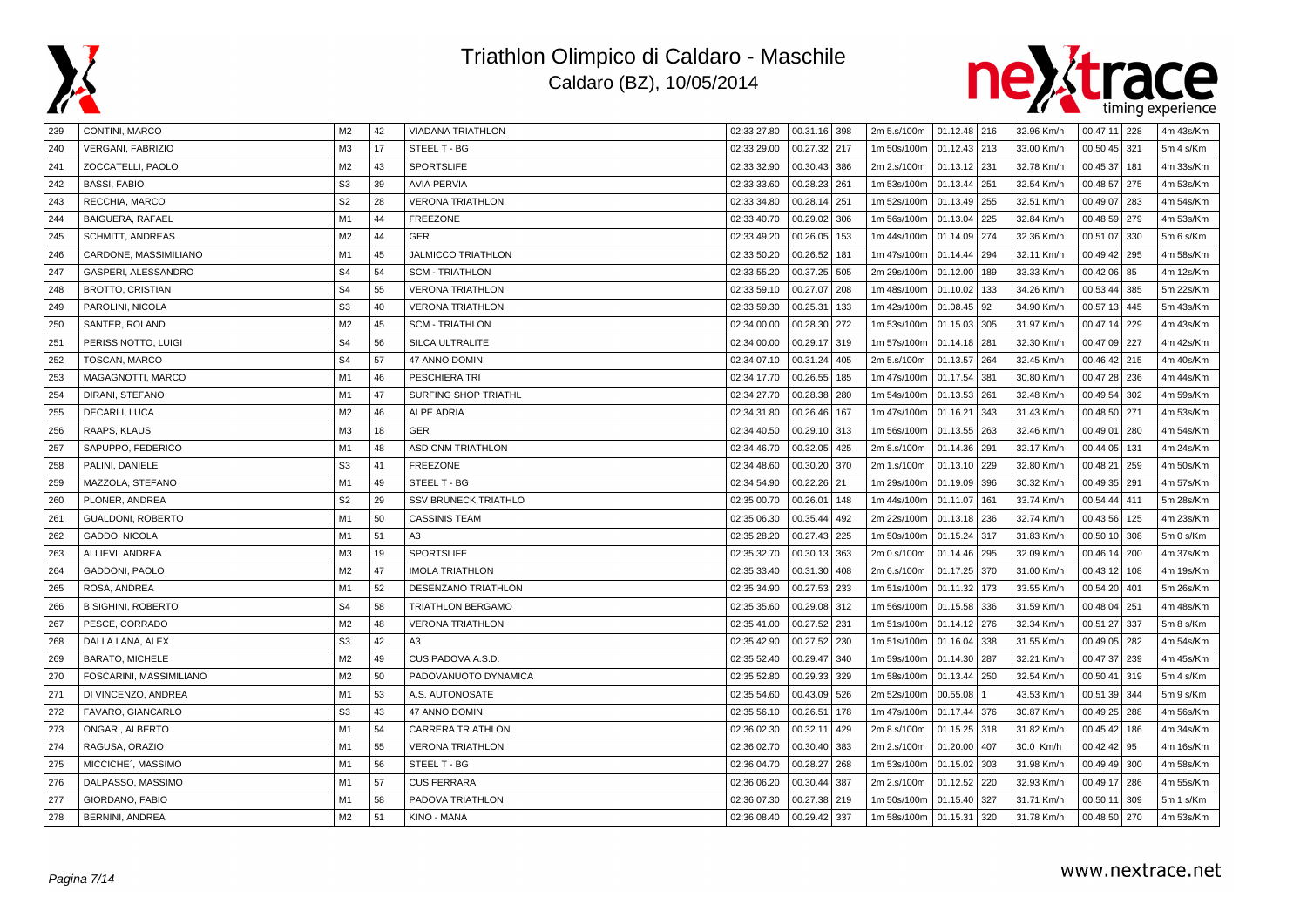



| 239 | CONTINI, MARCO            | M <sub>2</sub> | 42 | <b>VIADANA TRIATHLON</b>    | 02:33:27.80 | 00.31.16 398    | 2m 5.s/100m 01.12.48 216 |              |     | 32.96 Km/h | 00.47.11 228 |     | 4m 43s/Km |
|-----|---------------------------|----------------|----|-----------------------------|-------------|-----------------|--------------------------|--------------|-----|------------|--------------|-----|-----------|
| 240 | <b>VERGANI, FABRIZIO</b>  | M <sub>3</sub> | 17 | STEEL T - BG                | 02:33:29.00 | 00.27.32 217    | 1m 50s/100m              | 01.12.43 213 |     | 33.00 Km/h | 00.50.45     | 321 | 5m 4 s/Km |
| 241 | ZOCCATELLI, PAOLO         | M <sub>2</sub> | 43 | <b>SPORTSLIFE</b>           | 02:33:32.90 | 00.30.43<br>386 | 2m 2.s/100m              | 01.13.12 231 |     | 32.78 Km/h | 00.45.37     | 181 | 4m 33s/Km |
| 242 | <b>BASSI, FABIO</b>       | S <sub>3</sub> | 39 | <b>AVIA PERVIA</b>          | 02:33:33.60 | 00.28.23<br>261 | 1m 53s/100m              | 01.13.44     | 251 | 32.54 Km/h | 00.48.57     | 275 | 4m 53s/Km |
| 243 | RECCHIA, MARCO            | S <sub>2</sub> | 28 | <b>VERONA TRIATHLON</b>     | 02:33:34.80 | 00.28.14<br>251 | 1m 52s/100m              | 01.13.49     | 255 | 32.51 Km/h | 00.49.07     | 283 | 4m 54s/Km |
| 244 | BAIGUERA, RAFAEL          | M1             | 44 | <b>FREEZONE</b>             | 02:33:40.70 | 00.29.02<br>306 | 1m 56s/100m              | 01.13.04 225 |     | 32.84 Km/h | 00.48.59     | 279 | 4m 53s/Km |
| 245 | <b>SCHMITT, ANDREAS</b>   | M <sub>2</sub> | 44 | GER                         | 02:33:49.20 | 00.26.05<br>153 | 1m 44s/100m              | 01.14.09 274 |     | 32.36 Km/h | 00.51.07     | 330 | 5m 6 s/Km |
| 246 | CARDONE, MASSIMILIANO     | M1             | 45 | <b>JALMICCO TRIATHLON</b>   | 02:33:50.20 | 00.26.52<br>181 | 1m 47s/100m              | 01.14.44     | 294 | 32.11 Km/h | 00.49.42     | 295 | 4m 58s/Km |
| 247 | GASPERI, ALESSANDRO       | S <sub>4</sub> | 54 | <b>SCM - TRIATHLON</b>      | 02:33:55.20 | 00.37.25<br>505 | 2m 29s/100m              | 01.12.00     | 189 | 33.33 Km/h | 00.42.06     | 85  | 4m 12s/Km |
| 248 | <b>BROTTO, CRISTIAN</b>   | S <sub>4</sub> | 55 | <b>VERONA TRIATHLON</b>     | 02:33:59.10 | 00.27.07<br>208 | 1m 48s/100m              | 01.10.02     | 133 | 34.26 Km/h | 00.53.44     | 385 | 5m 22s/Km |
| 249 | PAROLINI, NICOLA          | S <sub>3</sub> | 40 | <b>VERONA TRIATHLON</b>     | 02:33:59.30 | 00.25.31<br>133 | 1m 42s/100m              | 01.08.45 92  |     | 34.90 Km/h | 00.57.13     | 445 | 5m 43s/Km |
| 250 | SANTER, ROLAND            | M <sub>2</sub> | 45 | <b>SCM - TRIATHLON</b>      | 02:34:00.00 | 00.28.30<br>272 | 1m 53s/100m              | 01.15.03     | 305 | 31.97 Km/h | 00.47.14     | 229 | 4m 43s/Km |
| 251 | PERISSINOTTO, LUIGI       | S <sub>4</sub> | 56 | SILCA ULTRALITE             | 02:34:00.00 | 00.29.17<br>319 | 1m 57s/100m              | 01.14.18 281 |     | 32.30 Km/h | 00.47.09     | 227 | 4m 42s/Km |
| 252 | TOSCAN, MARCO             | S <sub>4</sub> | 57 | 47 ANNO DOMINI              | 02:34:07.10 | 00.31.24<br>405 | 2m 5.s/100m              | 01.13.57 264 |     | 32.45 Km/h | 00.46.42 215 |     | 4m 40s/Km |
| 253 | MAGAGNOTTI, MARCO         | M <sub>1</sub> | 46 | PESCHIERA TRI               | 02:34:17.70 | 00.26.55<br>185 | 1m 47s/100m              | 01.17.54     | 381 | 30.80 Km/h | 00.47.28     | 236 | 4m 44s/Km |
| 254 | DIRANI, STEFANO           | M1             | 47 | SURFING SHOP TRIATHL        | 02:34:27.70 | 00.28.38<br>280 | 1m 54s/100m              | 01.13.53 261 |     | 32.48 Km/h | 00.49.54     | 302 | 4m 59s/Km |
| 255 | DECARLI, LUCA             | M <sub>2</sub> | 46 | <b>ALPE ADRIA</b>           | 02:34:31.80 | 00.26.46<br>167 | 1m 47s/100m              | 01.16.21 343 |     | 31.43 Km/h | 00.48.50     | 271 | 4m 53s/Km |
| 256 | RAAPS, KLAUS              | M <sub>3</sub> | 18 | <b>GER</b>                  | 02:34:40.50 | 00.29.10 313    | 1m 56s/100m              | 01.13.55 263 |     | 32.46 Km/h | 00.49.01     | 280 | 4m 54s/Km |
| 257 | SAPUPPO, FEDERICO         | M <sub>1</sub> | 48 | <b>ASD CNM TRIATHLON</b>    | 02:34:46.70 | 00.32.05<br>425 | 2m 8.s/100m              | 01.14.36 291 |     | 32.17 Km/h | 00.44.05     | 131 | 4m 24s/Km |
| 258 | PALINI, DANIELE           | S <sub>3</sub> | 41 | <b>FREEZONE</b>             | 02:34:48.60 | 00.30.20<br>370 | 2m 1.s/100m              | 01.13.10     | 229 | 32.80 Km/h | 00.48.21     | 259 | 4m 50s/Km |
| 259 | MAZZOLA, STEFANO          | M1             | 49 | STEEL T - BG                | 02:34:54.90 | 00.22.26<br>21  | 1m 29s/100m              | 01.19.09     | 396 | 30.32 Km/h | 00.49.35     | 291 | 4m 57s/Km |
| 260 | PLONER, ANDREA            | S <sub>2</sub> | 29 | <b>SSV BRUNECK TRIATHLO</b> | 02:35:00.70 | 00.26.01<br>148 | 1m 44s/100m              | 01.11.07     | 161 | 33.74 Km/h | 00.54.44     | 411 | 5m 28s/Km |
| 261 | GUALDONI, ROBERTO         | M1             | 50 | <b>CASSINIS TEAM</b>        | 02:35:06.30 | 00.35.44<br>492 | 2m 22s/100m              | 01.13.18 236 |     | 32.74 Km/h | 00.43.56     | 125 | 4m 23s/Km |
| 262 | GADDO, NICOLA             | M1             | 51 | A3                          | 02:35:28.20 | 00.27.43<br>225 | 1m 50s/100m              | 01.15.24     | 317 | 31.83 Km/h | 00.50.10     | 308 | 5m 0 s/Km |
| 263 | ALLIEVI, ANDREA           | M3             | 19 | <b>SPORTSLIFE</b>           | 02:35:32.70 | 00.30.13<br>363 | 2m 0.s/100m              | 01.14.46 295 |     | 32.09 Km/h | 00.46.14     | 200 | 4m 37s/Km |
| 264 | GADDONI, PAOLO            | M <sub>2</sub> | 47 | <b>IMOLA TRIATHLON</b>      | 02:35:33.40 | 00.31.30<br>408 | 2m 6.s/100m              | 01.17.25 370 |     | 31.00 Km/h | 00.43.12     | 108 | 4m 19s/Km |
| 265 | ROSA, ANDREA              | M <sub>1</sub> | 52 | DESENZANO TRIATHLON         | 02:35:34.90 | 00.27.53<br>233 | 1m 51s/100m              | 01.11.32 173 |     | 33.55 Km/h | 00.54.20     | 401 | 5m 26s/Km |
| 266 | <b>BISIGHINI, ROBERTO</b> | S <sub>4</sub> | 58 | <b>TRIATHLON BERGAMO</b>    | 02:35:35.60 | 00.29.08<br>312 | 1m 56s/100m              | 01.15.58     | 336 | 31.59 Km/h | 00.48.04     | 251 | 4m 48s/Km |
| 267 | PESCE, CORRADO            | M <sub>2</sub> | 48 | <b>VERONA TRIATHLON</b>     | 02:35:41.00 | 00.27.52<br>231 | 1m 51s/100m              | 01.14.12     | 276 | 32.34 Km/h | 00.51.27     | 337 | 5m 8 s/Km |
| 268 | DALLA LANA, ALEX          | S <sub>3</sub> | 42 | A3                          | 02:35:42.90 | 00.27.52<br>230 | 1m 51s/100m              | 01.16.04     | 338 | 31.55 Km/h | 00.49.05     | 282 | 4m 54s/Km |
| 269 | <b>BARATO, MICHELE</b>    | M <sub>2</sub> | 49 | CUS PADOVA A.S.D.           | 02:35:52.40 | 00.29.47<br>340 | 1m 59s/100m              | 01.14.30 287 |     | 32.21 Km/h | 00.47.37     | 239 | 4m 45s/Km |
| 270 | FOSCARINI, MASSIMILIANO   | M <sub>2</sub> | 50 | PADOVANUOTO DYNAMICA        | 02:35:52.80 | 00.29.33<br>329 | 1m 58s/100m              | 01.13.44     | 250 | 32.54 Km/h | 00.50.41     | 319 | 5m 4 s/Km |
| 271 | DI VINCENZO, ANDREA       | M1             | 53 | A.S. AUTONOSATE             | 02:35:54.60 | 00.43.09<br>526 | 2m 52s/100m              | 00.55.08     |     | 43.53 Km/h | 00.51.39     | 344 | 5m 9 s/Km |
| 272 | FAVARO, GIANCARLO         | S <sub>3</sub> | 43 | 47 ANNO DOMINI              | 02:35:56.10 | 00.26.51<br>178 | 1m 47s/100m              | 01.17.44 376 |     | 30.87 Km/h | 00.49.25     | 288 | 4m 56s/Km |
| 273 | ONGARI, ALBERTO           | M1             | 54 | <b>CARRERA TRIATHLON</b>    | 02:36:02.30 | 00.32.11<br>429 | 2m 8.s/100m              | 01.15.25 318 |     | 31.82 Km/h | 00.45.42     | 186 | 4m 34s/Km |
| 274 | RAGUSA, ORAZIO            | M1             | 55 | <b>VERONA TRIATHLON</b>     | 02:36:02.70 | 00.30.40<br>383 | 2m 2.s/100m              | 01.20.00     | 407 | 30.0 Km/h  | 00.42.42     | 95  | 4m 16s/Km |
| 275 | MICCICHE', MASSIMO        | M1             | 56 | STEEL T - BG                | 02:36:04.70 | 00.28.27<br>268 | 1m 53s/100m              | 01.15.02     | 303 | 31.98 Km/h | 00.49.49     | 300 | 4m 58s/Km |
| 276 | DALPASSO, MASSIMO         | M1             | 57 | <b>CUS FERRARA</b>          | 02:36:06.20 | 00.30.44<br>387 | 2m 2.s/100m              | 01.12.52     | 220 | 32.93 Km/h | 00.49.17     | 286 | 4m 55s/Km |
| 277 | GIORDANO, FABIO           | M1             | 58 | PADOVA TRIATHLON            | 02:36:07.30 | 00.27.38<br>219 | 1m 50s/100m              | 01.15.40     | 327 | 31.71 Km/h | 00.50.11     | 309 | 5m 1 s/Km |
| 278 | <b>BERNINI, ANDREA</b>    | M <sub>2</sub> | 51 | <b>KINO - MANA</b>          | 02:36:08.40 | 00.29.42<br>337 | 1m 58s/100m              | 01.15.31     | 320 | 31.78 Km/h | 00.48.50     | 270 | 4m 53s/Km |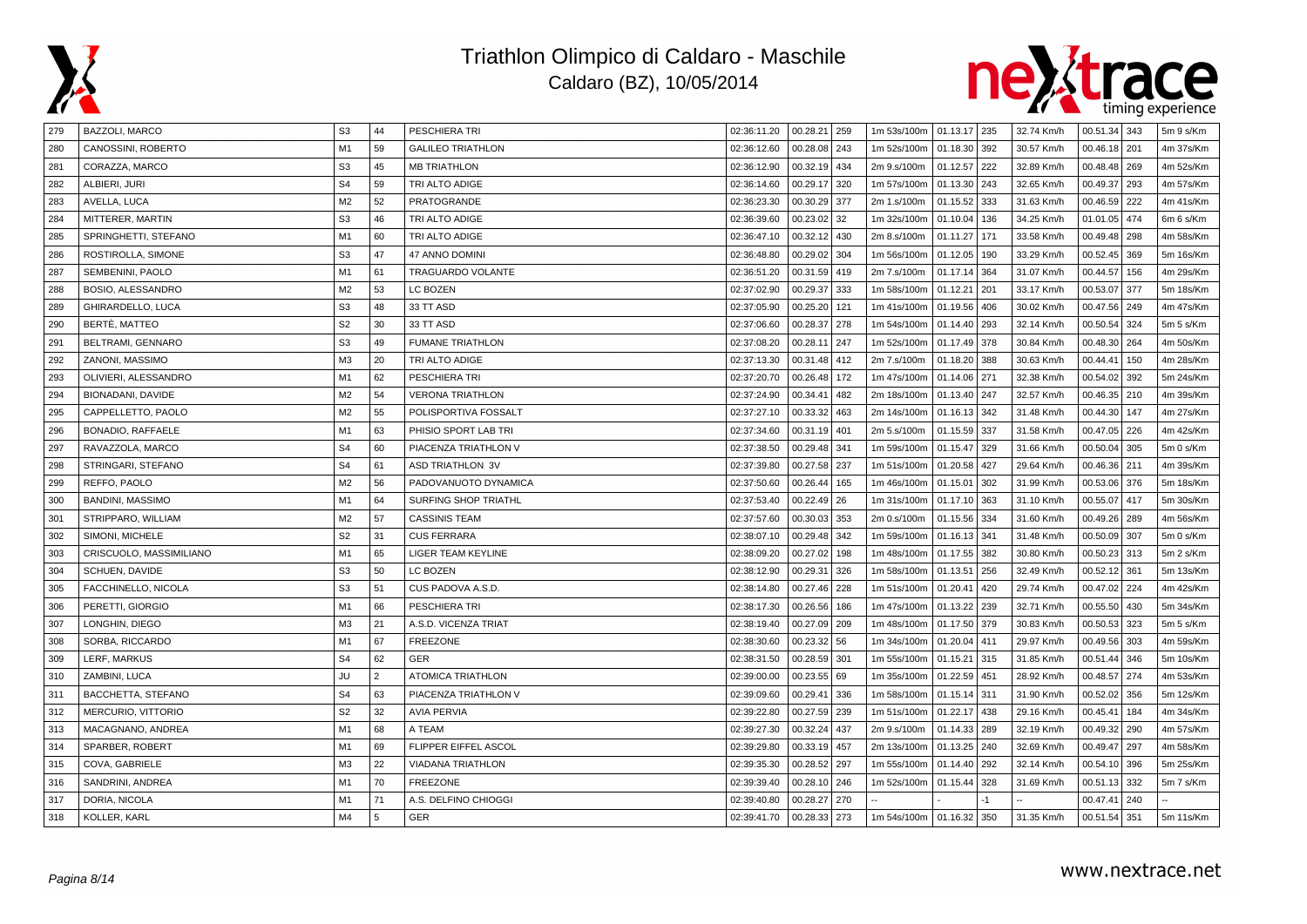



| 279 | BAZZOLI, MARCO          | S <sub>3</sub> | 44             | PESCHIERA TRI             | 02:36:11.20 | 00.28.21 259    | 1m 53s/100m   01.13.17   235 |              |      | 32.74 Km/h | $00.51.34$ 343    | 5m 9 s/Km |
|-----|-------------------------|----------------|----------------|---------------------------|-------------|-----------------|------------------------------|--------------|------|------------|-------------------|-----------|
| 280 | CANOSSINI, ROBERTO      | M1             | 59             | <b>GALILEO TRIATHLON</b>  | 02:36:12.60 | 00.28.08<br>243 | 1m 52s/100m                  | 01.18.30 392 |      | 30.57 Km/h | 00.46.18<br>  201 | 4m 37s/Km |
| 281 | CORAZZA, MARCO          | S <sub>3</sub> | 45             | <b>MB TRIATHLON</b>       | 02:36:12.90 | 00.32.19<br>434 | 2m 9.s/100m                  | 01.12.57     | 222  | 32.89 Km/h | 00.48.48<br>269   | 4m 52s/Km |
| 282 | ALBIERI, JURI           | S <sub>4</sub> | 59             | TRI ALTO ADIGE            | 02:36:14.60 | 00.29.17<br>320 | 1m 57s/100m                  | 01.13.30 243 |      | 32.65 Km/h | 00.49.37<br>293   | 4m 57s/Km |
| 283 | AVELLA, LUCA            | M <sub>2</sub> | 52             | PRATOGRANDE               | 02:36:23.30 | 00.30.29<br>377 | 2m 1.s/100m                  | 01.15.52 333 |      | 31.63 Km/h | 00.46.59<br>  222 | 4m 41s/Km |
| 284 | MITTERER, MARTIN        | S <sub>3</sub> | 46             | TRI ALTO ADIGE            | 02:36:39.60 | 00.23.02<br>32  | 1m 32s/100m                  | 01.10.04 136 |      | 34.25 Km/h | 01.01.05<br>474   | 6m 6 s/Km |
| 285 | SPRINGHETTI, STEFANO    | M1             | 60             | TRI ALTO ADIGE            | 02:36:47.10 | 00.32.12<br>430 | 2m 8.s/100m                  | 01.11.27 171 |      | 33.58 Km/h | 00.49.48<br>298   | 4m 58s/Km |
| 286 | ROSTIROLLA, SIMONE      | S <sub>3</sub> | 47             | 47 ANNO DOMINI            | 02:36:48.80 | 00.29.02<br>304 | 1m 56s/100m                  | 01.12.05     | 190  | 33.29 Km/h | 00.52.45<br>369   | 5m 16s/Km |
| 287 | SEMBENINI, PAOLO        | M1             | 61             | <b>TRAGUARDO VOLANTE</b>  | 02:36:51.20 | 00.31.59<br>419 | 2m 7.s/100m                  | 01.17.14 364 |      | 31.07 Km/h | 00.44.57<br>156   | 4m 29s/Km |
| 288 | BOSIO, ALESSANDRO       | M <sub>2</sub> | 53             | LC BOZEN                  | 02:37:02.90 | 00.29.37<br>333 | 1m 58s/100m                  | 01.12.21     | 201  | 33.17 Km/h | 00.53.07<br>377   | 5m 18s/Km |
| 289 | GHIRARDELLO, LUCA       | S <sub>3</sub> | 48             | 33 TT ASD                 | 02:37:05.90 | 00.25.20<br>121 | 1m 41s/100m                  | 01.19.56 406 |      | 30.02 Km/h | 00.47.56<br>249   | 4m 47s/Km |
| 290 | BERTÈ, MATTEO           | S <sub>2</sub> | 30             | 33 TT ASD                 | 02:37:06.60 | 00.28.37<br>278 | 1m 54s/100m                  | 01.14.40 293 |      | 32.14 Km/h | 00.50.54<br>324   | 5m 5 s/Km |
| 291 | BELTRAMI, GENNARO       | S <sub>3</sub> | 49             | <b>FUMANE TRIATHLON</b>   | 02:37:08.20 | 00.28.11<br>247 | 1m 52s/100m                  | 01.17.49 378 |      | 30.84 Km/h | 00.48.30<br>  264 | 4m 50s/Km |
| 292 | ZANONI, MASSIMO         | M <sub>3</sub> | 20             | TRI ALTO ADIGE            | 02:37:13.30 | 00.31.48<br>412 | 2m 7.s/100m                  | 01.18.20 388 |      | 30.63 Km/h | 00.44.41<br>150   | 4m 28s/Km |
| 293 | OLIVIERI, ALESSANDRO    | M1             | 62             | PESCHIERA TRI             | 02:37:20.70 | 00.26.48<br>172 | 1m 47s/100m                  | 01.14.06 271 |      | 32.38 Km/h | 00.54.02<br>392   | 5m 24s/Km |
| 294 | BIONADANI, DAVIDE       | M <sub>2</sub> | 54             | <b>VERONA TRIATHLON</b>   | 02:37:24.90 | 00.34.41<br>482 | 2m 18s/100m                  | 01.13.40 247 |      | 32.57 Km/h | 00.46.35<br>210   | 4m 39s/Km |
| 295 | CAPPELLETTO, PAOLO      | M <sub>2</sub> | 55             | POLISPORTIVA FOSSALT      | 02:37:27.10 | 00.33.32<br>463 | 2m 14s/100m                  | 01.16.13 342 |      | 31.48 Km/h | 00.44.30<br>147   | 4m 27s/Km |
| 296 | BONADIO, RAFFAELE       | M1             | 63             | PHISIO SPORT LAB TRI      | 02:37:34.60 | 00.31.19<br>401 | 2m 5.s/100m                  | 01.15.59 337 |      | 31.58 Km/h | 00.47.05<br>226   | 4m 42s/Km |
| 297 | RAVAZZOLA, MARCO        | S <sub>4</sub> | 60             | PIACENZA TRIATHLON V      | 02:37:38.50 | 00.29.48<br>341 | 1m 59s/100m                  | 01.15.47     | 329  | 31.66 Km/h | 00.50.04<br>305   | 5m 0 s/Km |
| 298 | STRINGARI, STEFANO      | S <sub>4</sub> | 61             | <b>ASD TRIATHLON 3V</b>   | 02:37:39.80 | 00.27.58<br>237 | 1m 51s/100m                  | 01.20.58     | 427  | 29.64 Km/h | 00.46.36<br>211   | 4m 39s/Km |
| 299 | REFFO, PAOLO            | M <sub>2</sub> | 56             | PADOVANUOTO DYNAMICA      | 02:37:50.60 | 00.26.44<br>165 | 1m 46s/100m                  | 01.15.01     | 302  | 31.99 Km/h | 00.53.06<br>376   | 5m 18s/Km |
| 300 | <b>BANDINI, MASSIMO</b> | M1             | 64             | SURFING SHOP TRIATHL      | 02:37:53.40 | 00.22.49<br>26  | 1m 31s/100m                  | 01.17.10 363 |      | 31.10 Km/h | 00.55.07<br>417   | 5m 30s/Km |
| 301 | STRIPPARO, WILLIAM      | M <sub>2</sub> | 57             | <b>CASSINIS TEAM</b>      | 02:37:57.60 | 00.30.03<br>353 | 2m 0.s/100m                  | 01.15.56 334 |      | 31.60 Km/h | 00.49.26<br>289   | 4m 56s/Km |
| 302 | SIMONI, MICHELE         | S <sub>2</sub> | 31             | <b>CUS FERRARA</b>        | 02:38:07.10 | 00.29.48<br>342 | 1m 59s/100m                  | 01.16.13 341 |      | 31.48 Km/h | 00.50.09<br>307   | 5m 0 s/Km |
| 303 | CRISCUOLO, MASSIMILIANO | M1             | 65             | <b>LIGER TEAM KEYLINE</b> | 02:38:09.20 | 00.27.02<br>198 | 1m 48s/100m                  | 01.17.55 382 |      | 30.80 Km/h | 00.50.23<br>313   | 5m 2 s/Km |
| 304 | SCHUEN, DAVIDE          | S <sub>3</sub> | 50             | LC BOZEN                  | 02:38:12.90 | 00.29.31<br>326 | 1m 58s/100m                  | 01.13.51     | 256  | 32.49 Km/h | 00.52.12<br>361   | 5m 13s/Km |
| 305 | FACCHINELLO, NICOLA     | S <sub>3</sub> | 51             | CUS PADOVA A.S.D.         | 02:38:14.80 | 00.27.46<br>228 | 1m 51s/100m                  | 01.20.41     | 420  | 29.74 Km/h | 00.47.02<br>224   | 4m 42s/Km |
| 306 | PERETTI, GIORGIO        | M1             | 66             | PESCHIERA TRI             | 02:38:17.30 | 00.26.56<br>186 | 1m 47s/100m                  | 01.13.22     | 239  | 32.71 Km/h | 00.55.50<br>430   | 5m 34s/Km |
| 307 | LONGHIN, DIEGO          | M <sub>3</sub> | 21             | A.S.D. VICENZA TRIAT      | 02:38:19.40 | 00.27.09<br>209 | 1m 48s/100m                  | 01.17.50 379 |      | 30.83 Km/h | 00.50.53<br>323   | 5m 5 s/Km |
| 308 | SORBA, RICCARDO         | M1             | 67             | <b>FREEZONE</b>           | 02:38:30.60 | 00.23.32<br>56  | 1m 34s/100m                  | 01.20.04 411 |      | 29.97 Km/h | 00.49.56<br>303   | 4m 59s/Km |
| 309 | LERF, MARKUS            | S <sub>4</sub> | 62             | <b>GER</b>                | 02:38:31.50 | 00.28.59<br>301 | 1m 55s/100m                  | 01.15.21 315 |      | 31.85 Km/h | 00.51.44<br>346   | 5m 10s/Km |
| 310 | ZAMBINI, LUCA           | <b>JU</b>      | $\overline{2}$ | <b>ATOMICA TRIATHLON</b>  | 02:39:00.00 | 00.23.55<br>69  | 1m 35s/100m                  | 01.22.59 451 |      | 28.92 Km/h | 00.48.57<br>274   | 4m 53s/Km |
| 311 | BACCHETTA, STEFANO      | S <sub>4</sub> | 63             | PIACENZA TRIATHLON V      | 02:39:09.60 | 00.29.41<br>336 | 1m 58s/100m                  | 01.15.14 311 |      | 31.90 Km/h | 00.52.02<br>356   | 5m 12s/Km |
| 312 | MERCURIO, VITTORIO      | S <sub>2</sub> | 32             | <b>AVIA PERVIA</b>        | 02:39:22.80 | 00.27.59<br>239 | 1m 51s/100m                  | 01.22.17 438 |      | 29.16 Km/h | 00.45.41<br>184   | 4m 34s/Km |
| 313 | MACAGNANO, ANDREA       | M1             | 68             | A TEAM                    | 02:39:27.30 | 00.32.24<br>437 | 2m 9.s/100m                  | 01.14.33 289 |      | 32.19 Km/h | 00.49.32<br>290   | 4m 57s/Km |
| 314 | SPARBER, ROBERT         | M1             | 69             | FLIPPER EIFFEL ASCOL      | 02:39:29.80 | 00.33.19<br>457 | 2m 13s/100m                  | 01.13.25 240 |      | 32.69 Km/h | 00.49.47<br>297   | 4m 58s/Km |
| 315 | COVA, GABRIELE          | M <sub>3</sub> | 22             | <b>VIADANA TRIATHLON</b>  | 02:39:35.30 | 00.28.52<br>297 | 1m 55s/100m                  | 01.14.40 292 |      | 32.14 Km/h | 00.54.10<br>396   | 5m 25s/Km |
| 316 | SANDRINI, ANDREA        | M1             | 70             | <b>FREEZONE</b>           | 02:39:39.40 | 00.28.10<br>246 | 1m 52s/100m                  | 01.15.44 328 |      | 31.69 Km/h | 00.51.13<br>332   | 5m 7 s/Km |
| 317 | DORIA, NICOLA           | M1             | 71             | A.S. DELFINO CHIOGGI      | 02:39:40.80 | 00.28.27<br>270 |                              |              | $-1$ |            | 240<br>00.47.41   |           |
| 318 | KOLLER, KARL            | M4             | 5              | <b>GER</b>                | 02:39:41.70 | 00.28.33<br>273 | 1m 54s/100m   01.16.32 350   |              |      | 31.35 Km/h | 00.51.54<br>351   | 5m 11s/Km |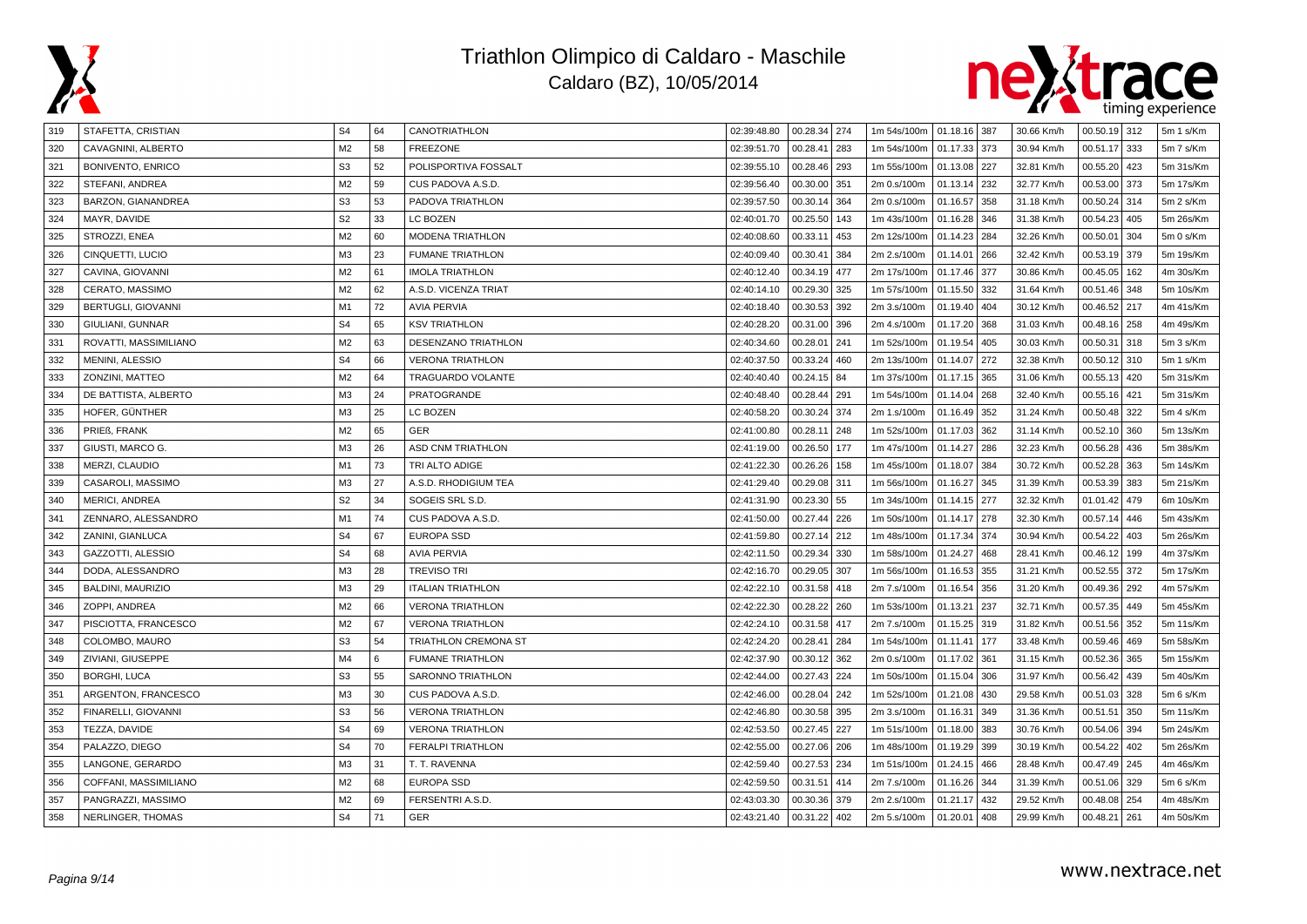



| 319 | STAFETTA, CRISTIAN       | S <sub>4</sub> | 64 | CANOTRIATHLON               | 02:39:48.80 | 00.28.34 274    | 1m 54s/100m   01.18.16   387 |              |     | 30.66 Km/h | $00.50.19$ 312    | 5m 1 s/Km |
|-----|--------------------------|----------------|----|-----------------------------|-------------|-----------------|------------------------------|--------------|-----|------------|-------------------|-----------|
| 320 | CAVAGNINI, ALBERTO       | M <sub>2</sub> | 58 | <b>FREEZONE</b>             | 02:39:51.70 | 00.28.41<br>283 | 1m 54s/100m                  | 01.17.33 373 |     | 30.94 Km/h | 00.51.17<br>333   | 5m 7 s/Km |
| 321 | <b>BONIVENTO, ENRICO</b> | S <sub>3</sub> | 52 | POLISPORTIVA FOSSALT        | 02:39:55.10 | 00.28.46<br>293 | 1m 55s/100m                  | 01.13.08 227 |     | 32.81 Km/h | 00.55.20<br>423   | 5m 31s/Km |
| 322 | STEFANI, ANDREA          | M <sub>2</sub> | 59 | CUS PADOVA A.S.D.           | 02:39:56.40 | 00.30.00<br>351 | 2m 0.s/100m                  | 01.13.14     | 232 | 32.77 Km/h | 00.53.00<br>373   | 5m 17s/Km |
| 323 | BARZON, GIANANDREA       | S <sub>3</sub> | 53 | PADOVA TRIATHLON            | 02:39:57.50 | 00.30.14<br>364 | 2m 0.s/100m                  | 01.16.57     | 358 | 31.18 Km/h | 00.50.24<br>314   | 5m 2 s/Km |
| 324 | MAYR, DAVIDE             | S <sub>2</sub> | 33 | LC BOZEN                    | 02:40:01.70 | 00.25.50<br>143 | 1m 43s/100m                  | 01.16.28 346 |     | 31.38 Km/h | 00.54.23<br>405   | 5m 26s/Km |
| 325 | STROZZI, ENEA            | M <sub>2</sub> | 60 | <b>MODENA TRIATHLON</b>     | 02:40:08.60 | 00.33.11<br>453 | 2m 12s/100m                  | 01.14.23     | 284 | 32.26 Km/h | 00.50.01<br>304   | 5m 0 s/Km |
| 326 | CINQUETTI, LUCIO         | M <sub>3</sub> | 23 | <b>FUMANE TRIATHLON</b>     | 02:40:09.40 | 00.30.41<br>384 | 2m 2.s/100m                  | 01.14.01     | 266 | 32.42 Km/h | 00.53.19<br>379   | 5m 19s/Km |
| 327 | CAVINA, GIOVANNI         | M <sub>2</sub> | 61 | <b>IMOLA TRIATHLON</b>      | 02:40:12.40 | 00.34.19<br>477 | 2m 17s/100m                  | 01.17.46     | 377 | 30.86 Km/h | 00.45.05<br>162   | 4m 30s/Km |
| 328 | CERATO, MASSIMO          | M <sub>2</sub> | 62 | A.S.D. VICENZA TRIAT        | 02:40:14.10 | 00.29.30<br>325 | 1m 57s/100m                  | 01.15.50 332 |     | 31.64 Km/h | 00.51.46<br>348   | 5m 10s/Km |
| 329 | BERTUGLI, GIOVANNI       | M <sub>1</sub> | 72 | <b>AVIA PERVIA</b>          | 02:40:18.40 | 00.30.53<br>392 | 2m 3.s/100m                  | 01.19.40 404 |     | 30.12 Km/h | 00.46.52<br>217   | 4m 41s/Km |
| 330 | GIULIANI, GUNNAR         | S <sub>4</sub> | 65 | <b>KSV TRIATHLON</b>        | 02:40:28.20 | 00.31.00<br>396 | 2m 4.s/100m                  | 01.17.20     | 368 | 31.03 Km/h | 00.48.16<br>258   | 4m 49s/Km |
| 331 | ROVATTI, MASSIMILIANO    | M <sub>2</sub> | 63 | DESENZANO TRIATHLON         | 02:40:34.60 | 00.28.01<br>241 | 1m 52s/100m                  | 01.19.54     | 405 | 30.03 Km/h | 00.50.31<br>318   | 5m 3 s/Km |
| 332 | MENINI, ALESSIO          | S <sub>4</sub> | 66 | <b>VERONA TRIATHLON</b>     | 02:40:37.50 | 00.33.24<br>460 | 2m 13s/100m                  | 01.14.07 272 |     | 32.38 Km/h | 00.50.12 310      | 5m 1 s/Km |
| 333 | ZONZINI, MATTEO          | M <sub>2</sub> | 64 | <b>TRAGUARDO VOLANTE</b>    | 02:40:40.40 | 00.24.15<br>84  | 1m 37s/100m                  | 01.17.15     | 365 | 31.06 Km/h | 00.55.13<br>420   | 5m 31s/Km |
| 334 | DE BATTISTA, ALBERTO     | M <sub>3</sub> | 24 | PRATOGRANDE                 | 02:40:48.40 | 00.28.44<br>291 | 1m 54s/100m                  | 01.14.04     | 268 | 32.40 Km/h | 00.55.16<br>421   | 5m 31s/Km |
| 335 | HOFER, GÜNTHER           | M3             | 25 | LC BOZEN                    | 02:40:58.20 | 00.30.24<br>374 | 2m 1.s/100m                  | 01.16.49 352 |     | 31.24 Km/h | 00.50.48<br>322   | 5m 4 s/Km |
| 336 | PRIEß, FRANK             | M <sub>2</sub> | 65 | <b>GER</b>                  | 02:41:00.80 | 00.28.11<br>248 | 1m 52s/100m                  | 01.17.03 362 |     | 31.14 Km/h | 00.52.10<br>360   | 5m 13s/Km |
| 337 | GIUSTI, MARCO G.         | M <sub>3</sub> | 26 | <b>ASD CNM TRIATHLON</b>    | 02:41:19.00 | 00.26.50<br>177 | 1m 47s/100m                  | 01.14.27 286 |     | 32.23 Km/h | 00.56.28<br>436   | 5m 38s/Km |
| 338 | MERZI, CLAUDIO           | M1             | 73 | TRI ALTO ADIGE              | 02:41:22.30 | 00.26.26<br>158 | 1m 45s/100m                  | 01.18.07     | 384 | 30.72 Km/h | 00.52.28<br>363   | 5m 14s/Km |
| 339 | CASAROLI, MASSIMO        | M3             | 27 | A.S.D. RHODIGIUM TEA        | 02:41:29.40 | 00.29.08<br>311 | 1m 56s/100m                  | 01.16.27     | 345 | 31.39 Km/h | 00.53.39<br>383   | 5m 21s/Km |
| 340 | <b>MERICI, ANDREA</b>    | S <sub>2</sub> | 34 | SOGEIS SRL S.D.             | 02:41:31.90 | 00.23.30<br>55  | 1m 34s/100m                  | 01.14.15     | 277 | 32.32 Km/h | 01.01.42<br>479   | 6m 10s/Km |
| 341 | ZENNARO, ALESSANDRO      | M1             | 74 | CUS PADOVA A.S.D.           | 02:41:50.00 | 00.27.44<br>226 | 1m 50s/100m                  | 01.14.17 278 |     | 32.30 Km/h | 00.57.14<br>446   | 5m 43s/Km |
| 342 | ZANINI, GIANLUCA         | S <sub>4</sub> | 67 | <b>EUROPA SSD</b>           | 02:41:59.80 | 00.27.14<br>212 | 1m 48s/100m                  | 01.17.34     | 374 | 30.94 Km/h | 00.54.22<br>403   | 5m 26s/Km |
| 343 | GAZZOTTI, ALESSIO        | S <sub>4</sub> | 68 | <b>AVIA PERVIA</b>          | 02:42:11.50 | 00.29.34<br>330 | 1m 58s/100m                  | 01.24.27     | 468 | 28.41 Km/h | 00.46.12<br>199   | 4m 37s/Km |
| 344 | DODA, ALESSANDRO         | M <sub>3</sub> | 28 | <b>TREVISO TRI</b>          | 02:42:16.70 | 00.29.05<br>307 | 1m 56s/100m                  | 01.16.53 355 |     | 31.21 Km/h | 00.52.55 372      | 5m 17s/Km |
| 345 | BALDINI, MAURIZIO        | M <sub>3</sub> | 29 | <b>ITALIAN TRIATHLON</b>    | 02:42:22.10 | 00.31.58<br>418 | 2m 7.s/100m                  | 01.16.54     | 356 | 31.20 Km/h | 00.49.36<br>  292 | 4m 57s/Km |
| 346 | ZOPPI, ANDREA            | M <sub>2</sub> | 66 | <b>VERONA TRIATHLON</b>     | 02:42:22.30 | 00.28.22<br>260 | 1m 53s/100m                  | 01.13.21     | 237 | 32.71 Km/h | 00.57.35<br>449   | 5m 45s/Km |
| 347 | PISCIOTTA, FRANCESCO     | M <sub>2</sub> | 67 | <b>VERONA TRIATHLON</b>     | 02:42:24.10 | 00.31.58<br>417 | 2m 7.s/100m                  | 01.15.25     | 319 | 31.82 Km/h | 00.51.56<br>352   | 5m 11s/Km |
| 348 | COLOMBO, MAURO           | S <sub>3</sub> | 54 | <b>TRIATHLON CREMONA ST</b> | 02:42:24.20 | 00.28.41<br>284 | 1m 54s/100m                  | 01.11.41     | 177 | 33.48 Km/h | 00.59.46<br>469   | 5m 58s/Km |
| 349 | ZIVIANI, GIUSEPPE        | M4             | 6  | <b>FUMANE TRIATHLON</b>     | 02:42:37.90 | 00.30.12<br>362 | 2m 0.s/100m                  | 01.17.02 361 |     | 31.15 Km/h | 00.52.36<br>365   | 5m 15s/Km |
| 350 | <b>BORGHI, LUCA</b>      | S <sub>3</sub> | 55 | SARONNO TRIATHLON           | 02:42:44.00 | 00.27.43<br>224 | 1m 50s/100m                  | 01.15.04     | 306 | 31.97 Km/h | 00.56.42<br>439   | 5m 40s/Km |
| 351 | ARGENTON, FRANCESCO      | M3             | 30 | CUS PADOVA A.S.D.           | 02:42:46.00 | 00.28.04<br>242 | 1m 52s/100m                  | 01.21.08 430 |     | 29.58 Km/h | 00.51.03<br>328   | 5m 6 s/Km |
| 352 | FINARELLI, GIOVANNI      | S <sub>3</sub> | 56 | <b>VERONA TRIATHLON</b>     | 02:42:46.80 | 00.30.58<br>395 | 2m 3.s/100m                  | 01.16.31 349 |     | 31.36 Km/h | 00.51.51<br>350   | 5m 11s/Km |
| 353 | TEZZA, DAVIDE            | S <sub>4</sub> | 69 | <b>VERONA TRIATHLON</b>     | 02:42:53.50 | 00.27.45<br>227 | 1m 51s/100m                  | 01.18.00     | 383 | 30.76 Km/h | 00.54.06<br>394   | 5m 24s/Km |
| 354 | PALAZZO, DIEGO           | S <sub>4</sub> | 70 | <b>FERALPI TRIATHLON</b>    | 02:42:55.00 | 00.27.06<br>206 | 1m 48s/100m                  | 01.19.29     | 399 | 30.19 Km/h | 00.54.22<br>402   | 5m 26s/Km |
| 355 | LANGONE, GERARDO         | M3             | 31 | T. T. RAVENNA               | 02:42:59.40 | 00.27.53<br>234 | 1m 51s/100m                  | 01.24.15     | 466 | 28.48 Km/h | 00.47.49<br>245   | 4m 46s/Km |
| 356 | COFFANI, MASSIMILIANO    | M <sub>2</sub> | 68 | <b>EUROPA SSD</b>           | 02:42:59.50 | 00.31.51<br>414 | 2m 7.s/100m                  | 01.16.26 344 |     | 31.39 Km/h | 00.51.06 329      | 5m 6 s/Km |
| 357 | PANGRAZZI, MASSIMO       | M <sub>2</sub> | 69 | FERSENTRI A.S.D.            | 02:43:03.30 | 00.30.36<br>379 | 2m 2.s/100m                  | 01.21.17     | 432 | 29.52 Km/h | 00.48.08<br>  254 | 4m 48s/Km |
| 358 | NERLINGER, THOMAS        | S <sub>4</sub> | 71 | <b>GER</b>                  | 02:43:21.40 | 00.31.22<br>402 | 2m 5.s/100m                  | 01.20.01     | 408 | 29.99 Km/h | 00.48.21<br>261   | 4m 50s/Km |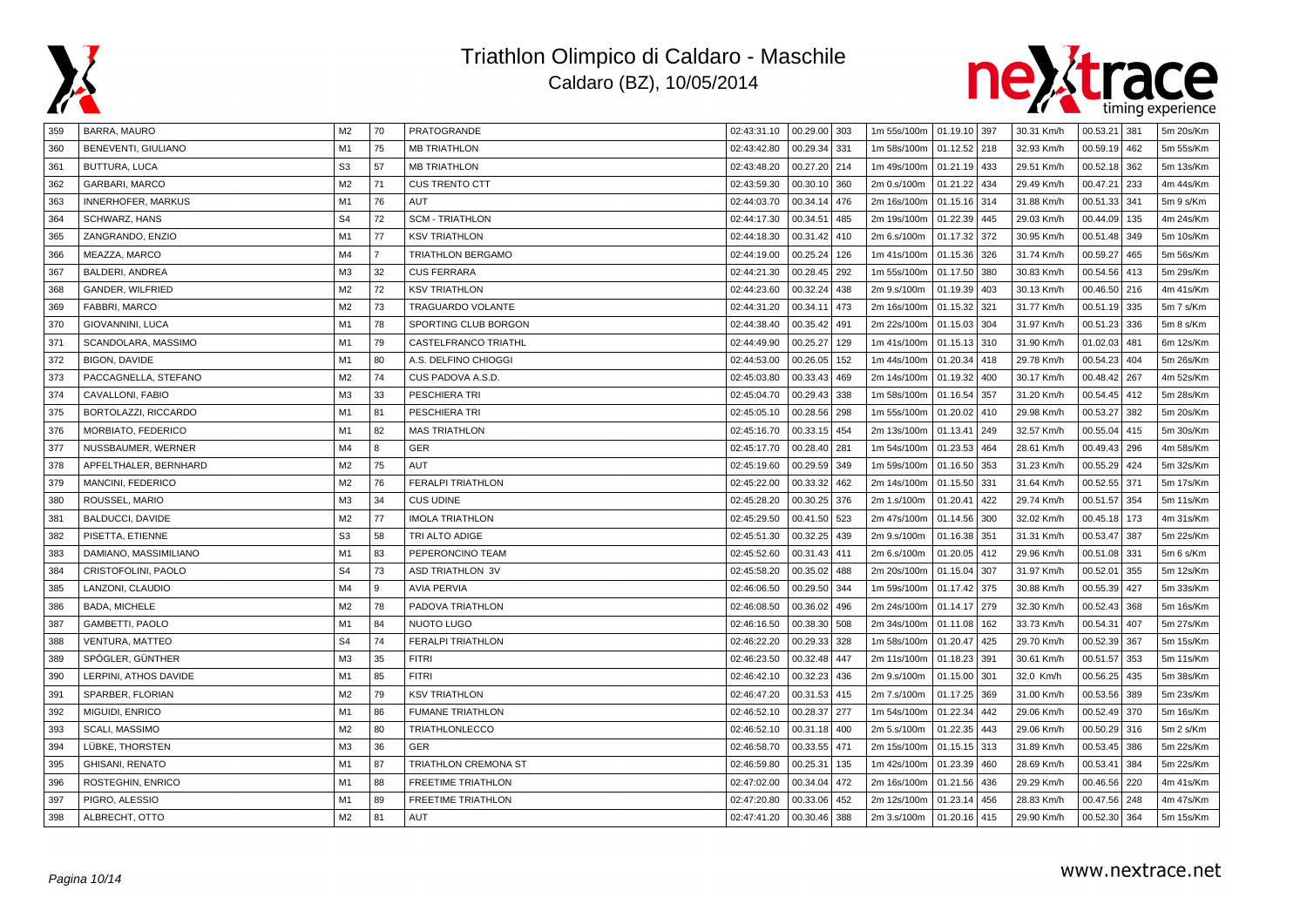



| 359 | BARRA, MAURO              | M2             | 70             | PRATOGRANDE               | 02:43:31.10 | $00.29.00$ 303  | 1m 55s/100m   01.19.10   397 |              |     | 30.31 Km/h | 00.53.21<br>381 | 5m 20s/Km |
|-----|---------------------------|----------------|----------------|---------------------------|-------------|-----------------|------------------------------|--------------|-----|------------|-----------------|-----------|
| 360 | BENEVENTI, GIULIANO       | M1             | 75             | <b>MB TRIATHLON</b>       | 02:43:42.80 | 00.29.34<br>331 | 1m 58s/100m                  | 01.12.52 218 |     | 32.93 Km/h | 00.59.19<br>462 | 5m 55s/Km |
| 361 | <b>BUTTURA, LUCA</b>      | S <sub>3</sub> | 57             | <b>MB TRIATHLON</b>       | 02:43:48.20 | 00.27.20<br>214 | 1m 49s/100m                  | 01.21.19 433 |     | 29.51 Km/h | 00.52.18<br>362 | 5m 13s/Km |
| 362 | GARBARI, MARCO            | M <sub>2</sub> | 71             | <b>CUS TRENTO CTT</b>     | 02:43:59.30 | 00.30.10<br>360 | 2m 0.s/100m                  | 01.21.22     | 434 | 29.49 Km/h | 00.47.21<br>233 | 4m 44s/Km |
| 363 | <b>INNERHOFER, MARKUS</b> | M1             | 76             | AUT                       | 02:44:03.70 | 00.34.14<br>476 | 2m 16s/100m                  | 01.15.16     | 314 | 31.88 Km/h | 00.51.33<br>341 | 5m 9 s/Km |
| 364 | SCHWARZ, HANS             | S <sub>4</sub> | 72             | <b>SCM - TRIATHLON</b>    | 02:44:17.30 | 00.34.51<br>485 | 2m 19s/100m                  | 01.22.39 445 |     | 29.03 Km/h | 00.44.09<br>135 | 4m 24s/Km |
| 365 | ZANGRANDO, ENZIO          | M1             | 77             | <b>KSV TRIATHLON</b>      | 02:44:18.30 | 00.31.42<br>410 | 2m 6.s/100m                  | 01.17.32     | 372 | 30.95 Km/h | 00.51.48<br>349 | 5m 10s/Km |
| 366 | MEAZZA, MARCO             | M4             | $\overline{7}$ | <b>TRIATHLON BERGAMO</b>  | 02:44:19.00 | 00.25.24<br>126 | 1m 41s/100m                  | 01.15.36     | 326 | 31.74 Km/h | 00.59.27<br>465 | 5m 56s/Km |
| 367 | BALDERI, ANDREA           | M3             | 32             | <b>CUS FERRARA</b>        | 02:44:21.30 | 00.28.45<br>292 | 1m 55s/100m                  | 01.17.50     | 380 | 30.83 Km/h | 00.54.56<br>413 | 5m 29s/Km |
| 368 | GANDER, WILFRIED          | M <sub>2</sub> | 72             | <b>KSV TRIATHLON</b>      | 02:44:23.60 | 00.32.24<br>438 | 2m 9.s/100m                  | 01.19.39 403 |     | 30.13 Km/h | 00.46.50<br>216 | 4m 41s/Km |
| 369 | FABBRI, MARCO             | M <sub>2</sub> | 73             | <b>TRAGUARDO VOLANTE</b>  | 02:44:31.20 | 00.34.11<br>473 | 2m 16s/100m                  | 01.15.32     | 321 | 31.77 Km/h | 00.51.19<br>335 | 5m 7 s/Km |
| 370 | GIOVANNINI, LUCA          | M1             | 78             | SPORTING CLUB BORGON      | 02:44:38.40 | 00.35.42<br>491 | 2m 22s/100m                  | 01.15.03     | 304 | 31.97 Km/h | 00.51.23<br>336 | 5m 8 s/Km |
| 371 | SCANDOLARA, MASSIMO       | M1             | 79             | CASTELFRANCO TRIATHL      | 02:44:49.90 | 00.25.27<br>129 | 1m 41s/100m                  | 01.15.13     | 310 | 31.90 Km/h | 01.02.03<br>481 | 6m 12s/Km |
| 372 | <b>BIGON, DAVIDE</b>      | M1             | 80             | A.S. DELFINO CHIOGGI      | 02:44:53.00 | 00.26.05<br>152 | 1m 44s/100m                  | 01.20.34 418 |     | 29.78 Km/h | 00.54.23<br>404 | 5m 26s/Km |
| 373 | PACCAGNELLA, STEFANO      | M <sub>2</sub> | 74             | CUS PADOVA A.S.D.         | 02:45:03.80 | 00.33.43<br>469 | 2m 14s/100m                  | 01.19.32     | 400 | 30.17 Km/h | 00.48.42<br>267 | 4m 52s/Km |
| 374 | CAVALLONI, FABIO          | M <sub>3</sub> | 33             | PESCHIERA TRI             | 02:45:04.70 | 00.29.43<br>338 | 1m 58s/100m                  | 01.16.54     | 357 | 31.20 Km/h | 00.54.45<br>412 | 5m 28s/Km |
| 375 | BORTOLAZZI, RICCARDO      | M <sub>1</sub> | 81             | PESCHIERA TRI             | 02:45:05.10 | 00.28.56<br>298 | 1m 55s/100m                  | 01.20.02     | 410 | 29.98 Km/h | 00.53.27<br>382 | 5m 20s/Km |
| 376 | MORBIATO, FEDERICO        | M1             | 82             | <b>MAS TRIATHLON</b>      | 02:45:16.70 | 00.33.15<br>454 | 2m 13s/100m                  | 01.13.41     | 249 | 32.57 Km/h | 00.55.04<br>415 | 5m 30s/Km |
| 377 | NUSSBAUMER, WERNER        | M4             | 8              | GER                       | 02:45:17.70 | 00.28.40<br>281 | 1m 54s/100m                  | 01.23.53     | 464 | 28.61 Km/h | 00.49.43<br>296 | 4m 58s/Km |
| 378 | APFELTHALER, BERNHARD     | M <sub>2</sub> | 75             | AUT                       | 02:45:19.60 | 00.29.59<br>349 | 1m 59s/100m                  | 01.16.50     | 353 | 31.23 Km/h | 00.55.29<br>424 | 5m 32s/Km |
| 379 | MANCINI, FEDERICO         | M <sub>2</sub> | 76             | <b>FERALPI TRIATHLON</b>  | 02:45:22.00 | 00.33.32<br>462 | 2m 14s/100m                  | 01.15.50     | 331 | 31.64 Km/h | 00.52.55<br>371 | 5m 17s/Km |
| 380 | ROUSSEL, MARIO            | M <sub>3</sub> | 34             | <b>CUS UDINE</b>          | 02:45:28.20 | 00.30.25<br>376 | 2m 1.s/100m                  | 01.20.41     | 422 | 29.74 Km/h | 00.51.57<br>354 | 5m 11s/Km |
| 381 | <b>BALDUCCI, DAVIDE</b>   | M <sub>2</sub> | 77             | <b>IMOLA TRIATHLON</b>    | 02:45:29.50 | 00.41.50<br>523 | 2m 47s/100m                  | 01.14.56     | 300 | 32.02 Km/h | 00.45.18<br>173 | 4m 31s/Km |
| 382 | PISETTA, ETIENNE          | S <sub>3</sub> | 58             | TRI ALTO ADIGE            | 02:45:51.30 | 00.32.25<br>439 | 2m 9.s/100m                  | 01.16.38     | 351 | 31.31 Km/h | 00.53.47<br>387 | 5m 22s/Km |
| 383 | DAMIANO, MASSIMILIANO     | M <sub>1</sub> | 83             | PEPERONCINO TEAM          | 02:45:52.60 | 00.31.43<br>411 | 2m 6.s/100m                  | 01.20.05 412 |     | 29.96 Km/h | 00.51.08<br>331 | 5m 6 s/Km |
| 384 | CRISTOFOLINI, PAOLO       | S <sub>4</sub> | 73             | <b>ASD TRIATHLON 3V</b>   | 02:45:58.20 | 00.35.02<br>488 | 2m 20s/100m                  | 01.15.04 307 |     | 31.97 Km/h | 00.52.01<br>355 | 5m 12s/Km |
| 385 | LANZONI, CLAUDIO          | M4             | $\mathbf{q}$   | <b>AVIA PERVIA</b>        | 02:46:06.50 | 00.29.50<br>344 | 1m 59s/100m                  | 01.17.42     | 375 | 30.88 Km/h | 00.55.39<br>427 | 5m 33s/Km |
| 386 | <b>BADA, MICHELE</b>      | M <sub>2</sub> | 78             | PADOVA TRIATHLON          | 02:46:08.50 | 00.36.02<br>496 | 2m 24s/100m                  | 01.14.17     | 279 | 32.30 Km/h | 00.52.43<br>368 | 5m 16s/Km |
| 387 | GAMBETTI, PAOLO           | M1             | 84             | <b>NUOTO LUGO</b>         | 02:46:16.50 | 00.38.30<br>508 | 2m 34s/100m                  | 01.11.08     | 162 | 33.73 Km/h | 00.54.31<br>407 | 5m 27s/Km |
| 388 | VENTURA, MATTEO           | S <sub>4</sub> | 74             | <b>FERALPI TRIATHLON</b>  | 02:46:22.20 | 00.29.33<br>328 | 1m 58s/100m                  | 01.20.47     | 425 | 29.70 Km/h | 00.52.39<br>367 | 5m 15s/Km |
| 389 | SPÖGLER, GÜNTHER          | M <sub>3</sub> | 35             | <b>FITRI</b>              | 02:46:23.50 | 00.32.48<br>447 | 2m 11s/100m                  | 01.18.23 391 |     | 30.61 Km/h | 00.51.57<br>353 | 5m 11s/Km |
| 390 | LERPINI, ATHOS DAVIDE     | M1             | 85             | <b>FITRI</b>              | 02:46:42.10 | 00.32.23<br>436 | 2m 9.s/100m                  | 01.15.00 301 |     | 32.0 Km/h  | 00.56.25<br>435 | 5m 38s/Km |
| 391 | SPARBER, FLORIAN          | M <sub>2</sub> | 79             | <b>KSV TRIATHLON</b>      | 02:46:47.20 | 00.31.53<br>415 | 2m 7.s/100m                  | 01.17.25 369 |     | 31.00 Km/h | 00.53.56<br>389 | 5m 23s/Km |
| 392 | MIGUIDI, ENRICO           | M1             | 86             | <b>FUMANE TRIATHLON</b>   | 02:46:52.10 | 00.28.37<br>277 | 1m 54s/100m                  | 01.22.34     | 442 | 29.06 Km/h | 00.52.49<br>370 | 5m 16s/Km |
| 393 | SCALI, MASSIMO            | M <sub>2</sub> | 80             | <b>TRIATHLONLECCO</b>     | 02:46:52.10 | 00.31.18<br>400 | 2m 5.s/100m                  | 01.22.35     | 443 | 29.06 Km/h | 00.50.29<br>316 | 5m 2 s/Km |
| 394 | LÜBKE, THORSTEN           | M <sub>3</sub> | 36             | GER                       | 02:46:58.70 | 00.33.55<br>471 | 2m 15s/100m                  | 01.15.15     | 313 | 31.89 Km/h | 00.53.45<br>386 | 5m 22s/Km |
| 395 | GHISANI, RENATO           | M1             | 87             | TRIATHLON CREMONA ST      | 02:46:59.80 | 00.25.31<br>135 | 1m 42s/100m                  | 01.23.39     | 460 | 28.69 Km/h | 00.53.41<br>384 | 5m 22s/Km |
| 396 | ROSTEGHIN, ENRICO         | M1             | 88             | <b>FREETIME TRIATHLON</b> | 02:47:02.00 | 00.34.04<br>472 | 2m 16s/100m                  | 01.21.56 436 |     | 29.29 Km/h | 00.46.56<br>220 | 4m 41s/Km |
| 397 | PIGRO, ALESSIO            | M1             | 89             | <b>FREETIME TRIATHLON</b> | 02:47:20.80 | 00.33.06<br>452 | 2m 12s/100m                  | 01.23.14     | 456 | 28.83 Km/h | 00.47.56<br>248 | 4m 47s/Km |
| 398 | ALBRECHT, OTTO            | M <sub>2</sub> | 81             | <b>AUT</b>                | 02:47:41.20 | 00.30.46<br>388 | 2m 3.s/100m                  | 01.20.16 415 |     | 29.90 Km/h | 00.52.30<br>364 | 5m 15s/Km |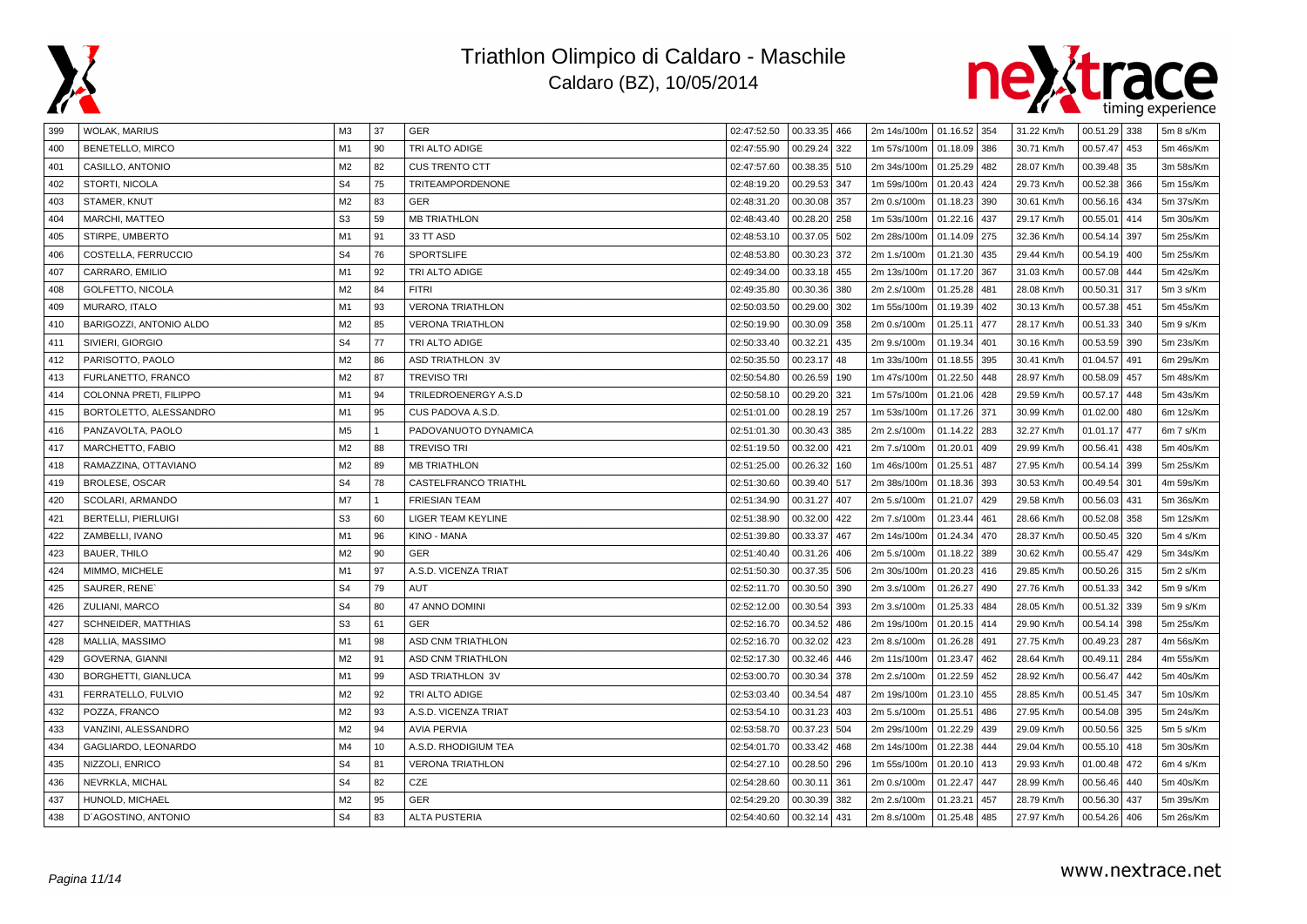



| 399 | <b>WOLAK, MARIUS</b>       | MЗ             | 37           | GER                      | 02:47:52.50 | 00.33.35 466    | 2m 14s/100m   01.16.52   354 |              |     | 31.22 Km/h | 00.51.29 338 |     | 5m 8 s/Km |
|-----|----------------------------|----------------|--------------|--------------------------|-------------|-----------------|------------------------------|--------------|-----|------------|--------------|-----|-----------|
| 400 | <b>BENETELLO, MIRCO</b>    | M1             | 90           | TRI ALTO ADIGE           | 02:47:55.90 | 00.29.24<br>322 | 1m 57s/100m                  | 01.18.09 386 |     | 30.71 Km/h | 00.57.47     | 453 | 5m 46s/Km |
| 401 | CASILLO, ANTONIO           | M <sub>2</sub> | 82           | <b>CUS TRENTO CTT</b>    | 02:47:57.60 | 00.38.35<br>510 | 2m 34s/100m                  | 01.25.29 482 |     | 28.07 Km/h | 00.39.48     | 35  | 3m 58s/Km |
| 402 | STORTI, NICOLA             | S <sub>4</sub> | 75           | <b>TRITEAMPORDENONE</b>  | 02:48:19.20 | 00.29.53<br>347 | 1m 59s/100m                  | 01.20.43 424 |     | 29.73 Km/h | 00.52.38     | 366 | 5m 15s/Km |
| 403 | STAMER, KNUT               | M <sub>2</sub> | 83           | GER                      | 02:48:31.20 | 00.30.08<br>357 | 2m 0.s/100m                  | 01.18.23 390 |     | 30.61 Km/h | 00.56.16     | 434 | 5m 37s/Km |
| 404 | MARCHI, MATTEO             | S <sub>3</sub> | 59           | <b>MB TRIATHLON</b>      | 02:48:43.40 | 00.28.20<br>258 | 1m 53s/100m                  | 01.22.16 437 |     | 29.17 Km/h | 00.55.01     | 414 | 5m 30s/Km |
| 405 | STIRPE, UMBERTO            | M1             | 91           | 33 TT ASD                | 02:48:53.10 | 00.37.05<br>502 | 2m 28s/100m                  | 01.14.09 275 |     | 32.36 Km/h | 00.54.14     | 397 | 5m 25s/Km |
| 406 | COSTELLA, FERRUCCIO        | S <sub>4</sub> | 76           | <b>SPORTSLIFE</b>        | 02:48:53.80 | 00.30.23<br>372 | 2m 1.s/100m                  | 01.21.30 435 |     | 29.44 Km/h | 00.54.19     | 400 | 5m 25s/Km |
| 407 | CARRARO, EMILIO            | M1             | 92           | TRI ALTO ADIGE           | 02:49:34.00 | 00.33.18<br>455 | 2m 13s/100m                  | 01.17.20 367 |     | 31.03 Km/h | 00.57.08     | 444 | 5m 42s/Km |
| 408 | GOLFETTO, NICOLA           | M <sub>2</sub> | 84           | <b>FITRI</b>             | 02:49:35.80 | 00.30.36<br>380 | 2m 2.s/100m                  | 01.25.28 481 |     | 28.08 Km/h | 00.50.31     | 317 | 5m 3 s/Km |
| 409 | MURARO, ITALO              | M1             | 93           | <b>VERONA TRIATHLON</b>  | 02:50:03.50 | 00.29.00<br>302 | 1m 55s/100m                  | 01.19.39 402 |     | 30.13 Km/h | 00.57.38     | 451 | 5m 45s/Km |
| 410 | BARIGOZZI, ANTONIO ALDO    | M <sub>2</sub> | 85           | <b>VERONA TRIATHLON</b>  | 02:50:19.90 | 00.30.09<br>358 | 2m 0.s/100m                  | 01.25.11     | 477 | 28.17 Km/h | 00.51.33     | 340 | 5m 9 s/Km |
| 411 | SIVIERI, GIORGIO           | S <sub>4</sub> | 77           | TRI ALTO ADIGE           | 02:50:33.40 | 00.32.21<br>435 | 2m 9.s/100m                  | 01.19.34 401 |     | 30.16 Km/h | 00.53.59     | 390 | 5m 23s/Km |
| 412 | PARISOTTO, PAOLO           | M <sub>2</sub> | 86           | <b>ASD TRIATHLON 3V</b>  | 02:50:35.50 | 00.23.17 48     | 1m 33s/100m                  | 01.18.55 395 |     | 30.41 Km/h | 01.04.57     | 491 | 6m 29s/Km |
| 413 | FURLANETTO, FRANCO         | M <sub>2</sub> | 87           | <b>TREVISO TRI</b>       | 02:50:54.80 | 00.26.59<br>190 | 1m 47s/100m                  | 01.22.50 448 |     | 28.97 Km/h | 00.58.09     | 457 | 5m 48s/Km |
| 414 | COLONNA PRETI, FILIPPO     | M1             | 94           | TRILEDROENERGY A.S.D     | 02:50:58.10 | 00.29.20<br>321 | 1m 57s/100m                  | 01.21.06 428 |     | 29.59 Km/h | 00.57.17     | 448 | 5m 43s/Km |
| 415 | BORTOLETTO, ALESSANDRO     | M1             | 95           | CUS PADOVA A.S.D.        | 02:51:01.00 | 00.28.19 257    | 1m 53s/100m                  | 01.17.26 371 |     | 30.99 Km/h | 01.02.00     | 480 | 6m 12s/Km |
| 416 | PANZAVOLTA, PAOLO          | M <sub>5</sub> | $\mathbf{1}$ | PADOVANUOTO DYNAMICA     | 02:51:01.30 | 00.30.43<br>385 | 2m 2.s/100m                  | 01.14.22 283 |     | 32.27 Km/h | 01.01.17     | 477 | 6m 7 s/Km |
| 417 | MARCHETTO, FABIO           | M <sub>2</sub> | 88           | <b>TREVISO TRI</b>       | 02:51:19.50 | 00.32.00<br>421 | 2m 7.s/100m                  | 01.20.01     | 409 | 29.99 Km/h | 00.56.41     | 438 | 5m 40s/Km |
| 418 | RAMAZZINA, OTTAVIANO       | M <sub>2</sub> | 89           | <b>MB TRIATHLON</b>      | 02:51:25.00 | 00.26.32<br>160 | 1m 46s/100m                  | 01.25.51     | 487 | 27.95 Km/h | 00.54.14     | 399 | 5m 25s/Km |
| 419 | <b>BROLESE, OSCAR</b>      | S <sub>4</sub> | 78           | CASTELFRANCO TRIATHL     | 02:51:30.60 | 00.39.40<br>517 | 2m 38s/100m                  | 01.18.36 393 |     | 30.53 Km/h | 00.49.54     | 301 | 4m 59s/Km |
| 420 | SCOLARI, ARMANDO           | M <sub>7</sub> | $\mathbf{1}$ | <b>FRIESIAN TEAM</b>     | 02:51:34.90 | 00.31.27<br>407 | 2m 5.s/100m                  | 01.21.07 429 |     | 29.58 Km/h | 00.56.03     | 431 | 5m 36s/Km |
| 421 | <b>BERTELLI, PIERLUIGI</b> | S <sub>3</sub> | 60           | LIGER TEAM KEYLINE       | 02:51:38.90 | 00.32.00<br>422 | 2m 7.s/100m                  | 01.23.44 461 |     | 28.66 Km/h | 00.52.08     | 358 | 5m 12s/Km |
| 422 | ZAMBELLI, IVANO            | M1             | 96           | KINO - MANA              | 02:51:39.80 | 00.33.37<br>467 | 2m 14s/100m                  | 01.24.34 470 |     | 28.37 Km/h | 00.50.45     | 320 | 5m 4 s/Km |
| 423 | BAUER, THILO               | M <sub>2</sub> | 90           | GER                      | 02:51:40.40 | 00.31.26<br>406 | 2m 5.s/100m                  | 01.18.22 389 |     | 30.62 Km/h | 00.55.47     | 429 | 5m 34s/Km |
| 424 | MIMMO, MICHELE             | M1             | 97           | A.S.D. VICENZA TRIAT     | 02:51:50.30 | 00.37.35 506    | 2m 30s/100m                  | 01.20.23 416 |     | 29.85 Km/h | 00.50.26     | 315 | 5m 2 s/Km |
| 425 | SAURER, RENE'              | S <sub>4</sub> | 79           | <b>AUT</b>               | 02:52:11.70 | 00.30.50<br>390 | 2m 3.s/100m                  | 01.26.27     | 490 | 27.76 Km/h | 00.51.33     | 342 | 5m 9 s/Km |
| 426 | ZULIANI, MARCO             | S <sub>4</sub> | 80           | 47 ANNO DOMINI           | 02:52:12.00 | 00.30.54<br>393 | 2m 3.s/100m                  | 01.25.33     | 484 | 28.05 Km/h | 00.51.32     | 339 | 5m 9 s/Km |
| 427 | SCHNEIDER, MATTHIAS        | S <sub>3</sub> | 61           | GER                      | 02:52:16.70 | 00.34.52<br>486 | 2m 19s/100m                  | 01.20.15 414 |     | 29.90 Km/h | 00.54.14     | 398 | 5m 25s/Km |
| 428 | MALLIA, MASSIMO            | M1             | 98           | ASD CNM TRIATHLON        | 02:52:16.70 | 00.32.02<br>423 | 2m 8.s/100m                  | 01.26.28 491 |     | 27.75 Km/h | 00.49.23     | 287 | 4m 56s/Km |
| 429 | GOVERNA, GIANNI            | M2             | 91           | <b>ASD CNM TRIATHLON</b> | 02:52:17.30 | 00.32.46<br>446 | 2m 11s/100m                  | 01.23.47 462 |     | 28.64 Km/h | 00.49.11     | 284 | 4m 55s/Km |
| 430 | BORGHETTI, GIANLUCA        | M1             | 99           | <b>ASD TRIATHLON 3V</b>  | 02:53:00.70 | 00.30.34<br>378 | 2m 2.s/100m                  | 01.22.59 452 |     | 28.92 Km/h | 00.56.47     | 442 | 5m 40s/Km |
| 431 | FERRATELLO, FULVIO         | M <sub>2</sub> | 92           | TRI ALTO ADIGE           | 02:53:03.40 | 00.34.54<br>487 | 2m 19s/100m                  | 01.23.10 455 |     | 28.85 Km/h | 00.51.45     | 347 | 5m 10s/Km |
| 432 | POZZA, FRANCO              | M <sub>2</sub> | 93           | A.S.D. VICENZA TRIAT     | 02:53:54.10 | 00.31.23<br>403 | 2m 5.s/100m                  | 01.25.51 486 |     | 27.95 Km/h | 00.54.08     | 395 | 5m 24s/Km |
| 433 | VANZINI, ALESSANDRO        | M <sub>2</sub> | 94           | <b>AVIA PERVIA</b>       | 02:53:58.70 | 00.37.23<br>504 | 2m 29s/100m                  | 01.22.29 439 |     | 29.09 Km/h | 00.50.56     | 325 | 5m 5 s/Km |
| 434 | GAGLIARDO, LEONARDO        | M <sub>4</sub> | 10           | A.S.D. RHODIGIUM TEA     | 02:54:01.70 | 00.33.42<br>468 | 2m 14s/100m                  | 01.22.38 444 |     | 29.04 Km/h | 00.55.10     | 418 | 5m 30s/Km |
| 435 | NIZZOLI, ENRICO            | S <sub>4</sub> | 81           | <b>VERONA TRIATHLON</b>  | 02:54:27.10 | 00.28.50<br>296 | 1m 55s/100m                  | 01.20.10 413 |     | 29.93 Km/h | 01.00.48     | 472 | 6m 4 s/Km |
| 436 | NEVRKLA, MICHAL            | S <sub>4</sub> | 82           | CZE                      | 02:54:28.60 | 00.30.11<br>361 | 2m 0.s/100m                  | 01.22.47 447 |     | 28.99 Km/h | 00.56.46     | 440 | 5m 40s/Km |
| 437 | HUNOLD, MICHAEL            | M <sub>2</sub> | 95           | GER                      | 02:54:29.20 | 00.30.39<br>382 | 2m 2.s/100m                  | 01.23.21     | 457 | 28.79 Km/h | 00.56.30     | 437 | 5m 39s/Km |
| 438 | D'AGOSTINO, ANTONIO        | S <sub>4</sub> | 83           | <b>ALTA PUSTERIA</b>     | 02:54:40.60 | 00.32.14<br>431 | 2m 8.s/100m                  | 01.25.48 485 |     | 27.97 Km/h | 00.54.26     | 406 | 5m 26s/Km |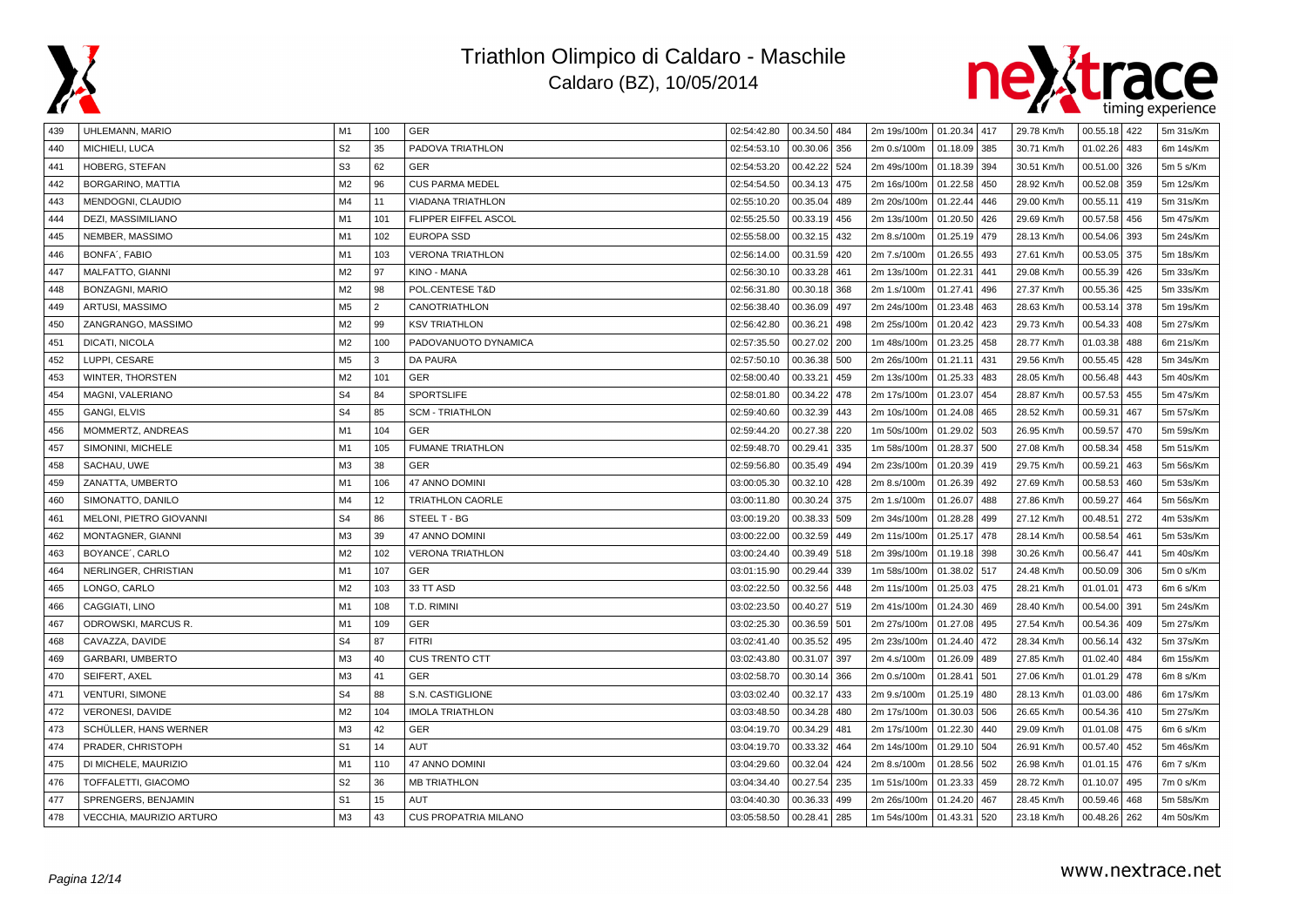



| 439 | UHLEMANN, MARIO              | M1             | 100            | GER                         | 02:54:42.80 | 00.34.50 484    | 2m 19s/100m   01.20.34   417 |              |     | 29.78 Km/h | $00.55.18$ 422    | 5m 31s/Km |
|-----|------------------------------|----------------|----------------|-----------------------------|-------------|-----------------|------------------------------|--------------|-----|------------|-------------------|-----------|
| 440 | MICHIELI, LUCA               | S <sub>2</sub> | 35             | PADOVA TRIATHLON            | 02:54:53.10 | 00.30.06<br>356 | 2m 0.s/100m                  | 01.18.09 385 |     | 30.71 Km/h | 01.02.26<br>483   | 6m 14s/Km |
| 441 | HOBERG, STEFAN               | S <sub>3</sub> | 62             | <b>GER</b>                  | 02:54:53.20 | 00.42.22<br>524 | 2m 49s/100m                  | 01.18.39 394 |     | 30.51 Km/h | 00.51.00<br>326   | 5m 5 s/Km |
| 442 | BORGARINO, MATTIA            | M2             | 96             | <b>CUS PARMA MEDEL</b>      | 02:54:54.50 | 00.34.13<br>475 | 2m 16s/100m                  | 01.22.58     | 450 | 28.92 Km/h | 00.52.08<br>359   | 5m 12s/Km |
| 443 | MENDOGNI, CLAUDIO            | M <sub>4</sub> | 11             | <b>VIADANA TRIATHLON</b>    | 02:55:10.20 | 00.35.04<br>489 | 2m 20s/100m                  | 01.22.44 446 |     | 29.00 Km/h | 00.55.11<br>419   | 5m 31s/Km |
| 444 | DEZI, MASSIMILIANO           | M1             | 101            | FLIPPER EIFFEL ASCOL        | 02:55:25.50 | 00.33.19<br>456 | 2m 13s/100m                  | 01.20.50 426 |     | 29.69 Km/h | 00.57.58<br>456   | 5m 47s/Km |
| 445 | NEMBER, MASSIMO              | M1             | 102            | <b>EUROPA SSD</b>           | 02:55:58.00 | 00.32.15<br>432 | 2m 8.s/100m                  | 01.25.19 479 |     | 28.13 Km/h | 00.54.06<br>393   | 5m 24s/Km |
| 446 | BONFA', FABIO                | M1             | 103            | <b>VERONA TRIATHLON</b>     | 02:56:14.00 | 00.31.59<br>420 | 2m 7.s/100m                  | 01.26.55 493 |     | 27.61 Km/h | 00.53.05<br>375   | 5m 18s/Km |
| 447 | MALFATTO, GIANNI             | M <sub>2</sub> | 97             | KINO - MANA                 | 02:56:30.10 | 00.33.28<br>461 | 2m 13s/100m                  | 01.22.31 441 |     | 29.08 Km/h | 00.55.39<br>426   | 5m 33s/Km |
| 448 | BONZAGNI, MARIO              | M <sub>2</sub> | 98             | POL.CENTESE T&D             | 02:56:31.80 | 00.30.18<br>368 | 2m 1.s/100m                  | 01.27.41     | 496 | 27.37 Km/h | 00.55.36<br>425   | 5m 33s/Km |
| 449 | ARTUSI, MASSIMO              | M <sub>5</sub> | $\mathfrak{p}$ | CANOTRIATHLON               | 02:56:38.40 | 00.36.09<br>497 | 2m 24s/100m                  | 01.23.48 463 |     | 28.63 Km/h | 00.53.14<br>378   | 5m 19s/Km |
| 450 | ZANGRANGO, MASSIMO           | M <sub>2</sub> | 99             | <b>KSV TRIATHLON</b>        | 02:56:42.80 | 00.36.21<br>498 | 2m 25s/100m                  | 01.20.42     | 423 | 29.73 Km/h | 00.54.33<br>408   | 5m 27s/Km |
| 451 | DICATI, NICOLA               | M <sub>2</sub> | 100            | PADOVANUOTO DYNAMICA        | 02:57:35.50 | 00.27.02<br>200 | 1m 48s/100m                  | 01.23.25     | 458 | 28.77 Km/h | 01.03.38<br>488   | 6m 21s/Km |
| 452 | LUPPI, CESARE                | M <sub>5</sub> | 3              | DA PAURA                    | 02:57:50.10 | 00.36.38<br>500 | 2m 26s/100m                  | 01.21.11 431 |     | 29.56 Km/h | 00.55.45<br>428   | 5m 34s/Km |
| 453 | <b>WINTER, THORSTEN</b>      | M <sub>2</sub> | 101            | GER                         | 02:58:00.40 | 00.33.21<br>459 | 2m 13s/100m                  | 01.25.33 483 |     | 28.05 Km/h | 00.56.48<br>443   | 5m 40s/Km |
| 454 | MAGNI, VALERIANO             | S <sub>4</sub> | 84             | <b>SPORTSLIFE</b>           | 02:58:01.80 | 00.34.22<br>478 | 2m 17s/100m                  | 01.23.07     | 454 | 28.87 Km/h | 00.57.53<br>455   | 5m 47s/Km |
| 455 | <b>GANGI, ELVIS</b>          | S <sub>4</sub> | 85             | <b>SCM - TRIATHLON</b>      | 02:59:40.60 | 00.32.39<br>443 | 2m 10s/100m                  | 01.24.08 465 |     | 28.52 Km/h | 00.59.31<br>467   | 5m 57s/Km |
| 456 | MOMMERTZ, ANDREAS            | M1             | 104            | GER                         | 02:59:44.20 | 00.27.38<br>220 | 1m 50s/100m                  | 01.29.02 503 |     | 26.95 Km/h | 00.59.57<br>470   | 5m 59s/Km |
| 457 | SIMONINI, MICHELE            | M <sub>1</sub> | 105            | <b>FUMANE TRIATHLON</b>     | 02:59:48.70 | 00.29.41<br>335 | 1m 58s/100m                  | 01.28.37     | 500 | 27.08 Km/h | 00.58.34<br>458   | 5m 51s/Km |
| 458 | SACHAU, UWE                  | M3             | 38             | GER                         | 02:59:56.80 | 00.35.49<br>494 | 2m 23s/100m                  | 01.20.39 419 |     | 29.75 Km/h | 00.59.21<br>463   | 5m 56s/Km |
| 459 | ZANATTA, UMBERTO             | M1             | 106            | 47 ANNO DOMINI              | 03:00:05.30 | 00.32.10<br>428 | 2m 8.s/100m                  | 01.26.39 492 |     | 27.69 Km/h | 00.58.53<br>460   | 5m 53s/Km |
| 460 | SIMONATTO, DANILO            | M <sub>4</sub> | 12             | TRIATHLON CAORLE            | 03:00:11.80 | 00.30.24<br>375 | 2m 1.s/100m                  | 01.26.07     | 488 | 27.86 Km/h | 00.59.27<br>464   | 5m 56s/Km |
| 461 | MELONI, PIETRO GIOVANNI      | S <sub>4</sub> | 86             | STEEL T - BG                | 03:00:19.20 | 00.38.33<br>509 | 2m 34s/100m                  | 01.28.28 499 |     | 27.12 Km/h | 00.48.51<br>272   | 4m 53s/Km |
| 462 | MONTAGNER, GIANNI            | M <sub>3</sub> | 39             | 47 ANNO DOMINI              | 03:00:22.00 | 00.32.59<br>449 | 2m 11s/100m                  | 01.25.17     | 478 | 28.14 Km/h | 00.58.54<br>461   | 5m 53s/Km |
| 463 | BOYANCE <sup>'</sup> , CARLO | M <sub>2</sub> | 102            | <b>VERONA TRIATHLON</b>     | 03:00:24.40 | 00.39.49<br>518 | 2m 39s/100m                  | 01.19.18 398 |     | 30.26 Km/h | 00.56.47<br>441   | 5m 40s/Km |
| 464 | NERLINGER, CHRISTIAN         | M <sub>1</sub> | 107            | GER                         | 03:01:15.90 | 00.29.44<br>339 | 1m 58s/100m                  | 01.38.02 517 |     | 24.48 Km/h | 00.50.09<br>306   | 5m 0 s/Km |
| 465 | LONGO, CARLO                 | M <sub>2</sub> | 103            | 33 TT ASD                   | 03:02:22.50 | 00.32.56<br>448 | 2m 11s/100m                  | 01.25.03 475 |     | 28.21 Km/h | 01.01.01<br>473   | 6m 6 s/Km |
| 466 | CAGGIATI, LINO               | M1             | 108            | T.D. RIMINI                 | 03:02:23.50 | 00.40.27<br>519 | 2m 41s/100m                  | 01.24.30     | 469 | 28.40 Km/h | 00.54.00<br>391   | 5m 24s/Km |
| 467 | ODROWSKI, MARCUS R.          | M <sub>1</sub> | 109            | GER                         | 03:02:25.30 | 00.36.59<br>501 | 2m 27s/100m                  | 01.27.08     | 495 | 27.54 Km/h | 00.54.36<br>409   | 5m 27s/Km |
| 468 | CAVAZZA, DAVIDE              | S <sub>4</sub> | 87             | <b>FITRI</b>                | 03:02:41.40 | 00.35.52<br>495 | 2m 23s/100m                  | 01.24.40 472 |     | 28.34 Km/h | 00.56.14<br>432   | 5m 37s/Km |
| 469 | GARBARI, UMBERTO             | M3             | 40             | <b>CUS TRENTO CTT</b>       | 03:02:43.80 | 00.31.07<br>397 | 2m 4.s/100m                  | 01.26.09 489 |     | 27.85 Km/h | 01.02.40<br>484   | 6m 15s/Km |
| 470 | SEIFERT, AXEL                | M <sub>3</sub> | 41             | <b>GER</b>                  | 03:02:58.70 | 00.30.14<br>366 | 2m 0.s/100m                  | 01.28.41     | 501 | 27.06 Km/h | 01.01.29<br>478   | 6m 8 s/Km |
| 471 | VENTURI, SIMONE              | S <sub>4</sub> | 88             | S.N. CASTIGLIONE            | 03:03:02.40 | 00.32.17<br>433 | 2m 9.s/100m                  | 01.25.19 480 |     | 28.13 Km/h | 01.03.00<br>486   | 6m 17s/Km |
| 472 | VERONESI, DAVIDE             | M <sub>2</sub> | 104            | <b>IMOLA TRIATHLON</b>      | 03:03:48.50 | 00.34.28<br>480 | 2m 17s/100m                  | 01.30.03 506 |     | 26.65 Km/h | 00.54.36<br>l 410 | 5m 27s/Km |
| 473 | SCHÜLLER, HANS WERNER        | M3             | 42             | <b>GER</b>                  | 03:04:19.70 | 00.34.29<br>481 | 2m 17s/100m                  | 01.22.30 440 |     | 29.09 Km/h | 01.01.08<br>475   | 6m 6 s/Km |
| 474 | PRADER, CHRISTOPH            | S <sub>1</sub> | 14             | AUT                         | 03:04:19.70 | 00.33.32<br>464 | 2m 14s/100m                  | 01.29.10 504 |     | 26.91 Km/h | 00.57.40<br>452   | 5m 46s/Km |
| 475 | DI MICHELE, MAURIZIO         | M1             | 110            | 47 ANNO DOMINI              | 03:04:29.60 | 00.32.04<br>424 | 2m 8.s/100m                  | 01.28.56     | 502 | 26.98 Km/h | 01.01.15<br>476   | 6m 7 s/Km |
| 476 | TOFFALETTI, GIACOMO          | S <sub>2</sub> | 36             | <b>MB TRIATHLON</b>         | 03:04:34.40 | 00.27.54<br>235 | 1m 51s/100m                  | 01.23.33 459 |     | 28.72 Km/h | 01.10.07<br>495   | 7m 0 s/Km |
| 477 | SPRENGERS, BENJAMIN          | S <sub>1</sub> | 15             | AUT                         | 03:04:40.30 | 00.36.33<br>499 | 2m 26s/100m                  | 01.24.20     | 467 | 28.45 Km/h | 00.59.46<br>468   | 5m 58s/Km |
| 478 | VECCHIA, MAURIZIO ARTURO     | M <sub>3</sub> | 43             | <b>CUS PROPATRIA MILANO</b> | 03:05:58.50 | 00.28.41<br>285 | 1m 54s/100m   01.43.31   520 |              |     | 23.18 Km/h | $00.48.26$ 262    | 4m 50s/Km |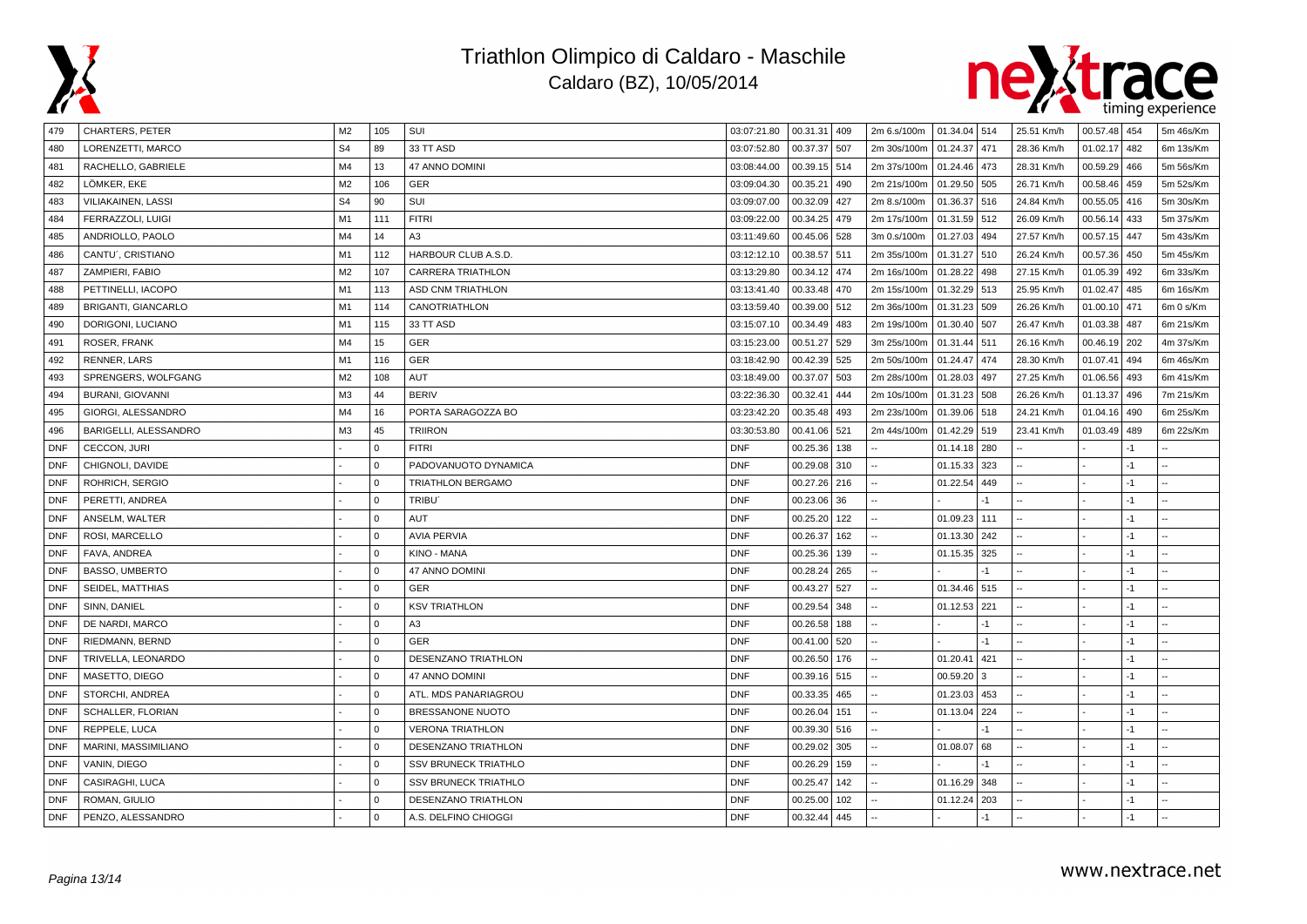



| 479        | <b>CHARTERS, PETER</b>     | M <sub>2</sub> | 105         | SUI                         | 03:07:21.80 | 00.31.31 409 |     | 2m 6.s/100m 01.34.04 514 |              |      | 25.51 Km/h | 00.57.48 454 |      | 5m 46s/Km |
|------------|----------------------------|----------------|-------------|-----------------------------|-------------|--------------|-----|--------------------------|--------------|------|------------|--------------|------|-----------|
| 480        | LORENZETTI, MARCO          | S <sub>4</sub> | 89          | 33 TT ASD                   | 03:07:52.80 | 00.37.37     | 507 | 2m 30s/100m              | 01.24.37     | 471  | 28.36 Km/h | 01.02.17     | 482  | 6m 13s/Km |
| 481        | RACHELLO, GABRIELE         | M4             | 13          | 47 ANNO DOMINI              | 03:08:44.00 | 00.39.15     | 514 | 2m 37s/100m              | 01.24.46     | 473  | 28.31 Km/h | 00.59.29     | 466  | 5m 56s/Km |
| 482        | LÖMKER, EKE                | M <sub>2</sub> | 106         | GER                         | 03:09:04.30 | 00.35.21     | 490 | 2m 21s/100m              | 01.29.50 505 |      | 26.71 Km/h | 00.58.46     | 459  | 5m 52s/Km |
| 483        | VILIAKAINEN, LASSI         | S <sub>4</sub> | 90          | SUI                         | 03:09:07.00 | 00.32.09     | 427 | 2m 8.s/100m              | 01.36.37 516 |      | 24.84 Km/h | 00.55.05     | 416  | 5m 30s/Km |
| 484        | FERRAZZOLI, LUIGI          | M1             | 111         | <b>FITRI</b>                | 03:09:22.00 | 00.34.25     | 479 | 2m 17s/100m              | 01.31.59 512 |      | 26.09 Km/h | 00.56.14     | 433  | 5m 37s/Km |
| 485        | ANDRIOLLO, PAOLO           | M4             | 14          | A <sub>3</sub>              | 03:11:49.60 | 00.45.06     | 528 | 3m 0.s/100m              | 01.27.03     | 494  | 27.57 Km/h | 00.57.15     | 447  | 5m 43s/Km |
| 486        | CANTU', CRISTIANO          | M1             | 112         | HARBOUR CLUB A.S.D.         | 03:12:12.10 | 00.38.57     | 511 | 2m 35s/100m              | 01.31.27 510 |      | 26.24 Km/h | 00.57.36     | 450  | 5m 45s/Km |
| 487        | ZAMPIERI, FABIO            | M <sub>2</sub> | 107         | <b>CARRERA TRIATHLON</b>    | 03:13:29.80 | 00.34.12     | 474 | 2m 16s/100m              | 01.28.22 498 |      | 27.15 Km/h | 01.05.39     | 492  | 6m 33s/Km |
| 488        | PETTINELLI, IACOPO         | M <sub>1</sub> | 113         | ASD CNM TRIATHLON           | 03:13:41.40 | 00.33.48     | 470 | 2m 15s/100m              | 01.32.29 513 |      | 25.95 Km/h | 01.02.47     | 485  | 6m 16s/Km |
| 489        | <b>BRIGANTI, GIANCARLO</b> | M1             | 114         | CANOTRIATHLON               | 03:13:59.40 | 00.39.00     | 512 | 2m 36s/100m              | 01.31.23     | 509  | 26.26 Km/h | 01.00.10     | 471  | 6m 0 s/Km |
| 490        | DORIGONI, LUCIANO          | M1             | 115         | 33 TT ASD                   | 03:15:07.10 | 00.34.49     | 483 | 2m 19s/100m              | 01.30.40     | 507  | 26.47 Km/h | 01.03.38     | 487  | 6m 21s/Km |
| 491        | ROSER, FRANK               | M4             | 15          | <b>GER</b>                  | 03:15:23.00 | 00.51.27     | 529 | 3m 25s/100m              | 01.31.44 511 |      | 26.16 Km/h | 00.46.19     | 202  | 4m 37s/Km |
| 492        | RENNER, LARS               | M <sub>1</sub> | 116         | GER                         | 03:18:42.90 | 00.42.39     | 525 | 2m 50s/100m              | 01.24.47 474 |      | 28.30 Km/h | 01.07.41     | 494  | 6m 46s/Km |
| 493        | SPRENGERS, WOLFGANG        | M2             | 108         | AUT                         | 03:18:49.00 | 00.37.07     | 503 | 2m 28s/100m              | 01.28.03 497 |      | 27.25 Km/h | 01.06.56     | 493  | 6m 41s/Km |
| 494        | <b>BURANI, GIOVANNI</b>    | M3             | 44          | <b>BERIV</b>                | 03:22:36.30 | 00.32.41     | 444 | 2m 10s/100m              | 01.31.23 508 |      | 26.26 Km/h | 01.13.37     | 496  | 7m 21s/Km |
| 495        | GIORGI, ALESSANDRO         | M4             | 16          | PORTA SARAGOZZA BO          | 03:23:42.20 | 00.35.48     | 493 | 2m 23s/100m              | 01.39.06 518 |      | 24.21 Km/h | 01.04.16     | 490  | 6m 25s/Km |
| 496        | BARIGELLI, ALESSANDRO      | M <sub>3</sub> | 45          | <b>TRIIRON</b>              | 03:30:53.80 | 00.41.06     | 521 | 2m 44s/100m              | 01.42.29 519 |      | 23.41 Km/h | 01.03.49     | 489  | 6m 22s/Km |
| <b>DNF</b> | CECCON, JURI               |                | $\Omega$    | <b>FITRI</b>                | <b>DNF</b>  | 00.25.36     | 138 |                          | 01.14.18     | 280  |            |              | $-1$ |           |
| <b>DNF</b> | CHIGNOLI, DAVIDE           |                | $\Omega$    | PADOVANUOTO DYNAMICA        | <b>DNF</b>  | 00.29.08     | 310 |                          | 01.15.33     | 323  |            |              | $-1$ |           |
| <b>DNF</b> | ROHRICH, SERGIO            |                | $\mathbf 0$ | TRIATHLON BERGAMO           | <b>DNF</b>  | 00.27.26     | 216 |                          | 01.22.54     | 449  |            |              | $-1$ |           |
| <b>DNF</b> | PERETTI, ANDREA            |                | $\mathbf 0$ | TRIBU <sup>®</sup>          | <b>DNF</b>  | 00.23.06     | 36  |                          |              | -1   |            |              | $-1$ |           |
| <b>DNF</b> | ANSELM, WALTER             |                | $\Omega$    | AUT                         | <b>DNF</b>  | 00.25.20     | 122 |                          | 01.09.23 111 |      |            |              | $-1$ |           |
| <b>DNF</b> | ROSI, MARCELLO             |                | $\Omega$    | <b>AVIA PERVIA</b>          | <b>DNF</b>  | 00.26.37     | 162 |                          | 01.13.30 242 |      |            |              | $-1$ |           |
| <b>DNF</b> | FAVA, ANDREA               |                | $\Omega$    | KINO - MANA                 | <b>DNF</b>  | 00.25.36     | 139 |                          | 01.15.35     | 325  |            |              | $-1$ |           |
| <b>DNF</b> | <b>BASSO, UMBERTO</b>      |                | $\Omega$    | 47 ANNO DOMINI              | <b>DNF</b>  | 00.28.24     | 265 |                          |              | $-1$ |            |              | $-1$ |           |
| <b>DNF</b> | SEIDEL, MATTHIAS           |                | $\Omega$    | <b>GER</b>                  | <b>DNF</b>  | 00.43.27     | 527 |                          | 01.34.46     | 515  |            |              | $-1$ |           |
| <b>DNF</b> | SINN, DANIEL               |                | $\Omega$    | <b>KSV TRIATHLON</b>        | <b>DNF</b>  | 00.29.54     | 348 |                          | 01.12.53     | 221  |            |              | $-1$ |           |
| <b>DNF</b> | DE NARDI, MARCO            |                | $\Omega$    | A <sub>3</sub>              | <b>DNF</b>  | 00.26.58     | 188 |                          |              | $-1$ |            |              | $-1$ |           |
| <b>DNF</b> | RIEDMANN, BERND            |                | $\mathbf 0$ | <b>GER</b>                  | <b>DNF</b>  | 00.41.00     | 520 |                          |              | $-1$ |            |              | $-1$ |           |
| <b>DNF</b> | TRIVELLA, LEONARDO         |                | $\Omega$    | DESENZANO TRIATHLON         | <b>DNF</b>  | 00.26.50     | 176 |                          | 01.20.41     | 421  |            |              | $-1$ |           |
| <b>DNF</b> | MASETTO, DIEGO             |                | $\Omega$    | <b>47 ANNO DOMINI</b>       | <b>DNF</b>  | 00.39.16     | 515 |                          | 00.59.20     | 3    |            |              | $-1$ |           |
| <b>DNF</b> | STORCHI, ANDREA            |                | $\Omega$    | ATL. MDS PANARIAGROU        | <b>DNF</b>  | 00.33.35     | 465 |                          | 01.23.03     | 453  |            |              | $-1$ |           |
| <b>DNF</b> | SCHALLER, FLORIAN          |                | $\Omega$    | BRESSANONE NUOTO            | <b>DNF</b>  | 00.26.04     | 151 |                          | 01.13.04     | 224  |            |              | $-1$ |           |
| <b>DNF</b> | REPPELE, LUCA              |                | $\Omega$    | <b>VERONA TRIATHLON</b>     | <b>DNF</b>  | 00.39.30     | 516 |                          |              | -1   |            |              | $-1$ |           |
| <b>DNF</b> | MARINI, MASSIMILIANO       |                | $\Omega$    | DESENZANO TRIATHLON         | <b>DNF</b>  | 00.29.02     | 305 |                          | 01.08.07     | 68   |            |              | $-1$ |           |
| <b>DNF</b> | VANIN, DIEGO               |                | $\Omega$    | <b>SSV BRUNECK TRIATHLO</b> | <b>DNF</b>  | 00.26.29     | 159 |                          |              | -1   |            |              | $-1$ |           |
| <b>DNF</b> | CASIRAGHI, LUCA            |                | $\Omega$    | <b>SSV BRUNECK TRIATHLO</b> | <b>DNF</b>  | 00.25.47     | 142 |                          | 01.16.29     | 348  |            |              | $-1$ |           |
| <b>DNF</b> | ROMAN, GIULIO              |                | $\Omega$    | DESENZANO TRIATHLON         | <b>DNF</b>  | 00.25.00     | 102 |                          | 01.12.24     | 203  |            |              | $-1$ |           |
| <b>DNF</b> | PENZO, ALESSANDRO          |                | $\Omega$    | A.S. DELFINO CHIOGGI        | <b>DNF</b>  | 00.32.44     | 445 |                          |              | $-1$ |            |              | $-1$ |           |